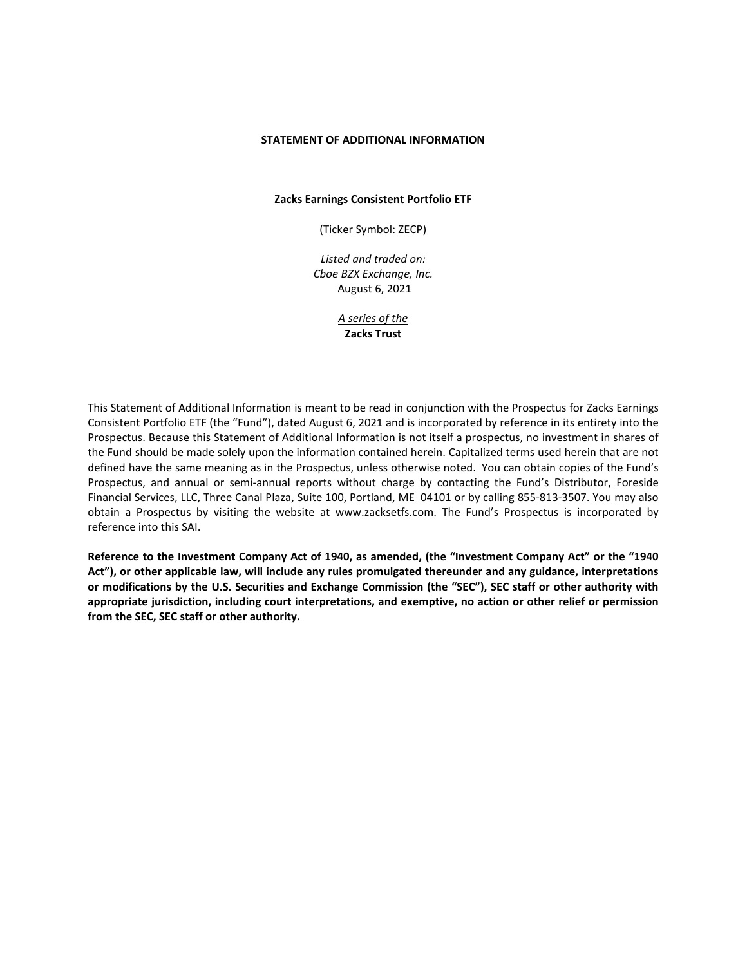#### **STATEMENT OF ADDITIONAL INFORMATION**

**Zacks Earnings Consistent Portfolio ETF**

(Ticker Symbol: ZECP)

*Listed and traded on: Cboe BZX Exchange, Inc.* August 6, 2021

> *A series of the* **Zacks Trust**

This Statement of Additional Information is meant to be read in conjunction with the Prospectus for Zacks Earnings Consistent Portfolio ETF (the "Fund"), dated August 6, 2021 and is incorporated by reference in its entirety into the Prospectus. Because this Statement of Additional Information is not itself a prospectus, no investment in shares of the Fund should be made solely upon the information contained herein. Capitalized terms used herein that are not defined have the same meaning as in the Prospectus, unless otherwise noted. You can obtain copies of the Fund's Prospectus, and annual or semi-annual reports without charge by contacting the Fund's Distributor, Foreside Financial Services, LLC, Three Canal Plaza, Suite 100, Portland, ME 04101 or by calling 855-813-3507. You may also obtain a Prospectus by visiting the website at www.zacksetfs.com. The Fund's Prospectus is incorporated by reference into this SAI.

**Reference to the Investment Company Act of 1940, as amended, (the "Investment Company Act" or the "1940 Act"), or other applicable law, will include any rules promulgated thereunder and any guidance, interpretations or modifications by the U.S. Securities and Exchange Commission (the "SEC"), SEC staff or other authority with appropriate jurisdiction, including court interpretations, and exemptive, no action or other relief or permission from the SEC, SEC staff or other authority.**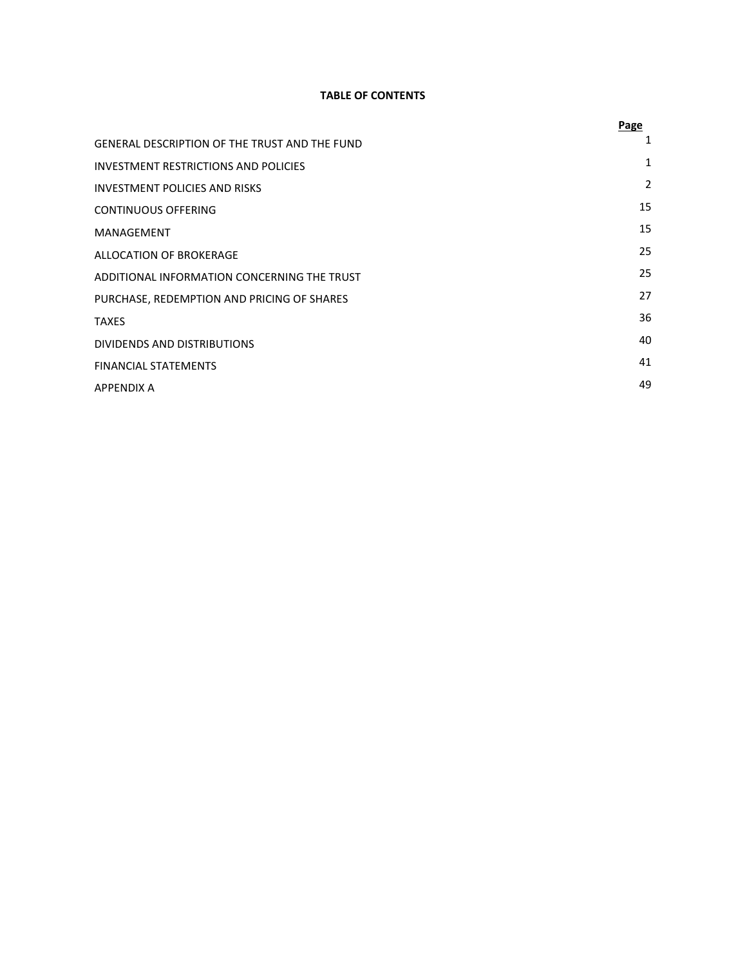# **TABLE OF CONTENTS**

|                                                      | Page |
|------------------------------------------------------|------|
| <b>GENERAL DESCRIPTION OF THE TRUST AND THE FUND</b> | 1    |
| INVESTMENT RESTRICTIONS AND POLICIES                 | 1    |
| INVESTMENT POLICIES AND RISKS                        | 2    |
| <b>CONTINUOUS OFFERING</b>                           | 15   |
| MANAGEMENT                                           | 15   |
| ALLOCATION OF BROKERAGE                              | 25   |
| ADDITIONAL INFORMATION CONCERNING THE TRUST          | 25   |
| PURCHASE, REDEMPTION AND PRICING OF SHARES           | 27   |
| <b>TAXES</b>                                         | 36   |
| DIVIDENDS AND DISTRIBUTIONS                          | 40   |
| <b>FINANCIAL STATEMENTS</b>                          | 41   |
| <b>APPENDIX A</b>                                    | 49   |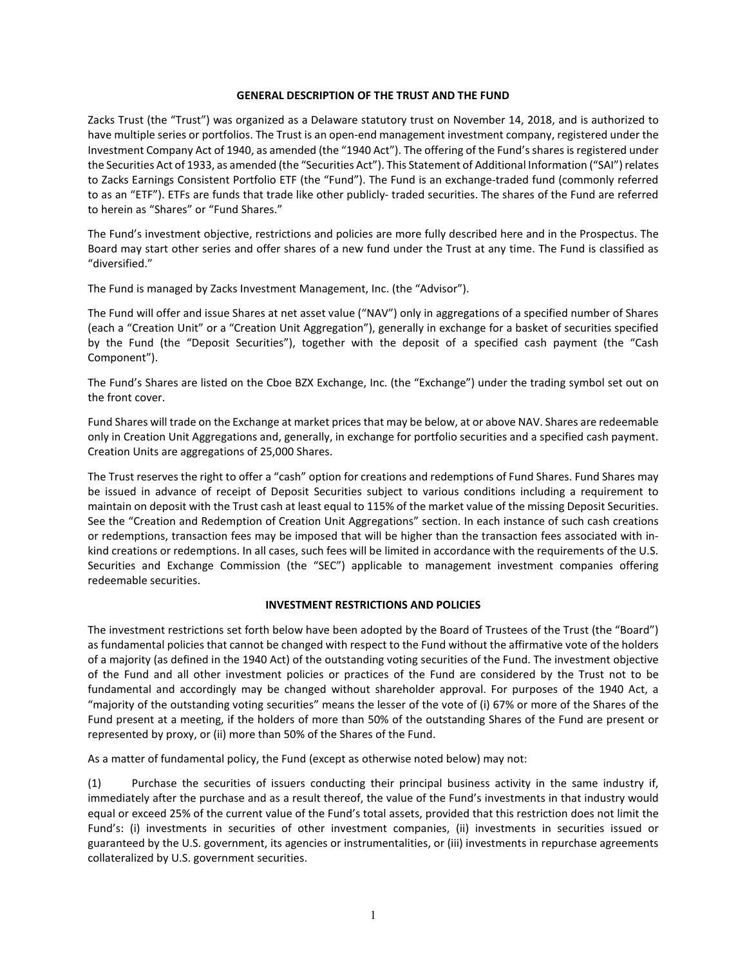#### **GENERAL DESCRIPTION OF THE TRUST AND THE FUND**

Zacks Trust (the "Trust") was organized as a Delaware statutory trust on November 14, 2018, and is authorized to have multiple series or portfolios. The Trust is an open-end management investment company, registered under the Investment Company Act of 1940, as amended (the "1940 Act"). The offering of the Fund's shares is registered under the Securities Act of 1933, as amended (the "Securities Act"). This Statement of Additional Information ("SAI") relates to Zacks Earnings Consistent Portfolio ETF (the "Fund"). The Fund is an exchange-traded fund (commonly referred to as an "ETF"). ETFs are funds that trade like other publicly- traded securities. The shares of the Fund are referred to herein as "Shares" or "Fund Shares."

The Fund's investment objective, restrictions and policies are more fully described here and in the Prospectus. The Board may start other series and offer shares of a new fund under the Trust at any time. The Fund is classified as "diversified."

The Fund is managed by Zacks Investment Management, Inc. (the "Advisor").

The Fund will offer and issue Shares at net asset value ("NAV") only in aggregations of a specified number of Shares (each a "Creation Unit" or a "Creation Unit Aggregation"), generally in exchange for a basket of securities specified by the Fund (the "Deposit Securities"), together with the deposit of a specified cash payment (the "Cash Component").

The Fund's Shares are listed on the Cboe BZX Exchange, Inc. (the "Exchange") under the trading symbol set out on the front cover.

Fund Shares will trade on the Exchange at market prices that may be below, at or above NAV. Shares are redeemable only in Creation Unit Aggregations and, generally, in exchange for portfolio securities and a specified cash payment. Creation Units are aggregations of 25,000 Shares.

The Trust reserves the right to offer a "cash" option for creations and redemptions of Fund Shares. Fund Shares may be issued in advance of receipt of Deposit Securities subject to various conditions including a requirement to maintain on deposit with the Trust cash at least equal to 115% of the market value of the missing Deposit Securities. See the "Creation and Redemption of Creation Unit Aggregations" section. In each instance of such cash creations or redemptions, transaction fees may be imposed that will be higher than the transaction fees associated with inkind creations or redemptions. In all cases, such fees will be limited in accordance with the requirements of the U.S. Securities and Exchange Commission (the "SEC") applicable to management investment companies offering redeemable securities.

#### **INVESTMENT RESTRICTIONS AND POLICIES**

The investment restrictions set forth below have been adopted by the Board of Trustees of the Trust (the "Board") as fundamental policies that cannot be changed with respect to the Fund without the affirmative vote of the holders of a majority (as defined in the 1940 Act) of the outstanding voting securities of the Fund. The investment objective of the Fund and all other investment policies or practices of the Fund are considered by the Trust not to be fundamental and accordingly may be changed without shareholder approval. For purposes of the 1940 Act, a "majority of the outstanding voting securities" means the lesser of the vote of (i) 67% or more of the Shares of the Fund present at a meeting, if the holders of more than 50% of the outstanding Shares of the Fund are present or represented by proxy, or (ii) more than 50% of the Shares of the Fund.

As a matter of fundamental policy, the Fund (except as otherwise noted below) may not:

(1) Purchase the securities of issuers conducting their principal business activity in the same industry if, immediately after the purchase and as a result thereof, the value of the Fund's investments in that industry would equal or exceed 25% of the current value of the Fund's total assets, provided that this restriction does not limit the Fund's: (i) investments in securities of other investment companies, (ii) investments in securities issued or guaranteed by the U.S. government, its agencies or instrumentalities, or (iii) investments in repurchase agreements collateralized by U.S. government securities.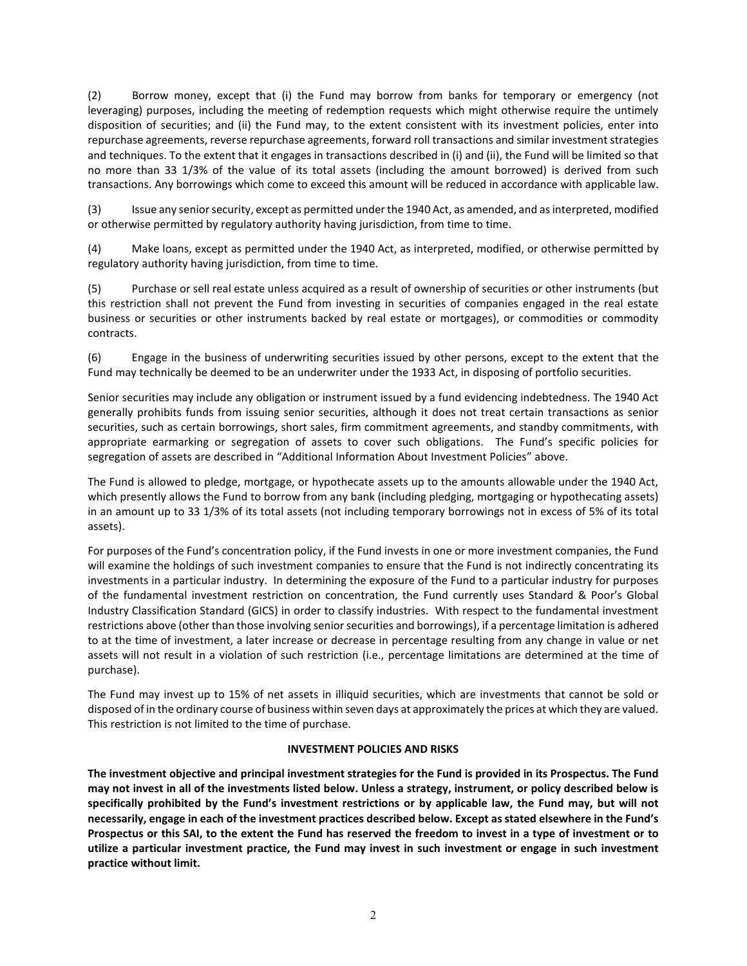(2) Borrow money, except that (i) the Fund may borrow from banks for temporary or emergency (not leveraging) purposes, including the meeting of redemption requests which might otherwise require the untimely disposition of securities; and (ii) the Fund may, to the extent consistent with its investment policies, enter into repurchase agreements, reverse repurchase agreements, forward roll transactions and similar investment strategies and techniques. To the extent that it engages in transactions described in (i) and (ii), the Fund will be limited so that no more than 33 1/3% of the value of its total assets (including the amount borrowed) is derived from such transactions. Any borrowings which come to exceed this amount will be reduced in accordance with applicable law.

(3) Issue any senior security, except as permitted under the 1940 Act, as amended, and as interpreted, modified or otherwise permitted by regulatory authority having jurisdiction, from time to time.

(4) Make loans, except as permitted under the 1940 Act, as interpreted, modified, or otherwise permitted by regulatory authority having jurisdiction, from time to time.

(5) Purchase or sell real estate unless acquired as a result of ownership of securities or other instruments (but this restriction shall not prevent the Fund from investing in securities of companies engaged in the real estate business or securities or other instruments backed by real estate or mortgages), or commodities or commodity contracts.

(6) Engage in the business of underwriting securities issued by other persons, except to the extent that the Fund may technically be deemed to be an underwriter under the 1933 Act, in disposing of portfolio securities.

Senior securities may include any obligation or instrument issued by a fund evidencing indebtedness. The 1940 Act generally prohibits funds from issuing senior securities, although it does not treat certain transactions as senior securities, such as certain borrowings, short sales, firm commitment agreements, and standby commitments, with appropriate earmarking or segregation of assets to cover such obligations. The Fund's specific policies for segregation of assets are described in "Additional Information About Investment Policies" above.

The Fund is allowed to pledge, mortgage, or hypothecate assets up to the amounts allowable under the 1940 Act, which presently allows the Fund to borrow from any bank (including pledging, mortgaging or hypothecating assets) in an amount up to 33 1/3% of its total assets (not including temporary borrowings not in excess of 5% of its total assets).

For purposes of the Fund's concentration policy, if the Fund invests in one or more investment companies, the Fund will examine the holdings of such investment companies to ensure that the Fund is not indirectly concentrating its investments in a particular industry. In determining the exposure of the Fund to a particular industry for purposes of the fundamental investment restriction on concentration, the Fund currently uses Standard & Poor's Global Industry Classification Standard (GICS) in order to classify industries. With respect to the fundamental investment restrictions above (other than those involving senior securities and borrowings), if a percentage limitation is adhered to at the time of investment, a later increase or decrease in percentage resulting from any change in value or net assets will not result in a violation of such restriction (i.e., percentage limitations are determined at the time of purchase).

The Fund may invest up to 15% of net assets in illiquid securities, which are investments that cannot be sold or disposed of in the ordinary course of business within seven days at approximately the prices at which they are valued. This restriction is not limited to the time of purchase.

# **INVESTMENT POLICIES AND RISKS**

**The investment objective and principal investment strategies for the Fund is provided in its Prospectus. The Fund may not invest in all of the investments listed below. Unless a strategy, instrument, or policy described below is specifically prohibited by the Fund's investment restrictions or by applicable law, the Fund may, but will not necessarily, engage in each of the investment practices described below. Except as stated elsewhere in the Fund's Prospectus or this SAI, to the extent the Fund has reserved the freedom to invest in a type of investment or to utilize a particular investment practice, the Fund may invest in such investment or engage in such investment practice without limit.**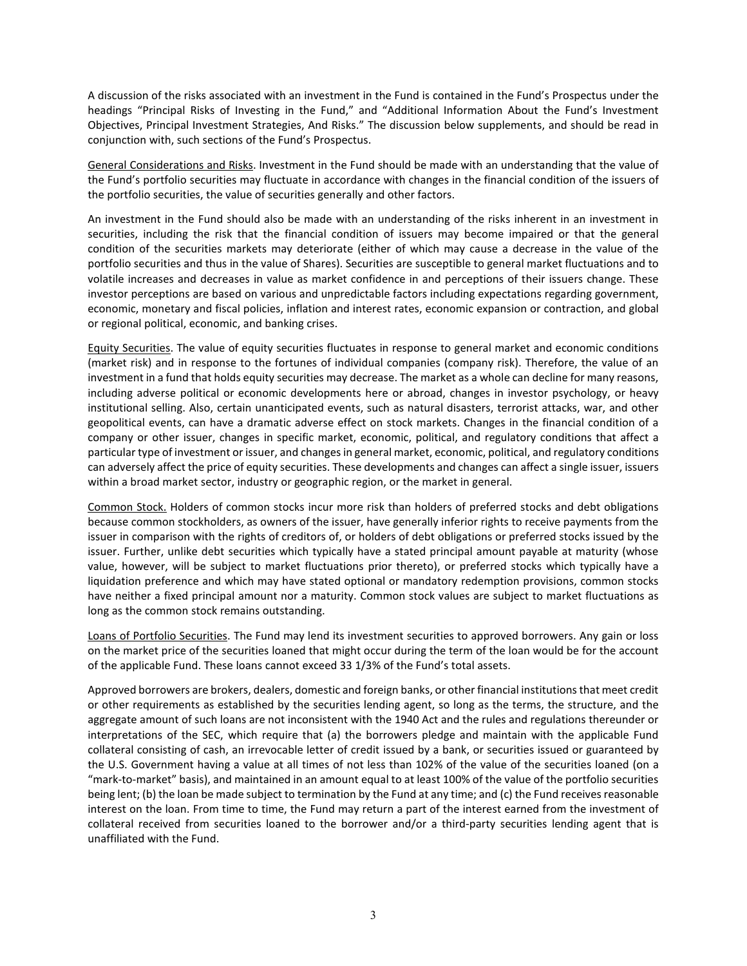A discussion of the risks associated with an investment in the Fund is contained in the Fund's Prospectus under the headings "Principal Risks of Investing in the Fund," and "Additional Information About the Fund's Investment Objectives, Principal Investment Strategies, And Risks." The discussion below supplements, and should be read in conjunction with, such sections of the Fund's Prospectus.

General Considerations and Risks. Investment in the Fund should be made with an understanding that the value of the Fund's portfolio securities may fluctuate in accordance with changes in the financial condition of the issuers of the portfolio securities, the value of securities generally and other factors.

An investment in the Fund should also be made with an understanding of the risks inherent in an investment in securities, including the risk that the financial condition of issuers may become impaired or that the general condition of the securities markets may deteriorate (either of which may cause a decrease in the value of the portfolio securities and thus in the value of Shares). Securities are susceptible to general market fluctuations and to volatile increases and decreases in value as market confidence in and perceptions of their issuers change. These investor perceptions are based on various and unpredictable factors including expectations regarding government, economic, monetary and fiscal policies, inflation and interest rates, economic expansion or contraction, and global or regional political, economic, and banking crises.

Equity Securities. The value of equity securities fluctuates in response to general market and economic conditions (market risk) and in response to the fortunes of individual companies (company risk). Therefore, the value of an investment in a fund that holds equity securities may decrease. The market as a whole can decline for many reasons, including adverse political or economic developments here or abroad, changes in investor psychology, or heavy institutional selling. Also, certain unanticipated events, such as natural disasters, terrorist attacks, war, and other geopolitical events, can have a dramatic adverse effect on stock markets. Changes in the financial condition of a company or other issuer, changes in specific market, economic, political, and regulatory conditions that affect a particular type of investment or issuer, and changes in general market, economic, political, and regulatory conditions can adversely affect the price of equity securities. These developments and changes can affect a single issuer, issuers within a broad market sector, industry or geographic region, or the market in general.

Common Stock. Holders of common stocks incur more risk than holders of preferred stocks and debt obligations because common stockholders, as owners of the issuer, have generally inferior rights to receive payments from the issuer in comparison with the rights of creditors of, or holders of debt obligations or preferred stocks issued by the issuer. Further, unlike debt securities which typically have a stated principal amount payable at maturity (whose value, however, will be subject to market fluctuations prior thereto), or preferred stocks which typically have a liquidation preference and which may have stated optional or mandatory redemption provisions, common stocks have neither a fixed principal amount nor a maturity. Common stock values are subject to market fluctuations as long as the common stock remains outstanding.

Loans of Portfolio Securities. The Fund may lend its investment securities to approved borrowers. Any gain or loss on the market price of the securities loaned that might occur during the term of the loan would be for the account of the applicable Fund. These loans cannot exceed 33 1/3% of the Fund's total assets.

Approved borrowers are brokers, dealers, domestic and foreign banks, or other financial institutions that meet credit or other requirements as established by the securities lending agent, so long as the terms, the structure, and the aggregate amount of such loans are not inconsistent with the 1940 Act and the rules and regulations thereunder or interpretations of the SEC, which require that (a) the borrowers pledge and maintain with the applicable Fund collateral consisting of cash, an irrevocable letter of credit issued by a bank, or securities issued or guaranteed by the U.S. Government having a value at all times of not less than 102% of the value of the securities loaned (on a "mark-to-market" basis), and maintained in an amount equal to at least 100% of the value of the portfolio securities being lent; (b) the loan be made subject to termination by the Fund at any time; and (c) the Fund receives reasonable interest on the loan. From time to time, the Fund may return a part of the interest earned from the investment of collateral received from securities loaned to the borrower and/or a third-party securities lending agent that is unaffiliated with the Fund.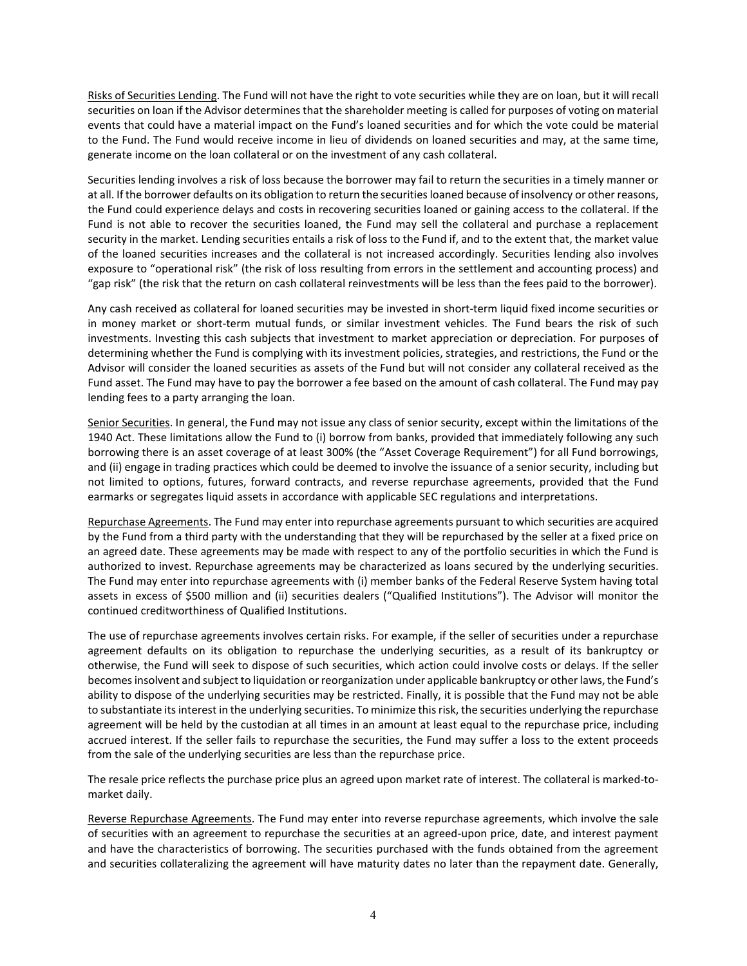Risks of Securities Lending. The Fund will not have the right to vote securities while they are on loan, but it will recall securities on loan if the Advisor determines that the shareholder meeting is called for purposes of voting on material events that could have a material impact on the Fund's loaned securities and for which the vote could be material to the Fund. The Fund would receive income in lieu of dividends on loaned securities and may, at the same time, generate income on the loan collateral or on the investment of any cash collateral.

Securities lending involves a risk of loss because the borrower may fail to return the securities in a timely manner or at all. If the borrower defaults on its obligation to return the securities loaned because of insolvency or other reasons, the Fund could experience delays and costs in recovering securities loaned or gaining access to the collateral. If the Fund is not able to recover the securities loaned, the Fund may sell the collateral and purchase a replacement security in the market. Lending securities entails a risk of loss to the Fund if, and to the extent that, the market value of the loaned securities increases and the collateral is not increased accordingly. Securities lending also involves exposure to "operational risk" (the risk of loss resulting from errors in the settlement and accounting process) and "gap risk" (the risk that the return on cash collateral reinvestments will be less than the fees paid to the borrower).

Any cash received as collateral for loaned securities may be invested in short-term liquid fixed income securities or in money market or short-term mutual funds, or similar investment vehicles. The Fund bears the risk of such investments. Investing this cash subjects that investment to market appreciation or depreciation. For purposes of determining whether the Fund is complying with its investment policies, strategies, and restrictions, the Fund or the Advisor will consider the loaned securities as assets of the Fund but will not consider any collateral received as the Fund asset. The Fund may have to pay the borrower a fee based on the amount of cash collateral. The Fund may pay lending fees to a party arranging the loan.

Senior Securities. In general, the Fund may not issue any class of senior security, except within the limitations of the 1940 Act. These limitations allow the Fund to (i) borrow from banks, provided that immediately following any such borrowing there is an asset coverage of at least 300% (the "Asset Coverage Requirement") for all Fund borrowings, and (ii) engage in trading practices which could be deemed to involve the issuance of a senior security, including but not limited to options, futures, forward contracts, and reverse repurchase agreements, provided that the Fund earmarks or segregates liquid assets in accordance with applicable SEC regulations and interpretations.

Repurchase Agreements. The Fund may enter into repurchase agreements pursuant to which securities are acquired by the Fund from a third party with the understanding that they will be repurchased by the seller at a fixed price on an agreed date. These agreements may be made with respect to any of the portfolio securities in which the Fund is authorized to invest. Repurchase agreements may be characterized as loans secured by the underlying securities. The Fund may enter into repurchase agreements with (i) member banks of the Federal Reserve System having total assets in excess of \$500 million and (ii) securities dealers ("Qualified Institutions"). The Advisor will monitor the continued creditworthiness of Qualified Institutions.

The use of repurchase agreements involves certain risks. For example, if the seller of securities under a repurchase agreement defaults on its obligation to repurchase the underlying securities, as a result of its bankruptcy or otherwise, the Fund will seek to dispose of such securities, which action could involve costs or delays. If the seller becomes insolvent and subject to liquidation or reorganization under applicable bankruptcy or other laws, the Fund's ability to dispose of the underlying securities may be restricted. Finally, it is possible that the Fund may not be able to substantiate its interest in the underlying securities. To minimize this risk, the securities underlying the repurchase agreement will be held by the custodian at all times in an amount at least equal to the repurchase price, including accrued interest. If the seller fails to repurchase the securities, the Fund may suffer a loss to the extent proceeds from the sale of the underlying securities are less than the repurchase price.

The resale price reflects the purchase price plus an agreed upon market rate of interest. The collateral is marked-tomarket daily.

Reverse Repurchase Agreements. The Fund may enter into reverse repurchase agreements, which involve the sale of securities with an agreement to repurchase the securities at an agreed-upon price, date, and interest payment and have the characteristics of borrowing. The securities purchased with the funds obtained from the agreement and securities collateralizing the agreement will have maturity dates no later than the repayment date. Generally,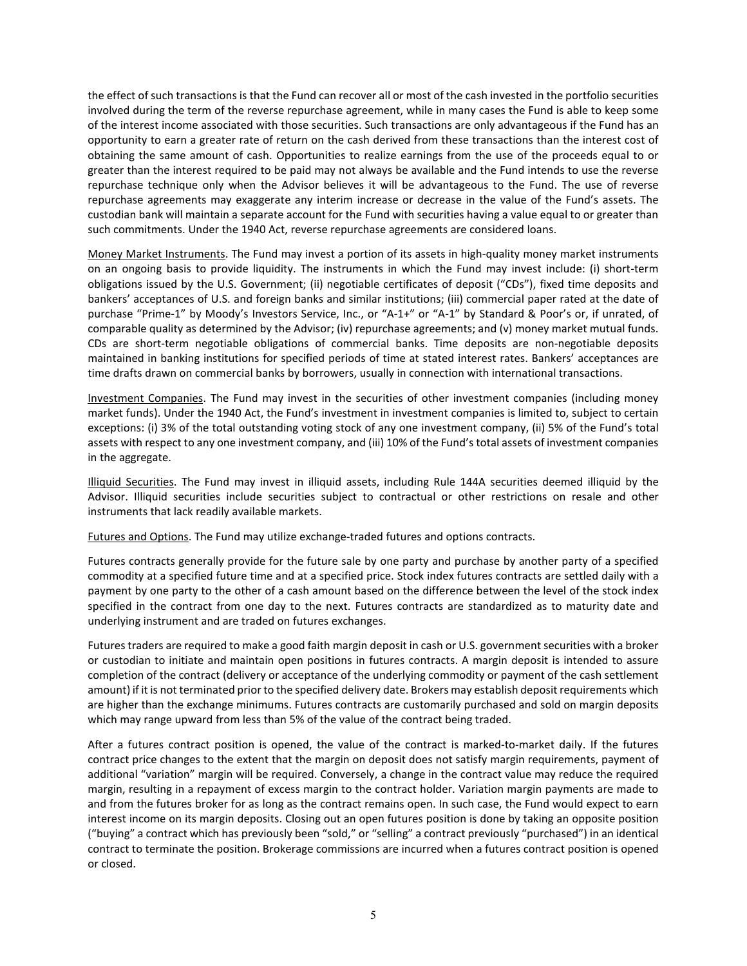the effect of such transactions is that the Fund can recover all or most of the cash invested in the portfolio securities involved during the term of the reverse repurchase agreement, while in many cases the Fund is able to keep some of the interest income associated with those securities. Such transactions are only advantageous if the Fund has an opportunity to earn a greater rate of return on the cash derived from these transactions than the interest cost of obtaining the same amount of cash. Opportunities to realize earnings from the use of the proceeds equal to or greater than the interest required to be paid may not always be available and the Fund intends to use the reverse repurchase technique only when the Advisor believes it will be advantageous to the Fund. The use of reverse repurchase agreements may exaggerate any interim increase or decrease in the value of the Fund's assets. The custodian bank will maintain a separate account for the Fund with securities having a value equal to or greater than such commitments. Under the 1940 Act, reverse repurchase agreements are considered loans.

Money Market Instruments. The Fund may invest a portion of its assets in high-quality money market instruments on an ongoing basis to provide liquidity. The instruments in which the Fund may invest include: (i) short-term obligations issued by the U.S. Government; (ii) negotiable certificates of deposit ("CDs"), fixed time deposits and bankers' acceptances of U.S. and foreign banks and similar institutions; (iii) commercial paper rated at the date of purchase "Prime-1" by Moody's Investors Service, Inc., or "A-1+" or "A-1" by Standard & Poor's or, if unrated, of comparable quality as determined by the Advisor; (iv) repurchase agreements; and (v) money market mutual funds. CDs are short-term negotiable obligations of commercial banks. Time deposits are non-negotiable deposits maintained in banking institutions for specified periods of time at stated interest rates. Bankers' acceptances are time drafts drawn on commercial banks by borrowers, usually in connection with international transactions.

Investment Companies. The Fund may invest in the securities of other investment companies (including money market funds). Under the 1940 Act, the Fund's investment in investment companies is limited to, subject to certain exceptions: (i) 3% of the total outstanding voting stock of any one investment company, (ii) 5% of the Fund's total assets with respect to any one investment company, and (iii) 10% of the Fund's total assets of investment companies in the aggregate.

Illiquid Securities. The Fund may invest in illiquid assets, including Rule 144A securities deemed illiquid by the Advisor. Illiquid securities include securities subject to contractual or other restrictions on resale and other instruments that lack readily available markets.

Futures and Options. The Fund may utilize exchange-traded futures and options contracts.

Futures contracts generally provide for the future sale by one party and purchase by another party of a specified commodity at a specified future time and at a specified price. Stock index futures contracts are settled daily with a payment by one party to the other of a cash amount based on the difference between the level of the stock index specified in the contract from one day to the next. Futures contracts are standardized as to maturity date and underlying instrument and are traded on futures exchanges.

Futures traders are required to make a good faith margin deposit in cash or U.S. government securities with a broker or custodian to initiate and maintain open positions in futures contracts. A margin deposit is intended to assure completion of the contract (delivery or acceptance of the underlying commodity or payment of the cash settlement amount) if it is not terminated prior to the specified delivery date. Brokers may establish deposit requirements which are higher than the exchange minimums. Futures contracts are customarily purchased and sold on margin deposits which may range upward from less than 5% of the value of the contract being traded.

After a futures contract position is opened, the value of the contract is marked-to-market daily. If the futures contract price changes to the extent that the margin on deposit does not satisfy margin requirements, payment of additional "variation" margin will be required. Conversely, a change in the contract value may reduce the required margin, resulting in a repayment of excess margin to the contract holder. Variation margin payments are made to and from the futures broker for as long as the contract remains open. In such case, the Fund would expect to earn interest income on its margin deposits. Closing out an open futures position is done by taking an opposite position ("buying" a contract which has previously been "sold," or "selling" a contract previously "purchased") in an identical contract to terminate the position. Brokerage commissions are incurred when a futures contract position is opened or closed.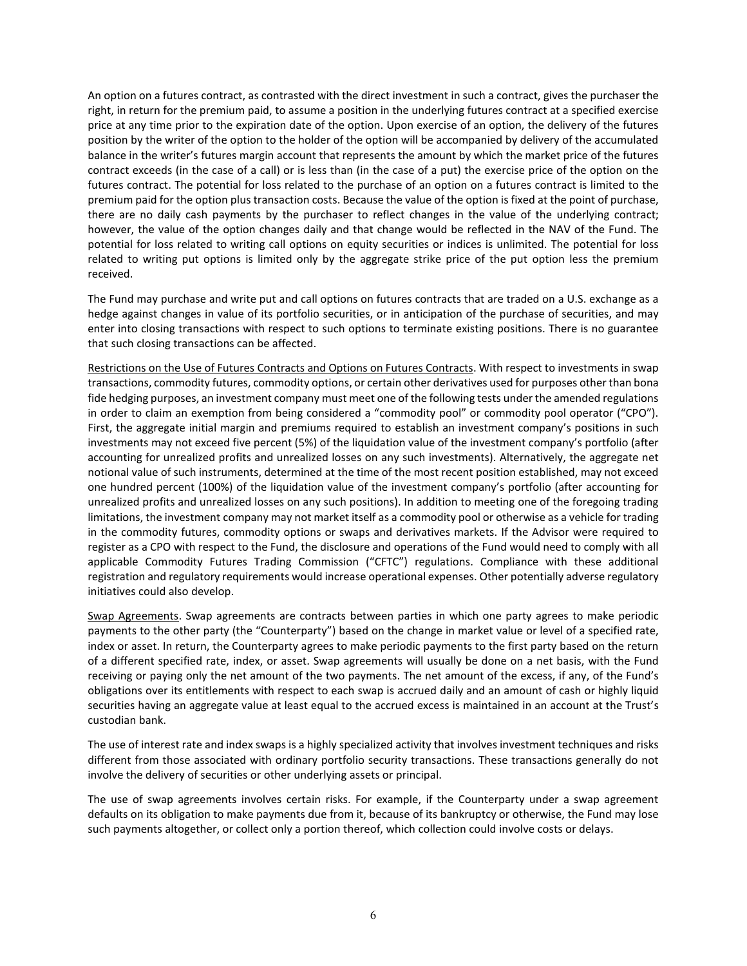An option on a futures contract, as contrasted with the direct investment in such a contract, gives the purchaser the right, in return for the premium paid, to assume a position in the underlying futures contract at a specified exercise price at any time prior to the expiration date of the option. Upon exercise of an option, the delivery of the futures position by the writer of the option to the holder of the option will be accompanied by delivery of the accumulated balance in the writer's futures margin account that represents the amount by which the market price of the futures contract exceeds (in the case of a call) or is less than (in the case of a put) the exercise price of the option on the futures contract. The potential for loss related to the purchase of an option on a futures contract is limited to the premium paid for the option plus transaction costs. Because the value of the option is fixed at the point of purchase, there are no daily cash payments by the purchaser to reflect changes in the value of the underlying contract; however, the value of the option changes daily and that change would be reflected in the NAV of the Fund. The potential for loss related to writing call options on equity securities or indices is unlimited. The potential for loss related to writing put options is limited only by the aggregate strike price of the put option less the premium received.

The Fund may purchase and write put and call options on futures contracts that are traded on a U.S. exchange as a hedge against changes in value of its portfolio securities, or in anticipation of the purchase of securities, and may enter into closing transactions with respect to such options to terminate existing positions. There is no guarantee that such closing transactions can be affected.

Restrictions on the Use of Futures Contracts and Options on Futures Contracts. With respect to investments in swap transactions, commodity futures, commodity options, or certain other derivatives used for purposes other than bona fide hedging purposes, an investment company must meet one of the following tests under the amended regulations in order to claim an exemption from being considered a "commodity pool" or commodity pool operator ("CPO"). First, the aggregate initial margin and premiums required to establish an investment company's positions in such investments may not exceed five percent (5%) of the liquidation value of the investment company's portfolio (after accounting for unrealized profits and unrealized losses on any such investments). Alternatively, the aggregate net notional value of such instruments, determined at the time of the most recent position established, may not exceed one hundred percent (100%) of the liquidation value of the investment company's portfolio (after accounting for unrealized profits and unrealized losses on any such positions). In addition to meeting one of the foregoing trading limitations, the investment company may not market itself as a commodity pool or otherwise as a vehicle for trading in the commodity futures, commodity options or swaps and derivatives markets. If the Advisor were required to register as a CPO with respect to the Fund, the disclosure and operations of the Fund would need to comply with all applicable Commodity Futures Trading Commission ("CFTC") regulations. Compliance with these additional registration and regulatory requirements would increase operational expenses. Other potentially adverse regulatory initiatives could also develop.

Swap Agreements. Swap agreements are contracts between parties in which one party agrees to make periodic payments to the other party (the "Counterparty") based on the change in market value or level of a specified rate, index or asset. In return, the Counterparty agrees to make periodic payments to the first party based on the return of a different specified rate, index, or asset. Swap agreements will usually be done on a net basis, with the Fund receiving or paying only the net amount of the two payments. The net amount of the excess, if any, of the Fund's obligations over its entitlements with respect to each swap is accrued daily and an amount of cash or highly liquid securities having an aggregate value at least equal to the accrued excess is maintained in an account at the Trust's custodian bank.

The use of interest rate and index swaps is a highly specialized activity that involves investment techniques and risks different from those associated with ordinary portfolio security transactions. These transactions generally do not involve the delivery of securities or other underlying assets or principal.

The use of swap agreements involves certain risks. For example, if the Counterparty under a swap agreement defaults on its obligation to make payments due from it, because of its bankruptcy or otherwise, the Fund may lose such payments altogether, or collect only a portion thereof, which collection could involve costs or delays.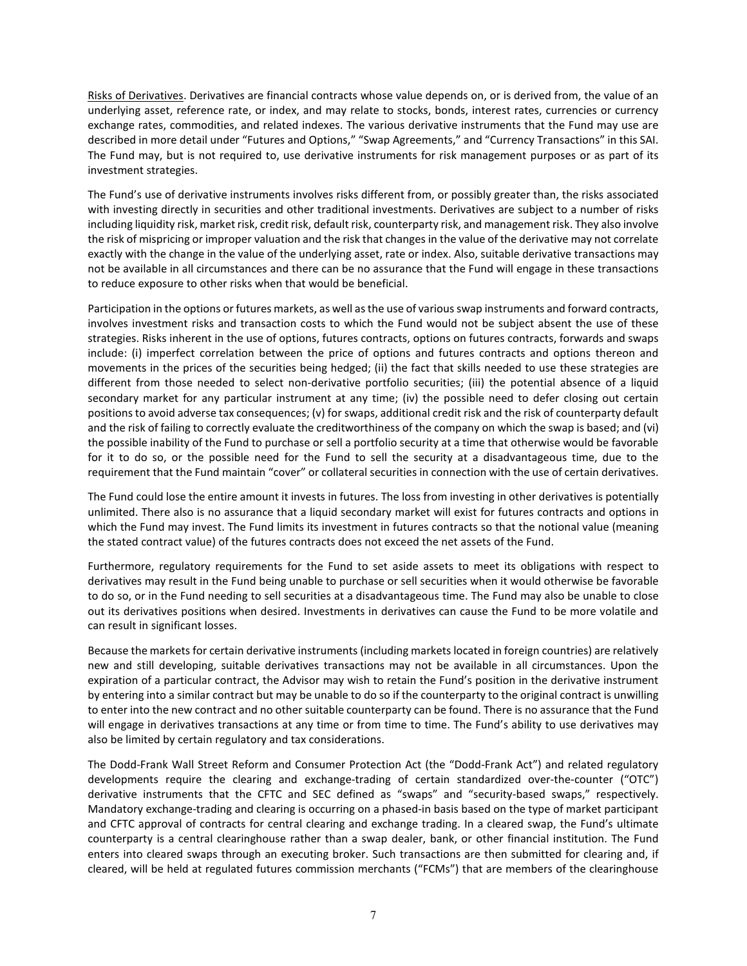Risks of Derivatives. Derivatives are financial contracts whose value depends on, or is derived from, the value of an underlying asset, reference rate, or index, and may relate to stocks, bonds, interest rates, currencies or currency exchange rates, commodities, and related indexes. The various derivative instruments that the Fund may use are described in more detail under "Futures and Options," "Swap Agreements," and "Currency Transactions" in this SAI. The Fund may, but is not required to, use derivative instruments for risk management purposes or as part of its investment strategies.

The Fund's use of derivative instruments involves risks different from, or possibly greater than, the risks associated with investing directly in securities and other traditional investments. Derivatives are subject to a number of risks including liquidity risk, market risk, credit risk, default risk, counterparty risk, and management risk. They also involve the risk of mispricing or improper valuation and the risk that changes in the value of the derivative may not correlate exactly with the change in the value of the underlying asset, rate or index. Also, suitable derivative transactions may not be available in all circumstances and there can be no assurance that the Fund will engage in these transactions to reduce exposure to other risks when that would be beneficial.

Participation in the options or futures markets, as well as the use of various swap instruments and forward contracts, involves investment risks and transaction costs to which the Fund would not be subject absent the use of these strategies. Risks inherent in the use of options, futures contracts, options on futures contracts, forwards and swaps include: (i) imperfect correlation between the price of options and futures contracts and options thereon and movements in the prices of the securities being hedged; (ii) the fact that skills needed to use these strategies are different from those needed to select non-derivative portfolio securities; (iii) the potential absence of a liquid secondary market for any particular instrument at any time; (iv) the possible need to defer closing out certain positions to avoid adverse tax consequences; (v) for swaps, additional credit risk and the risk of counterparty default and the risk of failing to correctly evaluate the creditworthiness of the company on which the swap is based; and (vi) the possible inability of the Fund to purchase or sell a portfolio security at a time that otherwise would be favorable for it to do so, or the possible need for the Fund to sell the security at a disadvantageous time, due to the requirement that the Fund maintain "cover" or collateral securities in connection with the use of certain derivatives.

The Fund could lose the entire amount it invests in futures. The loss from investing in other derivatives is potentially unlimited. There also is no assurance that a liquid secondary market will exist for futures contracts and options in which the Fund may invest. The Fund limits its investment in futures contracts so that the notional value (meaning the stated contract value) of the futures contracts does not exceed the net assets of the Fund.

Furthermore, regulatory requirements for the Fund to set aside assets to meet its obligations with respect to derivatives may result in the Fund being unable to purchase or sell securities when it would otherwise be favorable to do so, or in the Fund needing to sell securities at a disadvantageous time. The Fund may also be unable to close out its derivatives positions when desired. Investments in derivatives can cause the Fund to be more volatile and can result in significant losses.

Because the markets for certain derivative instruments (including markets located in foreign countries) are relatively new and still developing, suitable derivatives transactions may not be available in all circumstances. Upon the expiration of a particular contract, the Advisor may wish to retain the Fund's position in the derivative instrument by entering into a similar contract but may be unable to do so if the counterparty to the original contract is unwilling to enter into the new contract and no other suitable counterparty can be found. There is no assurance that the Fund will engage in derivatives transactions at any time or from time to time. The Fund's ability to use derivatives may also be limited by certain regulatory and tax considerations.

The Dodd-Frank Wall Street Reform and Consumer Protection Act (the "Dodd-Frank Act") and related regulatory developments require the clearing and exchange-trading of certain standardized over-the-counter ("OTC") derivative instruments that the CFTC and SEC defined as "swaps" and "security-based swaps," respectively. Mandatory exchange-trading and clearing is occurring on a phased-in basis based on the type of market participant and CFTC approval of contracts for central clearing and exchange trading. In a cleared swap, the Fund's ultimate counterparty is a central clearinghouse rather than a swap dealer, bank, or other financial institution. The Fund enters into cleared swaps through an executing broker. Such transactions are then submitted for clearing and, if cleared, will be held at regulated futures commission merchants ("FCMs") that are members of the clearinghouse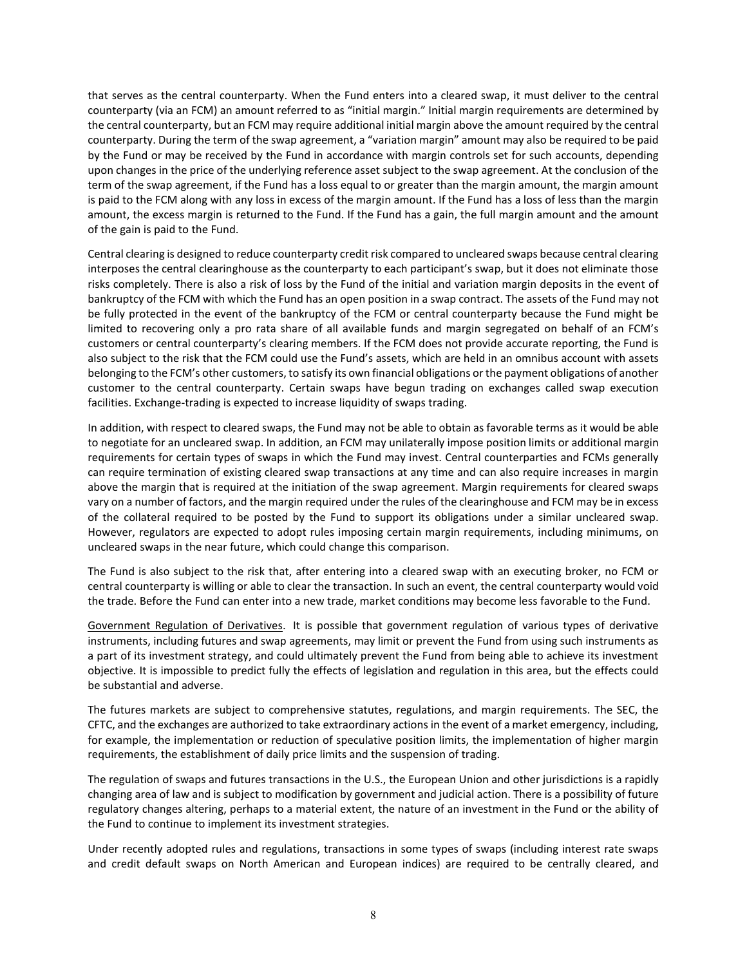that serves as the central counterparty. When the Fund enters into a cleared swap, it must deliver to the central counterparty (via an FCM) an amount referred to as "initial margin." Initial margin requirements are determined by the central counterparty, but an FCM may require additional initial margin above the amount required by the central counterparty. During the term of the swap agreement, a "variation margin" amount may also be required to be paid by the Fund or may be received by the Fund in accordance with margin controls set for such accounts, depending upon changes in the price of the underlying reference asset subject to the swap agreement. At the conclusion of the term of the swap agreement, if the Fund has a loss equal to or greater than the margin amount, the margin amount is paid to the FCM along with any loss in excess of the margin amount. If the Fund has a loss of less than the margin amount, the excess margin is returned to the Fund. If the Fund has a gain, the full margin amount and the amount of the gain is paid to the Fund.

Central clearing is designed to reduce counterparty credit risk compared to uncleared swaps because central clearing interposes the central clearinghouse as the counterparty to each participant's swap, but it does not eliminate those risks completely. There is also a risk of loss by the Fund of the initial and variation margin deposits in the event of bankruptcy of the FCM with which the Fund has an open position in a swap contract. The assets of the Fund may not be fully protected in the event of the bankruptcy of the FCM or central counterparty because the Fund might be limited to recovering only a pro rata share of all available funds and margin segregated on behalf of an FCM's customers or central counterparty's clearing members. If the FCM does not provide accurate reporting, the Fund is also subject to the risk that the FCM could use the Fund's assets, which are held in an omnibus account with assets belonging to the FCM's other customers, to satisfy its own financial obligations or the payment obligations of another customer to the central counterparty. Certain swaps have begun trading on exchanges called swap execution facilities. Exchange-trading is expected to increase liquidity of swaps trading.

In addition, with respect to cleared swaps, the Fund may not be able to obtain as favorable terms as it would be able to negotiate for an uncleared swap. In addition, an FCM may unilaterally impose position limits or additional margin requirements for certain types of swaps in which the Fund may invest. Central counterparties and FCMs generally can require termination of existing cleared swap transactions at any time and can also require increases in margin above the margin that is required at the initiation of the swap agreement. Margin requirements for cleared swaps vary on a number of factors, and the margin required under the rules of the clearinghouse and FCM may be in excess of the collateral required to be posted by the Fund to support its obligations under a similar uncleared swap. However, regulators are expected to adopt rules imposing certain margin requirements, including minimums, on uncleared swaps in the near future, which could change this comparison.

The Fund is also subject to the risk that, after entering into a cleared swap with an executing broker, no FCM or central counterparty is willing or able to clear the transaction. In such an event, the central counterparty would void the trade. Before the Fund can enter into a new trade, market conditions may become less favorable to the Fund.

Government Regulation of Derivatives. It is possible that government regulation of various types of derivative instruments, including futures and swap agreements, may limit or prevent the Fund from using such instruments as a part of its investment strategy, and could ultimately prevent the Fund from being able to achieve its investment objective. It is impossible to predict fully the effects of legislation and regulation in this area, but the effects could be substantial and adverse.

The futures markets are subject to comprehensive statutes, regulations, and margin requirements. The SEC, the CFTC, and the exchanges are authorized to take extraordinary actions in the event of a market emergency, including, for example, the implementation or reduction of speculative position limits, the implementation of higher margin requirements, the establishment of daily price limits and the suspension of trading.

The regulation of swaps and futures transactions in the U.S., the European Union and other jurisdictions is a rapidly changing area of law and is subject to modification by government and judicial action. There is a possibility of future regulatory changes altering, perhaps to a material extent, the nature of an investment in the Fund or the ability of the Fund to continue to implement its investment strategies.

Under recently adopted rules and regulations, transactions in some types of swaps (including interest rate swaps and credit default swaps on North American and European indices) are required to be centrally cleared, and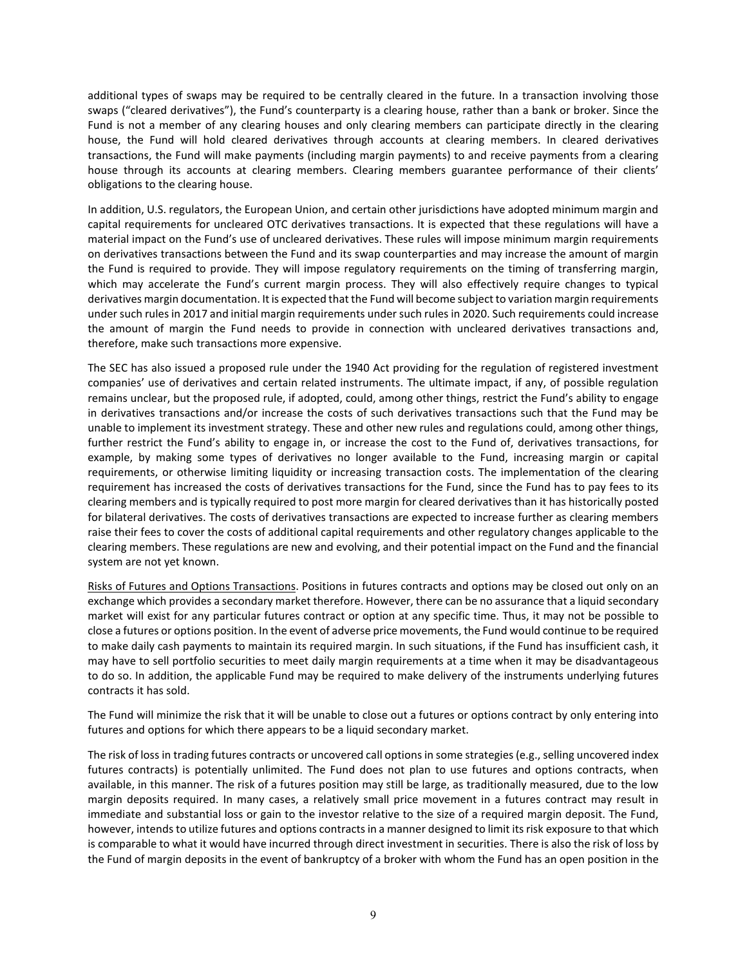additional types of swaps may be required to be centrally cleared in the future. In a transaction involving those swaps ("cleared derivatives"), the Fund's counterparty is a clearing house, rather than a bank or broker. Since the Fund is not a member of any clearing houses and only clearing members can participate directly in the clearing house, the Fund will hold cleared derivatives through accounts at clearing members. In cleared derivatives transactions, the Fund will make payments (including margin payments) to and receive payments from a clearing house through its accounts at clearing members. Clearing members guarantee performance of their clients' obligations to the clearing house.

In addition, U.S. regulators, the European Union, and certain other jurisdictions have adopted minimum margin and capital requirements for uncleared OTC derivatives transactions. It is expected that these regulations will have a material impact on the Fund's use of uncleared derivatives. These rules will impose minimum margin requirements on derivatives transactions between the Fund and its swap counterparties and may increase the amount of margin the Fund is required to provide. They will impose regulatory requirements on the timing of transferring margin, which may accelerate the Fund's current margin process. They will also effectively require changes to typical derivatives margin documentation. It is expected that the Fund will become subject to variation margin requirements under such rules in 2017 and initial margin requirements under such rules in 2020. Such requirements could increase the amount of margin the Fund needs to provide in connection with uncleared derivatives transactions and, therefore, make such transactions more expensive.

The SEC has also issued a proposed rule under the 1940 Act providing for the regulation of registered investment companies' use of derivatives and certain related instruments. The ultimate impact, if any, of possible regulation remains unclear, but the proposed rule, if adopted, could, among other things, restrict the Fund's ability to engage in derivatives transactions and/or increase the costs of such derivatives transactions such that the Fund may be unable to implement its investment strategy. These and other new rules and regulations could, among other things, further restrict the Fund's ability to engage in, or increase the cost to the Fund of, derivatives transactions, for example, by making some types of derivatives no longer available to the Fund, increasing margin or capital requirements, or otherwise limiting liquidity or increasing transaction costs. The implementation of the clearing requirement has increased the costs of derivatives transactions for the Fund, since the Fund has to pay fees to its clearing members and is typically required to post more margin for cleared derivatives than it has historically posted for bilateral derivatives. The costs of derivatives transactions are expected to increase further as clearing members raise their fees to cover the costs of additional capital requirements and other regulatory changes applicable to the clearing members. These regulations are new and evolving, and their potential impact on the Fund and the financial system are not yet known.

Risks of Futures and Options Transactions. Positions in futures contracts and options may be closed out only on an exchange which provides a secondary market therefore. However, there can be no assurance that a liquid secondary market will exist for any particular futures contract or option at any specific time. Thus, it may not be possible to close a futures or options position. In the event of adverse price movements, the Fund would continue to be required to make daily cash payments to maintain its required margin. In such situations, if the Fund has insufficient cash, it may have to sell portfolio securities to meet daily margin requirements at a time when it may be disadvantageous to do so. In addition, the applicable Fund may be required to make delivery of the instruments underlying futures contracts it has sold.

The Fund will minimize the risk that it will be unable to close out a futures or options contract by only entering into futures and options for which there appears to be a liquid secondary market.

The risk of loss in trading futures contracts or uncovered call options in some strategies (e.g., selling uncovered index futures contracts) is potentially unlimited. The Fund does not plan to use futures and options contracts, when available, in this manner. The risk of a futures position may still be large, as traditionally measured, due to the low margin deposits required. In many cases, a relatively small price movement in a futures contract may result in immediate and substantial loss or gain to the investor relative to the size of a required margin deposit. The Fund, however, intends to utilize futures and options contracts in a manner designed to limit its risk exposure to that which is comparable to what it would have incurred through direct investment in securities. There is also the risk of loss by the Fund of margin deposits in the event of bankruptcy of a broker with whom the Fund has an open position in the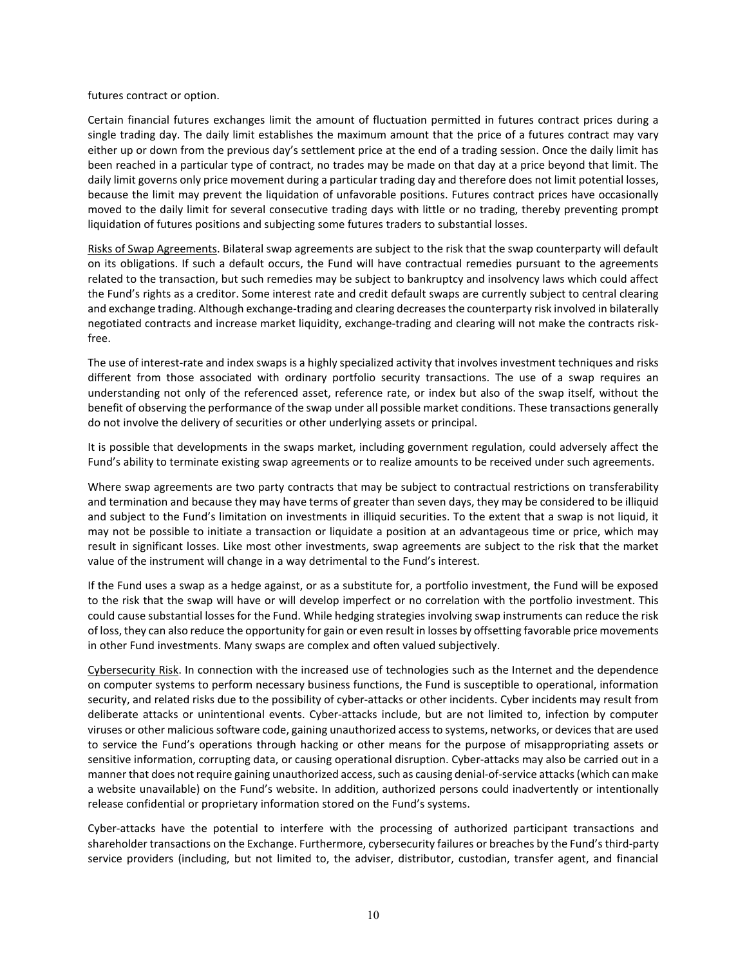futures contract or option.

Certain financial futures exchanges limit the amount of fluctuation permitted in futures contract prices during a single trading day. The daily limit establishes the maximum amount that the price of a futures contract may vary either up or down from the previous day's settlement price at the end of a trading session. Once the daily limit has been reached in a particular type of contract, no trades may be made on that day at a price beyond that limit. The daily limit governs only price movement during a particular trading day and therefore does not limit potential losses, because the limit may prevent the liquidation of unfavorable positions. Futures contract prices have occasionally moved to the daily limit for several consecutive trading days with little or no trading, thereby preventing prompt liquidation of futures positions and subjecting some futures traders to substantial losses.

Risks of Swap Agreements. Bilateral swap agreements are subject to the risk that the swap counterparty will default on its obligations. If such a default occurs, the Fund will have contractual remedies pursuant to the agreements related to the transaction, but such remedies may be subject to bankruptcy and insolvency laws which could affect the Fund's rights as a creditor. Some interest rate and credit default swaps are currently subject to central clearing and exchange trading. Although exchange-trading and clearing decreases the counterparty risk involved in bilaterally negotiated contracts and increase market liquidity, exchange-trading and clearing will not make the contracts riskfree.

The use of interest-rate and index swaps is a highly specialized activity that involves investment techniques and risks different from those associated with ordinary portfolio security transactions. The use of a swap requires an understanding not only of the referenced asset, reference rate, or index but also of the swap itself, without the benefit of observing the performance of the swap under all possible market conditions. These transactions generally do not involve the delivery of securities or other underlying assets or principal.

It is possible that developments in the swaps market, including government regulation, could adversely affect the Fund's ability to terminate existing swap agreements or to realize amounts to be received under such agreements.

Where swap agreements are two party contracts that may be subject to contractual restrictions on transferability and termination and because they may have terms of greater than seven days, they may be considered to be illiquid and subject to the Fund's limitation on investments in illiquid securities. To the extent that a swap is not liquid, it may not be possible to initiate a transaction or liquidate a position at an advantageous time or price, which may result in significant losses. Like most other investments, swap agreements are subject to the risk that the market value of the instrument will change in a way detrimental to the Fund's interest.

If the Fund uses a swap as a hedge against, or as a substitute for, a portfolio investment, the Fund will be exposed to the risk that the swap will have or will develop imperfect or no correlation with the portfolio investment. This could cause substantial losses for the Fund. While hedging strategies involving swap instruments can reduce the risk of loss, they can also reduce the opportunity for gain or even result in losses by offsetting favorable price movements in other Fund investments. Many swaps are complex and often valued subjectively.

Cybersecurity Risk. In connection with the increased use of technologies such as the Internet and the dependence on computer systems to perform necessary business functions, the Fund is susceptible to operational, information security, and related risks due to the possibility of cyber-attacks or other incidents. Cyber incidents may result from deliberate attacks or unintentional events. Cyber-attacks include, but are not limited to, infection by computer viruses or other malicious software code, gaining unauthorized access to systems, networks, or devices that are used to service the Fund's operations through hacking or other means for the purpose of misappropriating assets or sensitive information, corrupting data, or causing operational disruption. Cyber-attacks may also be carried out in a manner that does not require gaining unauthorized access, such as causing denial-of-service attacks (which can make a website unavailable) on the Fund's website. In addition, authorized persons could inadvertently or intentionally release confidential or proprietary information stored on the Fund's systems.

Cyber-attacks have the potential to interfere with the processing of authorized participant transactions and shareholder transactions on the Exchange. Furthermore, cybersecurity failures or breaches by the Fund's third-party service providers (including, but not limited to, the adviser, distributor, custodian, transfer agent, and financial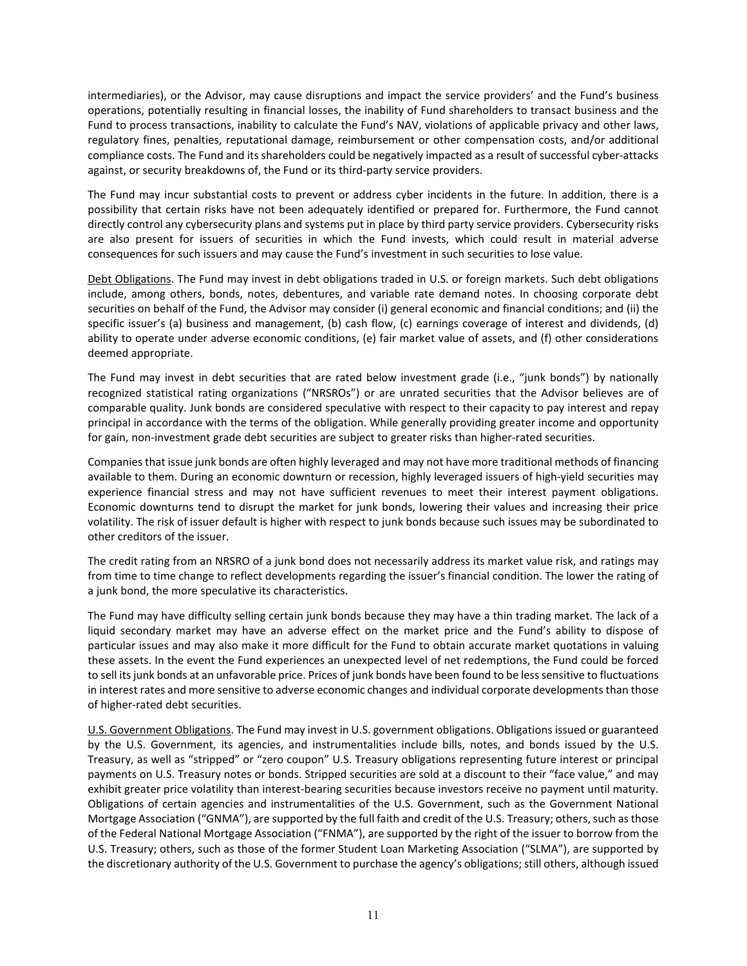intermediaries), or the Advisor, may cause disruptions and impact the service providers' and the Fund's business operations, potentially resulting in financial losses, the inability of Fund shareholders to transact business and the Fund to process transactions, inability to calculate the Fund's NAV, violations of applicable privacy and other laws, regulatory fines, penalties, reputational damage, reimbursement or other compensation costs, and/or additional compliance costs. The Fund and its shareholders could be negatively impacted as a result of successful cyber-attacks against, or security breakdowns of, the Fund or its third-party service providers.

The Fund may incur substantial costs to prevent or address cyber incidents in the future. In addition, there is a possibility that certain risks have not been adequately identified or prepared for. Furthermore, the Fund cannot directly control any cybersecurity plans and systems put in place by third party service providers. Cybersecurity risks are also present for issuers of securities in which the Fund invests, which could result in material adverse consequences for such issuers and may cause the Fund's investment in such securities to lose value.

Debt Obligations. The Fund may invest in debt obligations traded in U.S. or foreign markets. Such debt obligations include, among others, bonds, notes, debentures, and variable rate demand notes. In choosing corporate debt securities on behalf of the Fund, the Advisor may consider (i) general economic and financial conditions; and (ii) the specific issuer's (a) business and management, (b) cash flow, (c) earnings coverage of interest and dividends, (d) ability to operate under adverse economic conditions, (e) fair market value of assets, and (f) other considerations deemed appropriate.

The Fund may invest in debt securities that are rated below investment grade (i.e., "junk bonds") by nationally recognized statistical rating organizations ("NRSROs") or are unrated securities that the Advisor believes are of comparable quality. Junk bonds are considered speculative with respect to their capacity to pay interest and repay principal in accordance with the terms of the obligation. While generally providing greater income and opportunity for gain, non-investment grade debt securities are subject to greater risks than higher-rated securities.

Companies that issue junk bonds are often highly leveraged and may not have more traditional methods of financing available to them. During an economic downturn or recession, highly leveraged issuers of high-yield securities may experience financial stress and may not have sufficient revenues to meet their interest payment obligations. Economic downturns tend to disrupt the market for junk bonds, lowering their values and increasing their price volatility. The risk of issuer default is higher with respect to junk bonds because such issues may be subordinated to other creditors of the issuer.

The credit rating from an NRSRO of a junk bond does not necessarily address its market value risk, and ratings may from time to time change to reflect developments regarding the issuer's financial condition. The lower the rating of a junk bond, the more speculative its characteristics.

The Fund may have difficulty selling certain junk bonds because they may have a thin trading market. The lack of a liquid secondary market may have an adverse effect on the market price and the Fund's ability to dispose of particular issues and may also make it more difficult for the Fund to obtain accurate market quotations in valuing these assets. In the event the Fund experiences an unexpected level of net redemptions, the Fund could be forced to sell its junk bonds at an unfavorable price. Prices of junk bonds have been found to be less sensitive to fluctuations in interest rates and more sensitive to adverse economic changes and individual corporate developments than those of higher-rated debt securities.

U.S. Government Obligations. The Fund may invest in U.S. government obligations. Obligations issued or guaranteed by the U.S. Government, its agencies, and instrumentalities include bills, notes, and bonds issued by the U.S. Treasury, as well as "stripped" or "zero coupon" U.S. Treasury obligations representing future interest or principal payments on U.S. Treasury notes or bonds. Stripped securities are sold at a discount to their "face value," and may exhibit greater price volatility than interest-bearing securities because investors receive no payment until maturity. Obligations of certain agencies and instrumentalities of the U.S. Government, such as the Government National Mortgage Association ("GNMA"), are supported by the full faith and credit of the U.S. Treasury; others, such as those of the Federal National Mortgage Association ("FNMA"), are supported by the right of the issuer to borrow from the U.S. Treasury; others, such as those of the former Student Loan Marketing Association ("SLMA"), are supported by the discretionary authority of the U.S. Government to purchase the agency's obligations; still others, although issued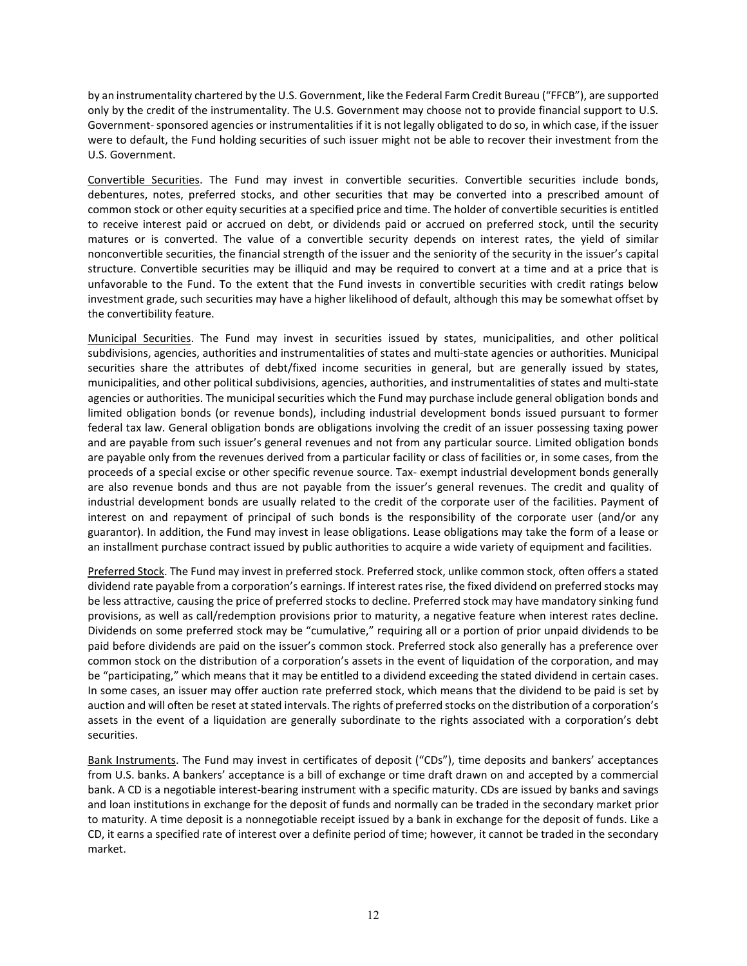by an instrumentality chartered by the U.S. Government, like the Federal Farm Credit Bureau ("FFCB"), are supported only by the credit of the instrumentality. The U.S. Government may choose not to provide financial support to U.S. Government-sponsored agencies or instrumentalities if it is not legally obligated to do so, in which case, if the issuer were to default, the Fund holding securities of such issuer might not be able to recover their investment from the U.S. Government.

Convertible Securities. The Fund may invest in convertible securities. Convertible securities include bonds, debentures, notes, preferred stocks, and other securities that may be converted into a prescribed amount of common stock or other equity securities at a specified price and time. The holder of convertible securities is entitled to receive interest paid or accrued on debt, or dividends paid or accrued on preferred stock, until the security matures or is converted. The value of a convertible security depends on interest rates, the yield of similar nonconvertible securities, the financial strength of the issuer and the seniority of the security in the issuer's capital structure. Convertible securities may be illiquid and may be required to convert at a time and at a price that is unfavorable to the Fund. To the extent that the Fund invests in convertible securities with credit ratings below investment grade, such securities may have a higher likelihood of default, although this may be somewhat offset by the convertibility feature.

Municipal Securities. The Fund may invest in securities issued by states, municipalities, and other political subdivisions, agencies, authorities and instrumentalities of states and multi-state agencies or authorities. Municipal securities share the attributes of debt/fixed income securities in general, but are generally issued by states, municipalities, and other political subdivisions, agencies, authorities, and instrumentalities of states and multi-state agencies or authorities. The municipal securities which the Fund may purchase include general obligation bonds and limited obligation bonds (or revenue bonds), including industrial development bonds issued pursuant to former federal tax law. General obligation bonds are obligations involving the credit of an issuer possessing taxing power and are payable from such issuer's general revenues and not from any particular source. Limited obligation bonds are payable only from the revenues derived from a particular facility or class of facilities or, in some cases, from the proceeds of a special excise or other specific revenue source. Tax- exempt industrial development bonds generally are also revenue bonds and thus are not payable from the issuer's general revenues. The credit and quality of industrial development bonds are usually related to the credit of the corporate user of the facilities. Payment of interest on and repayment of principal of such bonds is the responsibility of the corporate user (and/or any guarantor). In addition, the Fund may invest in lease obligations. Lease obligations may take the form of a lease or an installment purchase contract issued by public authorities to acquire a wide variety of equipment and facilities.

Preferred Stock. The Fund may invest in preferred stock. Preferred stock, unlike common stock, often offers a stated dividend rate payable from a corporation's earnings. If interest rates rise, the fixed dividend on preferred stocks may be less attractive, causing the price of preferred stocks to decline. Preferred stock may have mandatory sinking fund provisions, as well as call/redemption provisions prior to maturity, a negative feature when interest rates decline. Dividends on some preferred stock may be "cumulative," requiring all or a portion of prior unpaid dividends to be paid before dividends are paid on the issuer's common stock. Preferred stock also generally has a preference over common stock on the distribution of a corporation's assets in the event of liquidation of the corporation, and may be "participating," which means that it may be entitled to a dividend exceeding the stated dividend in certain cases. In some cases, an issuer may offer auction rate preferred stock, which means that the dividend to be paid is set by auction and will often be reset at stated intervals. The rights of preferred stocks on the distribution of a corporation's assets in the event of a liquidation are generally subordinate to the rights associated with a corporation's debt securities.

Bank Instruments. The Fund may invest in certificates of deposit ("CDs"), time deposits and bankers' acceptances from U.S. banks. A bankers' acceptance is a bill of exchange or time draft drawn on and accepted by a commercial bank. A CD is a negotiable interest-bearing instrument with a specific maturity. CDs are issued by banks and savings and loan institutions in exchange for the deposit of funds and normally can be traded in the secondary market prior to maturity. A time deposit is a nonnegotiable receipt issued by a bank in exchange for the deposit of funds. Like a CD, it earns a specified rate of interest over a definite period of time; however, it cannot be traded in the secondary market.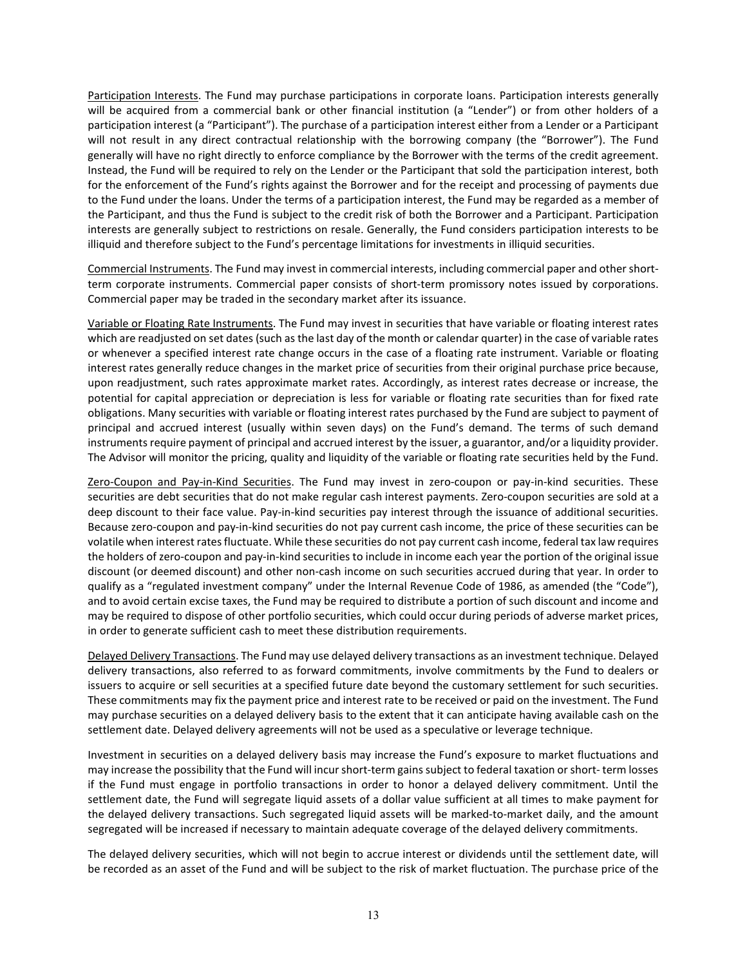Participation Interests. The Fund may purchase participations in corporate loans. Participation interests generally will be acquired from a commercial bank or other financial institution (a "Lender") or from other holders of a participation interest (a "Participant"). The purchase of a participation interest either from a Lender or a Participant will not result in any direct contractual relationship with the borrowing company (the "Borrower"). The Fund generally will have no right directly to enforce compliance by the Borrower with the terms of the credit agreement. Instead, the Fund will be required to rely on the Lender or the Participant that sold the participation interest, both for the enforcement of the Fund's rights against the Borrower and for the receipt and processing of payments due to the Fund under the loans. Under the terms of a participation interest, the Fund may be regarded as a member of the Participant, and thus the Fund is subject to the credit risk of both the Borrower and a Participant. Participation interests are generally subject to restrictions on resale. Generally, the Fund considers participation interests to be illiquid and therefore subject to the Fund's percentage limitations for investments in illiquid securities.

Commercial Instruments. The Fund may invest in commercial interests, including commercial paper and other shortterm corporate instruments. Commercial paper consists of short-term promissory notes issued by corporations. Commercial paper may be traded in the secondary market after its issuance.

Variable or Floating Rate Instruments. The Fund may invest in securities that have variable or floating interest rates which are readjusted on set dates (such as the last day of the month or calendar quarter) in the case of variable rates or whenever a specified interest rate change occurs in the case of a floating rate instrument. Variable or floating interest rates generally reduce changes in the market price of securities from their original purchase price because, upon readjustment, such rates approximate market rates. Accordingly, as interest rates decrease or increase, the potential for capital appreciation or depreciation is less for variable or floating rate securities than for fixed rate obligations. Many securities with variable or floating interest rates purchased by the Fund are subject to payment of principal and accrued interest (usually within seven days) on the Fund's demand. The terms of such demand instruments require payment of principal and accrued interest by the issuer, a guarantor, and/or a liquidity provider. The Advisor will monitor the pricing, quality and liquidity of the variable or floating rate securities held by the Fund.

Zero-Coupon and Pay-in-Kind Securities. The Fund may invest in zero-coupon or pay-in-kind securities. These securities are debt securities that do not make regular cash interest payments. Zero-coupon securities are sold at a deep discount to their face value. Pay-in-kind securities pay interest through the issuance of additional securities. Because zero-coupon and pay-in-kind securities do not pay current cash income, the price of these securities can be volatile when interest rates fluctuate. While these securities do not pay current cash income, federal tax law requires the holders of zero-coupon and pay-in-kind securities to include in income each year the portion of the original issue discount (or deemed discount) and other non-cash income on such securities accrued during that year. In order to qualify as a "regulated investment company" under the Internal Revenue Code of 1986, as amended (the "Code"), and to avoid certain excise taxes, the Fund may be required to distribute a portion of such discount and income and may be required to dispose of other portfolio securities, which could occur during periods of adverse market prices, in order to generate sufficient cash to meet these distribution requirements.

Delayed Delivery Transactions. The Fund may use delayed delivery transactions as an investment technique. Delayed delivery transactions, also referred to as forward commitments, involve commitments by the Fund to dealers or issuers to acquire or sell securities at a specified future date beyond the customary settlement for such securities. These commitments may fix the payment price and interest rate to be received or paid on the investment. The Fund may purchase securities on a delayed delivery basis to the extent that it can anticipate having available cash on the settlement date. Delayed delivery agreements will not be used as a speculative or leverage technique.

Investment in securities on a delayed delivery basis may increase the Fund's exposure to market fluctuations and may increase the possibility that the Fund will incur short-term gains subject to federal taxation or short- term losses if the Fund must engage in portfolio transactions in order to honor a delayed delivery commitment. Until the settlement date, the Fund will segregate liquid assets of a dollar value sufficient at all times to make payment for the delayed delivery transactions. Such segregated liquid assets will be marked-to-market daily, and the amount segregated will be increased if necessary to maintain adequate coverage of the delayed delivery commitments.

The delayed delivery securities, which will not begin to accrue interest or dividends until the settlement date, will be recorded as an asset of the Fund and will be subject to the risk of market fluctuation. The purchase price of the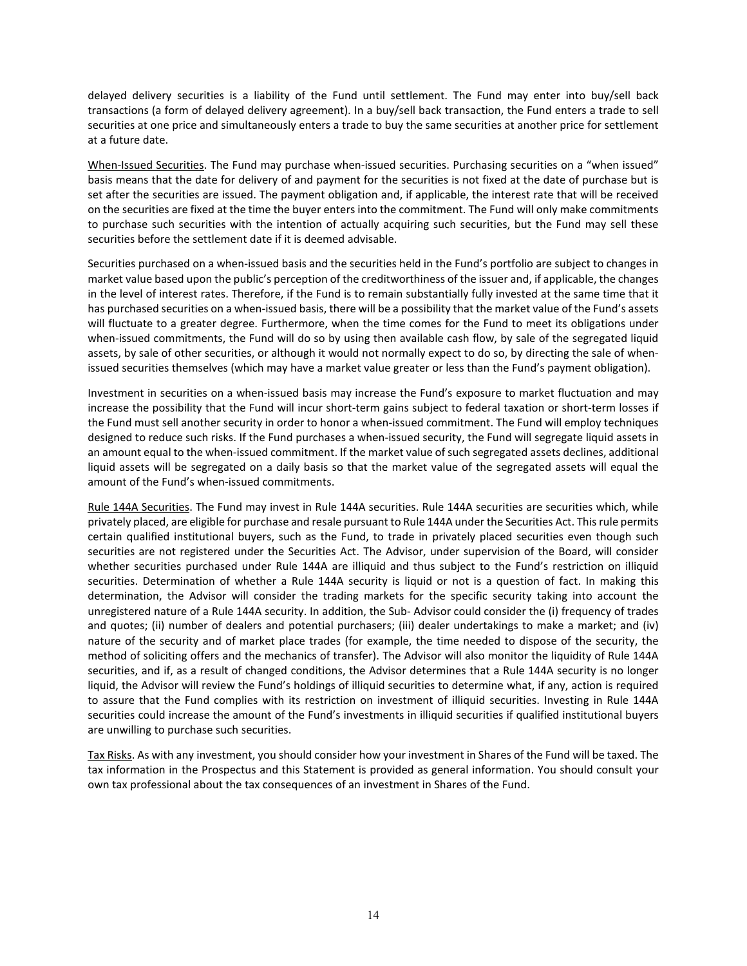delayed delivery securities is a liability of the Fund until settlement. The Fund may enter into buy/sell back transactions (a form of delayed delivery agreement). In a buy/sell back transaction, the Fund enters a trade to sell securities at one price and simultaneously enters a trade to buy the same securities at another price for settlement at a future date.

When-Issued Securities. The Fund may purchase when-issued securities. Purchasing securities on a "when issued" basis means that the date for delivery of and payment for the securities is not fixed at the date of purchase but is set after the securities are issued. The payment obligation and, if applicable, the interest rate that will be received on the securities are fixed at the time the buyer enters into the commitment. The Fund will only make commitments to purchase such securities with the intention of actually acquiring such securities, but the Fund may sell these securities before the settlement date if it is deemed advisable.

Securities purchased on a when-issued basis and the securities held in the Fund's portfolio are subject to changes in market value based upon the public's perception of the creditworthiness of the issuer and, if applicable, the changes in the level of interest rates. Therefore, if the Fund is to remain substantially fully invested at the same time that it has purchased securities on a when-issued basis, there will be a possibility that the market value of the Fund's assets will fluctuate to a greater degree. Furthermore, when the time comes for the Fund to meet its obligations under when-issued commitments, the Fund will do so by using then available cash flow, by sale of the segregated liquid assets, by sale of other securities, or although it would not normally expect to do so, by directing the sale of whenissued securities themselves (which may have a market value greater or less than the Fund's payment obligation).

Investment in securities on a when-issued basis may increase the Fund's exposure to market fluctuation and may increase the possibility that the Fund will incur short-term gains subject to federal taxation or short-term losses if the Fund must sell another security in order to honor a when-issued commitment. The Fund will employ techniques designed to reduce such risks. If the Fund purchases a when-issued security, the Fund will segregate liquid assets in an amount equal to the when-issued commitment. If the market value of such segregated assets declines, additional liquid assets will be segregated on a daily basis so that the market value of the segregated assets will equal the amount of the Fund's when-issued commitments.

Rule 144A Securities. The Fund may invest in Rule 144A securities. Rule 144A securities are securities which, while privately placed, are eligible for purchase and resale pursuant to Rule 144A under the Securities Act. This rule permits certain qualified institutional buyers, such as the Fund, to trade in privately placed securities even though such securities are not registered under the Securities Act. The Advisor, under supervision of the Board, will consider whether securities purchased under Rule 144A are illiquid and thus subject to the Fund's restriction on illiquid securities. Determination of whether a Rule 144A security is liquid or not is a question of fact. In making this determination, the Advisor will consider the trading markets for the specific security taking into account the unregistered nature of a Rule 144A security. In addition, the Sub- Advisor could consider the (i) frequency of trades and quotes; (ii) number of dealers and potential purchasers; (iii) dealer undertakings to make a market; and (iv) nature of the security and of market place trades (for example, the time needed to dispose of the security, the method of soliciting offers and the mechanics of transfer). The Advisor will also monitor the liquidity of Rule 144A securities, and if, as a result of changed conditions, the Advisor determines that a Rule 144A security is no longer liquid, the Advisor will review the Fund's holdings of illiquid securities to determine what, if any, action is required to assure that the Fund complies with its restriction on investment of illiquid securities. Investing in Rule 144A securities could increase the amount of the Fund's investments in illiquid securities if qualified institutional buyers are unwilling to purchase such securities.

Tax Risks. As with any investment, you should consider how your investment in Shares of the Fund will be taxed. The tax information in the Prospectus and this Statement is provided as general information. You should consult your own tax professional about the tax consequences of an investment in Shares of the Fund.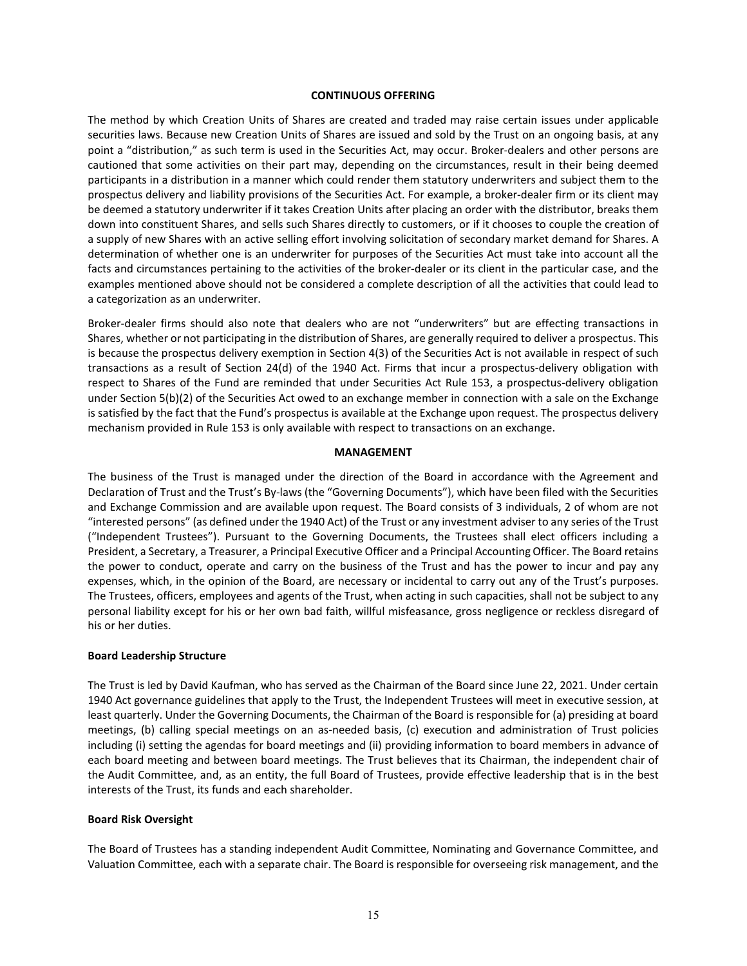#### **CONTINUOUS OFFERING**

The method by which Creation Units of Shares are created and traded may raise certain issues under applicable securities laws. Because new Creation Units of Shares are issued and sold by the Trust on an ongoing basis, at any point a "distribution," as such term is used in the Securities Act, may occur. Broker-dealers and other persons are cautioned that some activities on their part may, depending on the circumstances, result in their being deemed participants in a distribution in a manner which could render them statutory underwriters and subject them to the prospectus delivery and liability provisions of the Securities Act. For example, a broker-dealer firm or its client may be deemed a statutory underwriter if it takes Creation Units after placing an order with the distributor, breaks them down into constituent Shares, and sells such Shares directly to customers, or if it chooses to couple the creation of a supply of new Shares with an active selling effort involving solicitation of secondary market demand for Shares. A determination of whether one is an underwriter for purposes of the Securities Act must take into account all the facts and circumstances pertaining to the activities of the broker-dealer or its client in the particular case, and the examples mentioned above should not be considered a complete description of all the activities that could lead to a categorization as an underwriter.

Broker-dealer firms should also note that dealers who are not "underwriters" but are effecting transactions in Shares, whether or not participating in the distribution of Shares, are generally required to deliver a prospectus. This is because the prospectus delivery exemption in Section 4(3) of the Securities Act is not available in respect of such transactions as a result of Section 24(d) of the 1940 Act. Firms that incur a prospectus-delivery obligation with respect to Shares of the Fund are reminded that under Securities Act Rule 153, a prospectus-delivery obligation under Section 5(b)(2) of the Securities Act owed to an exchange member in connection with a sale on the Exchange is satisfied by the fact that the Fund's prospectus is available at the Exchange upon request. The prospectus delivery mechanism provided in Rule 153 is only available with respect to transactions on an exchange.

#### **MANAGEMENT**

The business of the Trust is managed under the direction of the Board in accordance with the Agreement and Declaration of Trust and the Trust's By-laws (the "Governing Documents"), which have been filed with the Securities and Exchange Commission and are available upon request. The Board consists of 3 individuals, 2 of whom are not "interested persons" (as defined under the 1940 Act) of the Trust or any investment adviser to any series of the Trust ("Independent Trustees"). Pursuant to the Governing Documents, the Trustees shall elect officers including a President, a Secretary, a Treasurer, a Principal Executive Officer and a Principal Accounting Officer. The Board retains the power to conduct, operate and carry on the business of the Trust and has the power to incur and pay any expenses, which, in the opinion of the Board, are necessary or incidental to carry out any of the Trust's purposes. The Trustees, officers, employees and agents of the Trust, when acting in such capacities, shall not be subject to any personal liability except for his or her own bad faith, willful misfeasance, gross negligence or reckless disregard of his or her duties.

#### **Board Leadership Structure**

The Trust is led by David Kaufman, who has served as the Chairman of the Board since June 22, 2021. Under certain 1940 Act governance guidelines that apply to the Trust, the Independent Trustees will meet in executive session, at least quarterly. Under the Governing Documents, the Chairman of the Board is responsible for (a) presiding at board meetings, (b) calling special meetings on an as-needed basis, (c) execution and administration of Trust policies including (i) setting the agendas for board meetings and (ii) providing information to board members in advance of each board meeting and between board meetings. The Trust believes that its Chairman, the independent chair of the Audit Committee, and, as an entity, the full Board of Trustees, provide effective leadership that is in the best interests of the Trust, its funds and each shareholder.

#### **Board Risk Oversight**

The Board of Trustees has a standing independent Audit Committee, Nominating and Governance Committee, and Valuation Committee, each with a separate chair. The Board is responsible for overseeing risk management, and the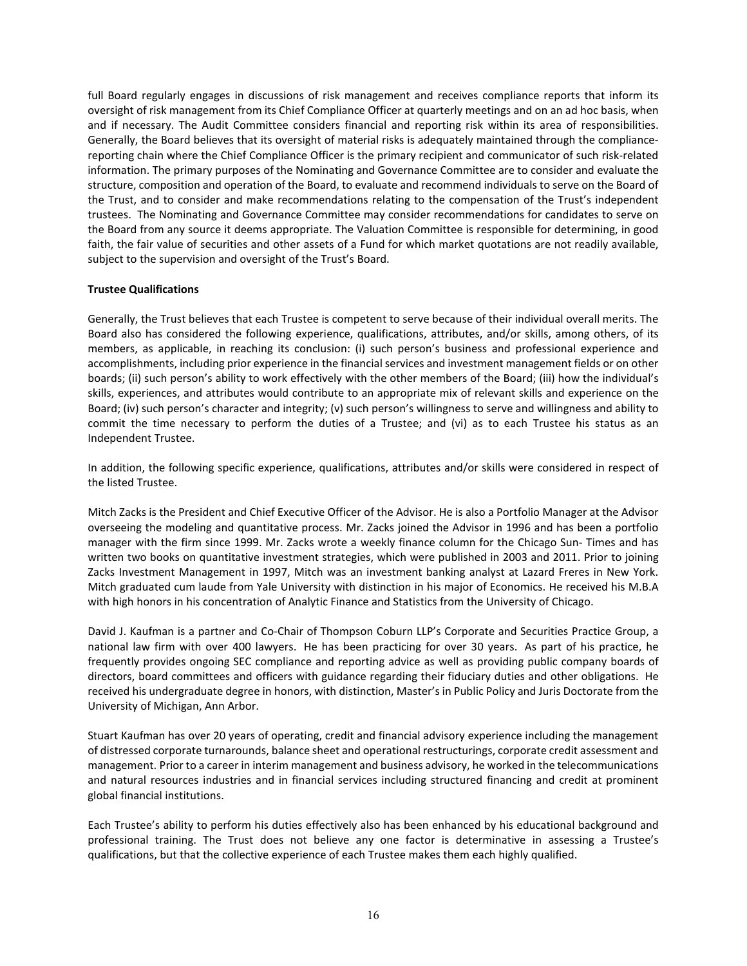full Board regularly engages in discussions of risk management and receives compliance reports that inform its oversight of risk management from its Chief Compliance Officer at quarterly meetings and on an ad hoc basis, when and if necessary. The Audit Committee considers financial and reporting risk within its area of responsibilities. Generally, the Board believes that its oversight of material risks is adequately maintained through the compliancereporting chain where the Chief Compliance Officer is the primary recipient and communicator of such risk-related information. The primary purposes of the Nominating and Governance Committee are to consider and evaluate the structure, composition and operation of the Board, to evaluate and recommend individuals to serve on the Board of the Trust, and to consider and make recommendations relating to the compensation of the Trust's independent trustees. The Nominating and Governance Committee may consider recommendations for candidates to serve on the Board from any source it deems appropriate. The Valuation Committee is responsible for determining, in good faith, the fair value of securities and other assets of a Fund for which market quotations are not readily available, subject to the supervision and oversight of the Trust's Board.

#### **Trustee Qualifications**

Generally, the Trust believes that each Trustee is competent to serve because of their individual overall merits. The Board also has considered the following experience, qualifications, attributes, and/or skills, among others, of its members, as applicable, in reaching its conclusion: (i) such person's business and professional experience and accomplishments, including prior experience in the financial services and investment management fields or on other boards; (ii) such person's ability to work effectively with the other members of the Board; (iii) how the individual's skills, experiences, and attributes would contribute to an appropriate mix of relevant skills and experience on the Board; (iv) such person's character and integrity; (v) such person's willingness to serve and willingness and ability to commit the time necessary to perform the duties of a Trustee; and (vi) as to each Trustee his status as an Independent Trustee.

In addition, the following specific experience, qualifications, attributes and/or skills were considered in respect of the listed Trustee.

Mitch Zacks is the President and Chief Executive Officer of the Advisor. He is also a Portfolio Manager at the Advisor overseeing the modeling and quantitative process. Mr. Zacks joined the Advisor in 1996 and has been a portfolio manager with the firm since 1999. Mr. Zacks wrote a weekly finance column for the Chicago Sun- Times and has written two books on quantitative investment strategies, which were published in 2003 and 2011. Prior to joining Zacks Investment Management in 1997, Mitch was an investment banking analyst at Lazard Freres in New York. Mitch graduated cum laude from Yale University with distinction in his major of Economics. He received his M.B.A with high honors in his concentration of Analytic Finance and Statistics from the University of Chicago.

David J. Kaufman is a partner and Co-Chair of Thompson Coburn LLP's Corporate and Securities Practice Group, a national law firm with over 400 lawyers. He has been practicing for over 30 years. As part of his practice, he frequently provides ongoing SEC compliance and reporting advice as well as providing public company boards of directors, board committees and officers with guidance regarding their fiduciary duties and other obligations. He received his undergraduate degree in honors, with distinction, Master's in Public Policy and Juris Doctorate from the University of Michigan, Ann Arbor.

Stuart Kaufman has over 20 years of operating, credit and financial advisory experience including the management of distressed corporate turnarounds, balance sheet and operational restructurings, corporate credit assessment and management. Prior to a career in interim management and business advisory, he worked in the telecommunications and natural resources industries and in financial services including structured financing and credit at prominent global financial institutions.

Each Trustee's ability to perform his duties effectively also has been enhanced by his educational background and professional training. The Trust does not believe any one factor is determinative in assessing a Trustee's qualifications, but that the collective experience of each Trustee makes them each highly qualified.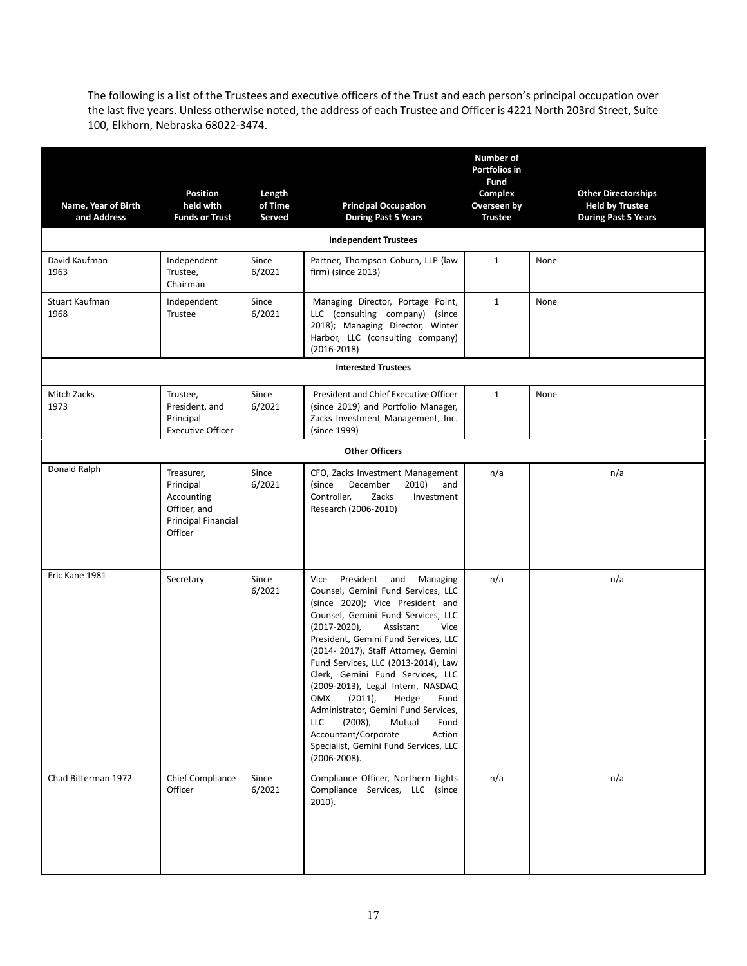The following is a list of the Trustees and executive officers of the Trust and each person's principal occupation over the last five years. Unless otherwise noted, the address of each Trustee and Officer is 4221 North 203rd Street, Suite 100, Elkhorn, Nebraska 68022-3474.

| Name, Year of Birth<br>and Address | <b>Position</b><br>held with<br><b>Funds or Trust</b>                                          | Length<br>of Time<br>Served | <b>Principal Occupation</b><br><b>During Past 5 Years</b>                                                                                                                                                                                                                                                                                                                                                                                                                                                                                                                                                | <b>Number of</b><br><b>Portfolios in</b><br>Fund<br>Complex<br>Overseen by<br><b>Trustee</b> | <b>Other Directorships</b><br><b>Held by Trustee</b><br><b>During Past 5 Years</b> |
|------------------------------------|------------------------------------------------------------------------------------------------|-----------------------------|----------------------------------------------------------------------------------------------------------------------------------------------------------------------------------------------------------------------------------------------------------------------------------------------------------------------------------------------------------------------------------------------------------------------------------------------------------------------------------------------------------------------------------------------------------------------------------------------------------|----------------------------------------------------------------------------------------------|------------------------------------------------------------------------------------|
|                                    |                                                                                                |                             | <b>Independent Trustees</b>                                                                                                                                                                                                                                                                                                                                                                                                                                                                                                                                                                              |                                                                                              |                                                                                    |
| David Kaufman<br>1963              | Independent<br>Trustee,<br>Chairman                                                            | Since<br>6/2021             | Partner, Thompson Coburn, LLP (law<br>firm) (since 2013)                                                                                                                                                                                                                                                                                                                                                                                                                                                                                                                                                 | $\mathbf{1}$                                                                                 | None                                                                               |
| Stuart Kaufman<br>1968             | Independent<br>Trustee                                                                         | Since<br>6/2021             | Managing Director, Portage Point,<br>LLC (consulting company) (since<br>2018); Managing Director, Winter<br>Harbor, LLC (consulting company)<br>$(2016 - 2018)$                                                                                                                                                                                                                                                                                                                                                                                                                                          | $\mathbf{1}$                                                                                 | None                                                                               |
|                                    |                                                                                                |                             | <b>Interested Trustees</b>                                                                                                                                                                                                                                                                                                                                                                                                                                                                                                                                                                               |                                                                                              |                                                                                    |
| Mitch Zacks<br>1973                | Trustee,<br>President, and<br>Principal<br><b>Executive Officer</b>                            | Since<br>6/2021             | President and Chief Executive Officer<br>(since 2019) and Portfolio Manager,<br>Zacks Investment Management, Inc.<br>(since 1999)                                                                                                                                                                                                                                                                                                                                                                                                                                                                        | $\mathbf{1}$                                                                                 | None                                                                               |
|                                    |                                                                                                |                             | <b>Other Officers</b>                                                                                                                                                                                                                                                                                                                                                                                                                                                                                                                                                                                    |                                                                                              |                                                                                    |
| Donald Ralph                       | Treasurer,<br>Principal<br>Accounting<br>Officer, and<br><b>Principal Financial</b><br>Officer | Since<br>6/2021             | CFO, Zacks Investment Management<br>(since<br>December<br>2010)<br>and<br>Controller,<br>Zacks<br>Investment<br>Research (2006-2010)                                                                                                                                                                                                                                                                                                                                                                                                                                                                     | n/a                                                                                          | n/a                                                                                |
| Eric Kane 1981                     | Secretary                                                                                      | Since<br>6/2021             | Vice President and Managing<br>Counsel, Gemini Fund Services, LLC<br>(since 2020); Vice President and<br>Counsel, Gemini Fund Services, LLC<br>$(2017 - 2020)$ ,<br>Assistant<br>Vice<br>President, Gemini Fund Services, LLC<br>(2014-2017), Staff Attorney, Gemini<br>Fund Services, LLC (2013-2014), Law<br>Clerk, Gemini Fund Services, LLC<br>(2009-2013), Legal Intern, NASDAQ<br>$(2011)$ ,<br>OMX<br>Hedge<br>Fund<br>Administrator, Gemini Fund Services,<br>LLC<br>$(2008)$ ,<br>Mutual<br>Fund<br>Accountant/Corporate<br>Action<br>Specialist, Gemini Fund Services, LLC<br>$(2006 - 2008).$ | n/a                                                                                          | n/a                                                                                |
| Chad Bitterman 1972                | Chief Compliance<br>Officer                                                                    | Since<br>6/2021             | Compliance Officer, Northern Lights<br>Compliance Services, LLC (since<br>$2010$ ).                                                                                                                                                                                                                                                                                                                                                                                                                                                                                                                      | n/a                                                                                          | n/a                                                                                |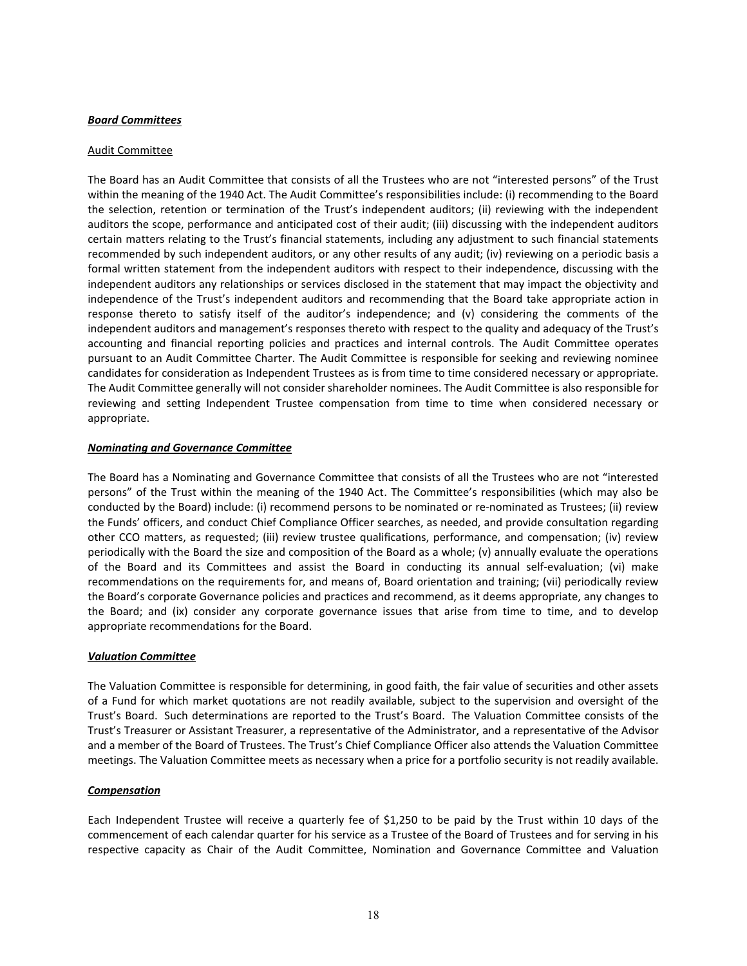#### *Board Committees*

#### Audit Committee

The Board has an Audit Committee that consists of all the Trustees who are not "interested persons" of the Trust within the meaning of the 1940 Act. The Audit Committee's responsibilities include: (i) recommending to the Board the selection, retention or termination of the Trust's independent auditors; (ii) reviewing with the independent auditors the scope, performance and anticipated cost of their audit; (iii) discussing with the independent auditors certain matters relating to the Trust's financial statements, including any adjustment to such financial statements recommended by such independent auditors, or any other results of any audit; (iv) reviewing on a periodic basis a formal written statement from the independent auditors with respect to their independence, discussing with the independent auditors any relationships or services disclosed in the statement that may impact the objectivity and independence of the Trust's independent auditors and recommending that the Board take appropriate action in response thereto to satisfy itself of the auditor's independence; and (v) considering the comments of the independent auditors and management's responses thereto with respect to the quality and adequacy of the Trust's accounting and financial reporting policies and practices and internal controls. The Audit Committee operates pursuant to an Audit Committee Charter. The Audit Committee is responsible for seeking and reviewing nominee candidates for consideration as Independent Trustees as is from time to time considered necessary or appropriate. The Audit Committee generally will not consider shareholder nominees. The Audit Committee is also responsible for reviewing and setting Independent Trustee compensation from time to time when considered necessary or appropriate.

#### *Nominating and Governance Committee*

The Board has a Nominating and Governance Committee that consists of all the Trustees who are not "interested persons" of the Trust within the meaning of the 1940 Act. The Committee's responsibilities (which may also be conducted by the Board) include: (i) recommend persons to be nominated or re-nominated as Trustees; (ii) review the Funds' officers, and conduct Chief Compliance Officer searches, as needed, and provide consultation regarding other CCO matters, as requested; (iii) review trustee qualifications, performance, and compensation; (iv) review periodically with the Board the size and composition of the Board as a whole; (v) annually evaluate the operations of the Board and its Committees and assist the Board in conducting its annual self-evaluation; (vi) make recommendations on the requirements for, and means of, Board orientation and training; (vii) periodically review the Board's corporate Governance policies and practices and recommend, as it deems appropriate, any changes to the Board; and (ix) consider any corporate governance issues that arise from time to time, and to develop appropriate recommendations for the Board.

#### *Valuation Committee*

The Valuation Committee is responsible for determining, in good faith, the fair value of securities and other assets of a Fund for which market quotations are not readily available, subject to the supervision and oversight of the Trust's Board. Such determinations are reported to the Trust's Board. The Valuation Committee consists of the Trust's Treasurer or Assistant Treasurer, a representative of the Administrator, and a representative of the Advisor and a member of the Board of Trustees. The Trust's Chief Compliance Officer also attends the Valuation Committee meetings. The Valuation Committee meets as necessary when a price for a portfolio security is not readily available.

#### *Compensation*

Each Independent Trustee will receive a quarterly fee of \$1,250 to be paid by the Trust within 10 days of the commencement of each calendar quarter for his service as a Trustee of the Board of Trustees and for serving in his respective capacity as Chair of the Audit Committee, Nomination and Governance Committee and Valuation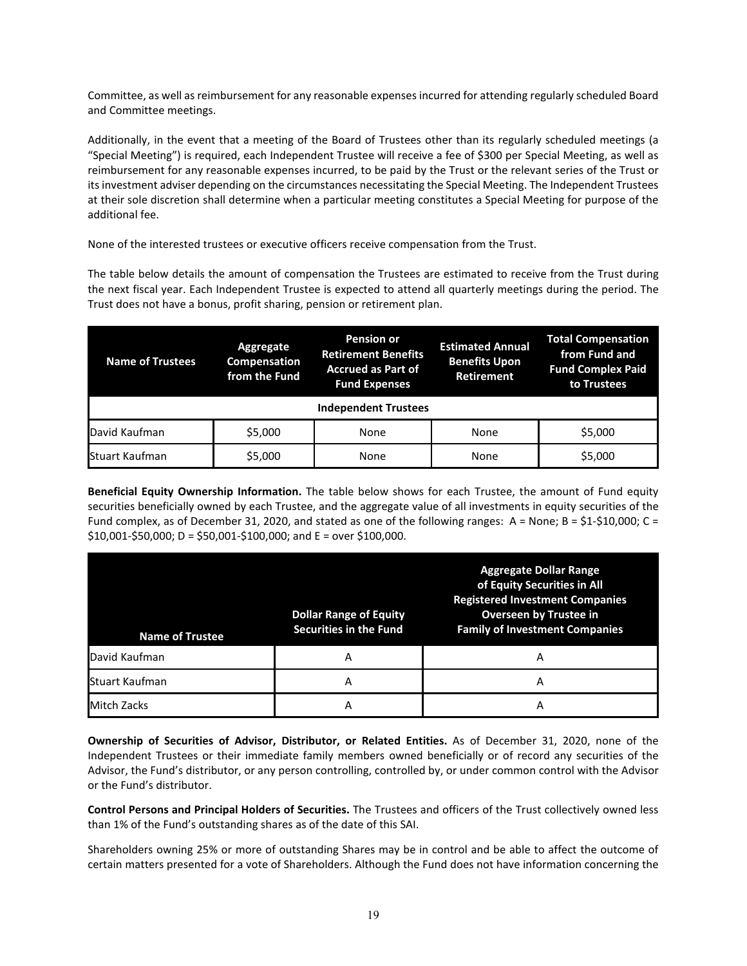Committee, as well as reimbursement for any reasonable expenses incurred for attending regularly scheduled Board and Committee meetings.

Additionally, in the event that a meeting of the Board of Trustees other than its regularly scheduled meetings (a "Special Meeting") is required, each Independent Trustee will receive a fee of \$300 per Special Meeting, as well as reimbursement for any reasonable expenses incurred, to be paid by the Trust or the relevant series of the Trust or its investment adviser depending on the circumstances necessitating the Special Meeting. The Independent Trustees at their sole discretion shall determine when a particular meeting constitutes a Special Meeting for purpose of the additional fee.

None of the interested trustees or executive officers receive compensation from the Trust.

The table below details the amount of compensation the Trustees are estimated to receive from the Trust during the next fiscal year. Each Independent Trustee is expected to attend all quarterly meetings during the period. The Trust does not have a bonus, profit sharing, pension or retirement plan.

| <b>Name of Trustees</b>     | Aggregate<br>Compensation<br>from the Fund | <b>Pension or</b><br><b>Retirement Benefits</b><br><b>Accrued as Part of</b><br><b>Fund Expenses</b> | <b>Estimated Annual</b><br><b>Benefits Upon</b><br>Retirement | <b>Total Compensation</b><br>from Fund and<br><b>Fund Complex Paid</b><br>to Trustees |
|-----------------------------|--------------------------------------------|------------------------------------------------------------------------------------------------------|---------------------------------------------------------------|---------------------------------------------------------------------------------------|
| <b>Independent Trustees</b> |                                            |                                                                                                      |                                                               |                                                                                       |
| David Kaufman               | \$5,000                                    | None                                                                                                 | None                                                          | \$5,000                                                                               |
| Stuart Kaufman              | \$5,000                                    | None                                                                                                 | None                                                          | \$5,000                                                                               |

**Beneficial Equity Ownership Information.** The table below shows for each Trustee, the amount of Fund equity securities beneficially owned by each Trustee, and the aggregate value of all investments in equity securities of the Fund complex, as of December 31, 2020, and stated as one of the following ranges:  $A = None$ ;  $B = $1-$10,000$ ;  $C =$ \$10,001-\$50,000; D = \$50,001-\$100,000; and E = over \$100,000.

| <b>Name of Trustee</b> | <b>Dollar Range of Equity</b><br><b>Securities in the Fund</b> | <b>Aggregate Dollar Range</b><br>of Equity Securities in All<br><b>Registered Investment Companies</b><br><b>Overseen by Trustee in</b><br><b>Family of Investment Companies</b> |
|------------------------|----------------------------------------------------------------|----------------------------------------------------------------------------------------------------------------------------------------------------------------------------------|
| David Kaufman          | А                                                              | А                                                                                                                                                                                |
| Stuart Kaufman         | А                                                              | А                                                                                                                                                                                |
| Mitch Zacks            | Α                                                              |                                                                                                                                                                                  |

**Ownership of Securities of Advisor, Distributor, or Related Entities.** As of December 31, 2020, none of the Independent Trustees or their immediate family members owned beneficially or of record any securities of the Advisor, the Fund's distributor, or any person controlling, controlled by, or under common control with the Advisor or the Fund's distributor.

**Control Persons and Principal Holders of Securities.** The Trustees and officers of the Trust collectively owned less than 1% of the Fund's outstanding shares as of the date of this SAI.

Shareholders owning 25% or more of outstanding Shares may be in control and be able to affect the outcome of certain matters presented for a vote of Shareholders. Although the Fund does not have information concerning the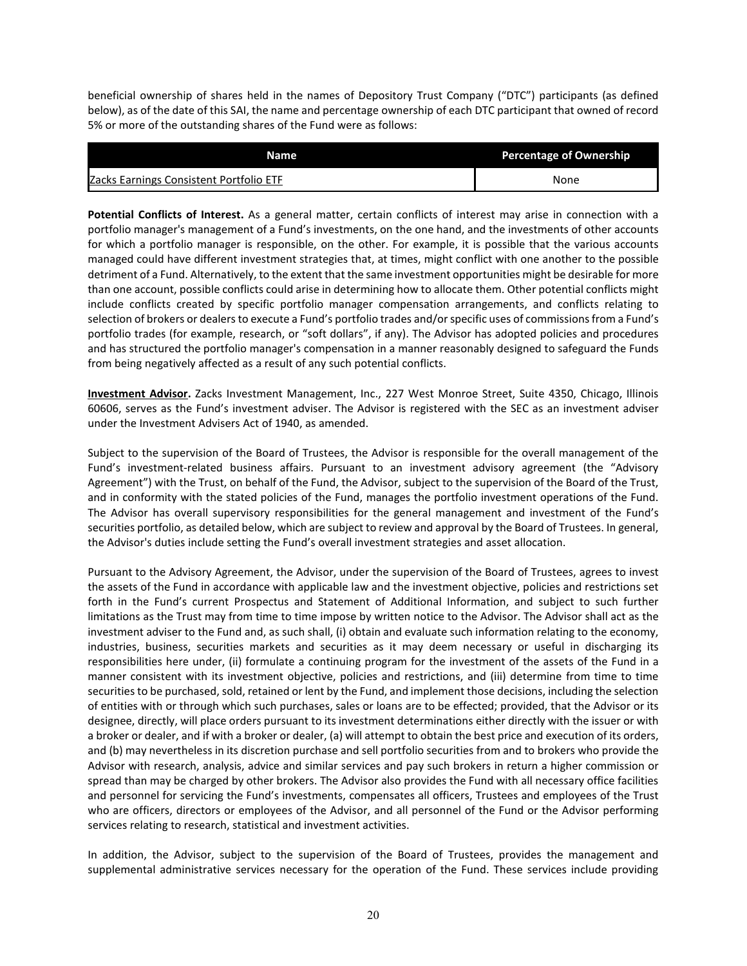beneficial ownership of shares held in the names of Depository Trust Company ("DTC") participants (as defined below), as of the date of this SAI, the name and percentage ownership of each DTC participant that owned of record 5% or more of the outstanding shares of the Fund were as follows:

| Name                                    | Percentage of Ownership |
|-----------------------------------------|-------------------------|
| Zacks Earnings Consistent Portfolio ETF | None                    |

**Potential Conflicts of Interest.** As a general matter, certain conflicts of interest may arise in connection with a portfolio manager's management of a Fund's investments, on the one hand, and the investments of other accounts for which a portfolio manager is responsible, on the other. For example, it is possible that the various accounts managed could have different investment strategies that, at times, might conflict with one another to the possible detriment of a Fund. Alternatively, to the extent that the same investment opportunities might be desirable for more than one account, possible conflicts could arise in determining how to allocate them. Other potential conflicts might include conflicts created by specific portfolio manager compensation arrangements, and conflicts relating to selection of brokers or dealers to execute a Fund's portfolio trades and/or specific uses of commissions from a Fund's portfolio trades (for example, research, or "soft dollars", if any). The Advisor has adopted policies and procedures and has structured the portfolio manager's compensation in a manner reasonably designed to safeguard the Funds from being negatively affected as a result of any such potential conflicts.

**Investment Advisor.** Zacks Investment Management, Inc., 227 West Monroe Street, Suite 4350, Chicago, Illinois 60606, serves as the Fund's investment adviser. The Advisor is registered with the SEC as an investment adviser under the Investment Advisers Act of 1940, as amended.

Subject to the supervision of the Board of Trustees, the Advisor is responsible for the overall management of the Fund's investment-related business affairs. Pursuant to an investment advisory agreement (the "Advisory Agreement") with the Trust, on behalf of the Fund, the Advisor, subject to the supervision of the Board of the Trust, and in conformity with the stated policies of the Fund, manages the portfolio investment operations of the Fund. The Advisor has overall supervisory responsibilities for the general management and investment of the Fund's securities portfolio, as detailed below, which are subject to review and approval by the Board of Trustees. In general, the Advisor's duties include setting the Fund's overall investment strategies and asset allocation.

Pursuant to the Advisory Agreement, the Advisor, under the supervision of the Board of Trustees, agrees to invest the assets of the Fund in accordance with applicable law and the investment objective, policies and restrictions set forth in the Fund's current Prospectus and Statement of Additional Information, and subject to such further limitations as the Trust may from time to time impose by written notice to the Advisor. The Advisor shall act as the investment adviser to the Fund and, as such shall, (i) obtain and evaluate such information relating to the economy, industries, business, securities markets and securities as it may deem necessary or useful in discharging its responsibilities here under, (ii) formulate a continuing program for the investment of the assets of the Fund in a manner consistent with its investment objective, policies and restrictions, and (iii) determine from time to time securities to be purchased, sold, retained or lent by the Fund, and implement those decisions, including the selection of entities with or through which such purchases, sales or loans are to be effected; provided, that the Advisor or its designee, directly, will place orders pursuant to its investment determinations either directly with the issuer or with a broker or dealer, and if with a broker or dealer, (a) will attempt to obtain the best price and execution of its orders, and (b) may nevertheless in its discretion purchase and sell portfolio securities from and to brokers who provide the Advisor with research, analysis, advice and similar services and pay such brokers in return a higher commission or spread than may be charged by other brokers. The Advisor also provides the Fund with all necessary office facilities and personnel for servicing the Fund's investments, compensates all officers, Trustees and employees of the Trust who are officers, directors or employees of the Advisor, and all personnel of the Fund or the Advisor performing services relating to research, statistical and investment activities.

In addition, the Advisor, subject to the supervision of the Board of Trustees, provides the management and supplemental administrative services necessary for the operation of the Fund. These services include providing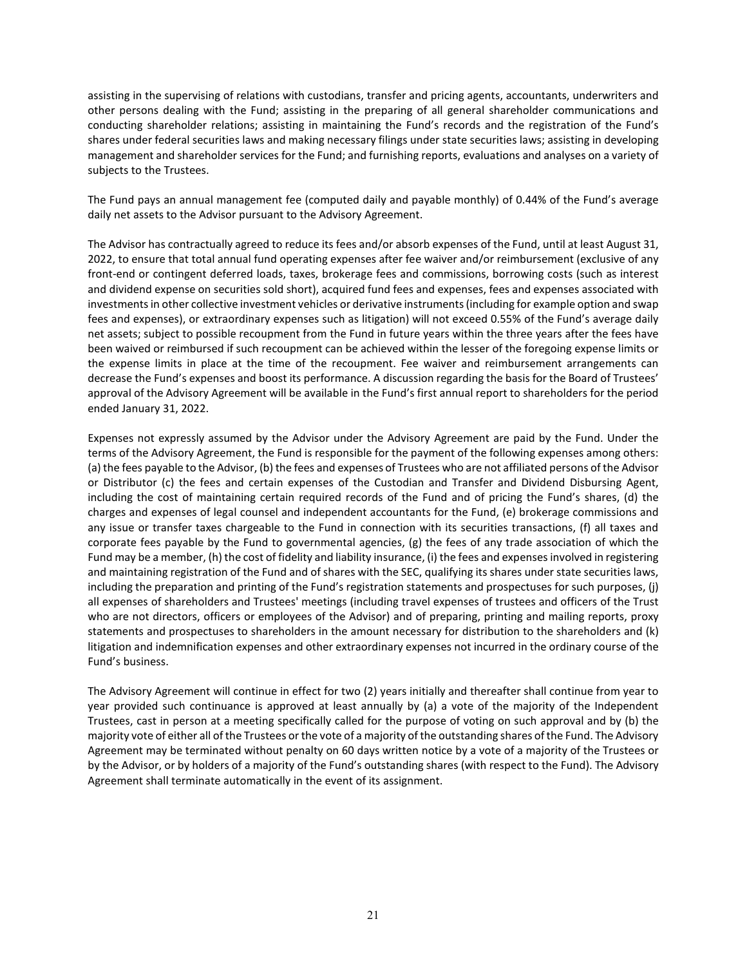assisting in the supervising of relations with custodians, transfer and pricing agents, accountants, underwriters and other persons dealing with the Fund; assisting in the preparing of all general shareholder communications and conducting shareholder relations; assisting in maintaining the Fund's records and the registration of the Fund's shares under federal securities laws and making necessary filings under state securities laws; assisting in developing management and shareholder services for the Fund; and furnishing reports, evaluations and analyses on a variety of subjects to the Trustees.

The Fund pays an annual management fee (computed daily and payable monthly) of 0.44% of the Fund's average daily net assets to the Advisor pursuant to the Advisory Agreement.

The Advisor has contractually agreed to reduce its fees and/or absorb expenses of the Fund, until at least August 31, 2022, to ensure that total annual fund operating expenses after fee waiver and/or reimbursement (exclusive of any front-end or contingent deferred loads, taxes, brokerage fees and commissions, borrowing costs (such as interest and dividend expense on securities sold short), acquired fund fees and expenses, fees and expenses associated with investments in other collective investment vehicles or derivative instruments (including for example option and swap fees and expenses), or extraordinary expenses such as litigation) will not exceed 0.55% of the Fund's average daily net assets; subject to possible recoupment from the Fund in future years within the three years after the fees have been waived or reimbursed if such recoupment can be achieved within the lesser of the foregoing expense limits or the expense limits in place at the time of the recoupment. Fee waiver and reimbursement arrangements can decrease the Fund's expenses and boost its performance. A discussion regarding the basis for the Board of Trustees' approval of the Advisory Agreement will be available in the Fund's first annual report to shareholders for the period ended January 31, 2022.

Expenses not expressly assumed by the Advisor under the Advisory Agreement are paid by the Fund. Under the terms of the Advisory Agreement, the Fund is responsible for the payment of the following expenses among others: (a) the fees payable to the Advisor, (b) the fees and expenses of Trustees who are not affiliated persons of the Advisor or Distributor (c) the fees and certain expenses of the Custodian and Transfer and Dividend Disbursing Agent, including the cost of maintaining certain required records of the Fund and of pricing the Fund's shares, (d) the charges and expenses of legal counsel and independent accountants for the Fund, (e) brokerage commissions and any issue or transfer taxes chargeable to the Fund in connection with its securities transactions, (f) all taxes and corporate fees payable by the Fund to governmental agencies, (g) the fees of any trade association of which the Fund may be a member, (h) the cost of fidelity and liability insurance, (i) the fees and expenses involved in registering and maintaining registration of the Fund and of shares with the SEC, qualifying its shares under state securities laws, including the preparation and printing of the Fund's registration statements and prospectuses for such purposes, (j) all expenses of shareholders and Trustees' meetings (including travel expenses of trustees and officers of the Trust who are not directors, officers or employees of the Advisor) and of preparing, printing and mailing reports, proxy statements and prospectuses to shareholders in the amount necessary for distribution to the shareholders and (k) litigation and indemnification expenses and other extraordinary expenses not incurred in the ordinary course of the Fund's business.

The Advisory Agreement will continue in effect for two (2) years initially and thereafter shall continue from year to year provided such continuance is approved at least annually by (a) a vote of the majority of the Independent Trustees, cast in person at a meeting specifically called for the purpose of voting on such approval and by (b) the majority vote of either all of the Trustees or the vote of a majority of the outstanding shares of the Fund. The Advisory Agreement may be terminated without penalty on 60 days written notice by a vote of a majority of the Trustees or by the Advisor, or by holders of a majority of the Fund's outstanding shares (with respect to the Fund). The Advisory Agreement shall terminate automatically in the event of its assignment.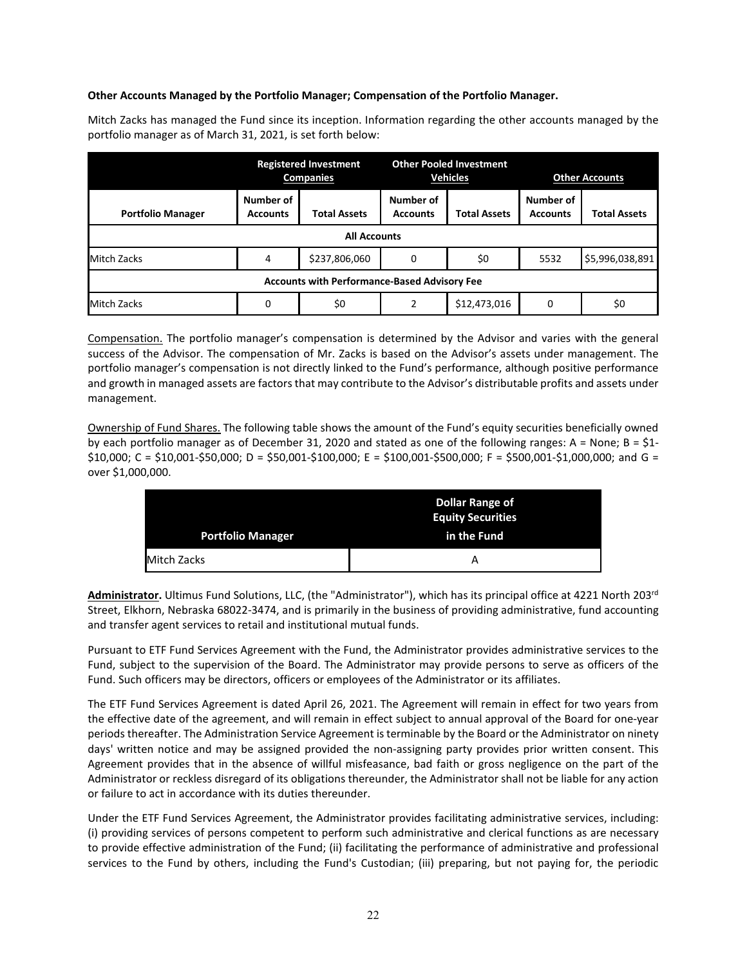#### **Other Accounts Managed by the Portfolio Manager; Compensation of the Portfolio Manager.**

Mitch Zacks has managed the Fund since its inception. Information regarding the other accounts managed by the portfolio manager as of March 31, 2021, is set forth below:

|                                                     | <b>Registered Investment</b><br><b>Companies</b> |                     | <b>Other Pooled Investment</b><br><b>Vehicles</b> |                     | <b>Other Accounts</b>        |                     |
|-----------------------------------------------------|--------------------------------------------------|---------------------|---------------------------------------------------|---------------------|------------------------------|---------------------|
| <b>Portfolio Manager</b>                            | Number of<br><b>Accounts</b>                     | <b>Total Assets</b> | Number of<br><b>Accounts</b>                      | <b>Total Assets</b> | Number of<br><b>Accounts</b> | <b>Total Assets</b> |
| <b>All Accounts</b>                                 |                                                  |                     |                                                   |                     |                              |                     |
| <b>Mitch Zacks</b>                                  | 4                                                | \$237,806,060       | 0                                                 | \$0                 | 5532                         | \$5,996,038,891     |
| <b>Accounts with Performance-Based Advisory Fee</b> |                                                  |                     |                                                   |                     |                              |                     |
| <b>Mitch Zacks</b>                                  | $\Omega$                                         | \$0                 | 2                                                 | \$12,473,016        | 0                            | \$0                 |

Compensation. The portfolio manager's compensation is determined by the Advisor and varies with the general success of the Advisor. The compensation of Mr. Zacks is based on the Advisor's assets under management. The portfolio manager's compensation is not directly linked to the Fund's performance, although positive performance and growth in managed assets are factors that may contribute to the Advisor's distributable profits and assets under management.

Ownership of Fund Shares. The following table shows the amount of the Fund's equity securities beneficially owned by each portfolio manager as of December 31, 2020 and stated as one of the following ranges: A = None; B = \$1- \$10,000; C = \$10,001-\$50,000; D = \$50,001-\$100,000; E = \$100,001-\$500,000; F = \$500,001-\$1,000,000; and G = over \$1,000,000.

|                          | Dollar Range of<br><b>Equity Securities</b> |
|--------------------------|---------------------------------------------|
| <b>Portfolio Manager</b> | in the Fund                                 |
| <b>Mitch Zacks</b>       |                                             |

**Administrator.** Ultimus Fund Solutions, LLC, (the "Administrator"), which has its principal office at 4221 North 203rd Street, Elkhorn, Nebraska 68022-3474, and is primarily in the business of providing administrative, fund accounting and transfer agent services to retail and institutional mutual funds.

Pursuant to ETF Fund Services Agreement with the Fund, the Administrator provides administrative services to the Fund, subject to the supervision of the Board. The Administrator may provide persons to serve as officers of the Fund. Such officers may be directors, officers or employees of the Administrator or its affiliates.

The ETF Fund Services Agreement is dated April 26, 2021. The Agreement will remain in effect for two years from the effective date of the agreement, and will remain in effect subject to annual approval of the Board for one-year periods thereafter. The Administration Service Agreement is terminable by the Board or the Administrator on ninety days' written notice and may be assigned provided the non-assigning party provides prior written consent. This Agreement provides that in the absence of willful misfeasance, bad faith or gross negligence on the part of the Administrator or reckless disregard of its obligations thereunder, the Administrator shall not be liable for any action or failure to act in accordance with its duties thereunder.

Under the ETF Fund Services Agreement, the Administrator provides facilitating administrative services, including: (i) providing services of persons competent to perform such administrative and clerical functions as are necessary to provide effective administration of the Fund; (ii) facilitating the performance of administrative and professional services to the Fund by others, including the Fund's Custodian; (iii) preparing, but not paying for, the periodic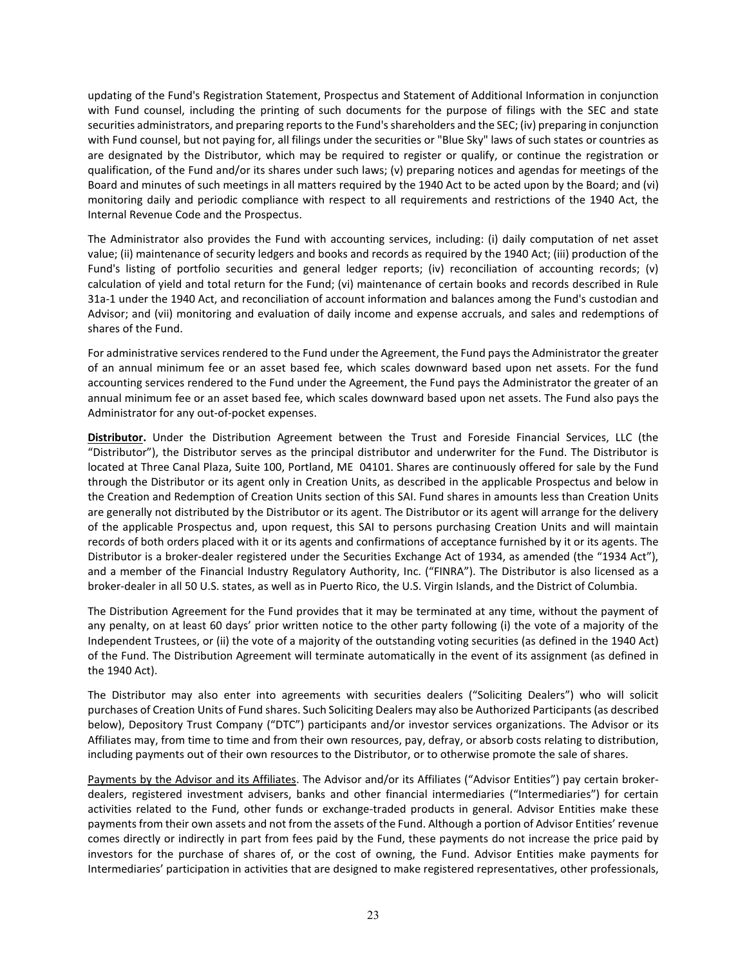updating of the Fund's Registration Statement, Prospectus and Statement of Additional Information in conjunction with Fund counsel, including the printing of such documents for the purpose of filings with the SEC and state securities administrators, and preparing reports to the Fund's shareholders and the SEC; (iv) preparing in conjunction with Fund counsel, but not paying for, all filings under the securities or "Blue Sky" laws of such states or countries as are designated by the Distributor, which may be required to register or qualify, or continue the registration or qualification, of the Fund and/or its shares under such laws; (v) preparing notices and agendas for meetings of the Board and minutes of such meetings in all matters required by the 1940 Act to be acted upon by the Board; and (vi) monitoring daily and periodic compliance with respect to all requirements and restrictions of the 1940 Act, the Internal Revenue Code and the Prospectus.

The Administrator also provides the Fund with accounting services, including: (i) daily computation of net asset value; (ii) maintenance of security ledgers and books and records as required by the 1940 Act; (iii) production of the Fund's listing of portfolio securities and general ledger reports; (iv) reconciliation of accounting records; (v) calculation of yield and total return for the Fund; (vi) maintenance of certain books and records described in Rule 31a-1 under the 1940 Act, and reconciliation of account information and balances among the Fund's custodian and Advisor; and (vii) monitoring and evaluation of daily income and expense accruals, and sales and redemptions of shares of the Fund.

For administrative services rendered to the Fund under the Agreement, the Fund pays the Administrator the greater of an annual minimum fee or an asset based fee, which scales downward based upon net assets. For the fund accounting services rendered to the Fund under the Agreement, the Fund pays the Administrator the greater of an annual minimum fee or an asset based fee, which scales downward based upon net assets. The Fund also pays the Administrator for any out-of-pocket expenses.

**Distributor.** Under the Distribution Agreement between the Trust and Foreside Financial Services, LLC (the "Distributor"), the Distributor serves as the principal distributor and underwriter for the Fund. The Distributor is located at Three Canal Plaza, Suite 100, Portland, ME 04101. Shares are continuously offered for sale by the Fund through the Distributor or its agent only in Creation Units, as described in the applicable Prospectus and below in the Creation and Redemption of Creation Units section of this SAI. Fund shares in amounts less than Creation Units are generally not distributed by the Distributor or its agent. The Distributor or its agent will arrange for the delivery of the applicable Prospectus and, upon request, this SAI to persons purchasing Creation Units and will maintain records of both orders placed with it or its agents and confirmations of acceptance furnished by it or its agents. The Distributor is a broker-dealer registered under the Securities Exchange Act of 1934, as amended (the "1934 Act"), and a member of the Financial Industry Regulatory Authority, Inc. ("FINRA"). The Distributor is also licensed as a broker-dealer in all 50 U.S. states, as well as in Puerto Rico, the U.S. Virgin Islands, and the District of Columbia.

The Distribution Agreement for the Fund provides that it may be terminated at any time, without the payment of any penalty, on at least 60 days' prior written notice to the other party following (i) the vote of a majority of the Independent Trustees, or (ii) the vote of a majority of the outstanding voting securities (as defined in the 1940 Act) of the Fund. The Distribution Agreement will terminate automatically in the event of its assignment (as defined in the 1940 Act).

The Distributor may also enter into agreements with securities dealers ("Soliciting Dealers") who will solicit purchases of Creation Units of Fund shares. Such Soliciting Dealers may also be Authorized Participants (as described below), Depository Trust Company ("DTC") participants and/or investor services organizations. The Advisor or its Affiliates may, from time to time and from their own resources, pay, defray, or absorb costs relating to distribution, including payments out of their own resources to the Distributor, or to otherwise promote the sale of shares.

Payments by the Advisor and its Affiliates. The Advisor and/or its Affiliates ("Advisor Entities") pay certain brokerdealers, registered investment advisers, banks and other financial intermediaries ("Intermediaries") for certain activities related to the Fund, other funds or exchange-traded products in general. Advisor Entities make these payments from their own assets and not from the assets of the Fund. Although a portion of Advisor Entities' revenue comes directly or indirectly in part from fees paid by the Fund, these payments do not increase the price paid by investors for the purchase of shares of, or the cost of owning, the Fund. Advisor Entities make payments for Intermediaries' participation in activities that are designed to make registered representatives, other professionals,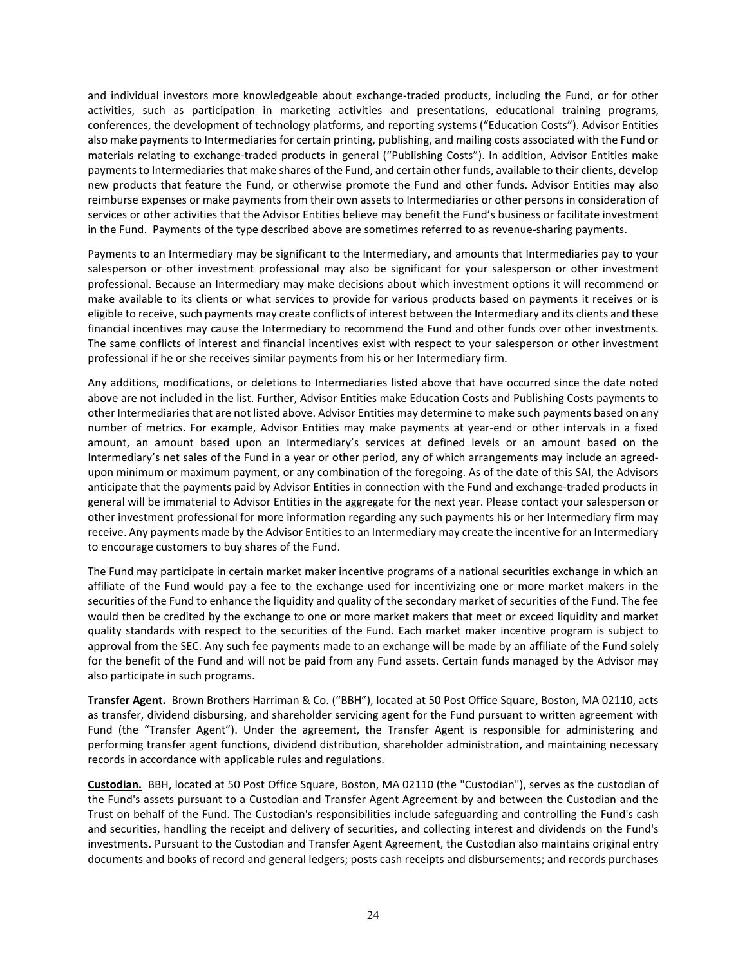and individual investors more knowledgeable about exchange-traded products, including the Fund, or for other activities, such as participation in marketing activities and presentations, educational training programs, conferences, the development of technology platforms, and reporting systems ("Education Costs"). Advisor Entities also make payments to Intermediaries for certain printing, publishing, and mailing costs associated with the Fund or materials relating to exchange-traded products in general ("Publishing Costs"). In addition, Advisor Entities make payments to Intermediaries that make shares of the Fund, and certain other funds, available to their clients, develop new products that feature the Fund, or otherwise promote the Fund and other funds. Advisor Entities may also reimburse expenses or make payments from their own assets to Intermediaries or other persons in consideration of services or other activities that the Advisor Entities believe may benefit the Fund's business or facilitate investment in the Fund. Payments of the type described above are sometimes referred to as revenue-sharing payments.

Payments to an Intermediary may be significant to the Intermediary, and amounts that Intermediaries pay to your salesperson or other investment professional may also be significant for your salesperson or other investment professional. Because an Intermediary may make decisions about which investment options it will recommend or make available to its clients or what services to provide for various products based on payments it receives or is eligible to receive, such payments may create conflicts of interest between the Intermediary and its clients and these financial incentives may cause the Intermediary to recommend the Fund and other funds over other investments. The same conflicts of interest and financial incentives exist with respect to your salesperson or other investment professional if he or she receives similar payments from his or her Intermediary firm.

Any additions, modifications, or deletions to Intermediaries listed above that have occurred since the date noted above are not included in the list. Further, Advisor Entities make Education Costs and Publishing Costs payments to other Intermediaries that are not listed above. Advisor Entities may determine to make such payments based on any number of metrics. For example, Advisor Entities may make payments at year-end or other intervals in a fixed amount, an amount based upon an Intermediary's services at defined levels or an amount based on the Intermediary's net sales of the Fund in a year or other period, any of which arrangements may include an agreedupon minimum or maximum payment, or any combination of the foregoing. As of the date of this SAI, the Advisors anticipate that the payments paid by Advisor Entities in connection with the Fund and exchange-traded products in general will be immaterial to Advisor Entities in the aggregate for the next year. Please contact your salesperson or other investment professional for more information regarding any such payments his or her Intermediary firm may receive. Any payments made by the Advisor Entities to an Intermediary may create the incentive for an Intermediary to encourage customers to buy shares of the Fund.

The Fund may participate in certain market maker incentive programs of a national securities exchange in which an affiliate of the Fund would pay a fee to the exchange used for incentivizing one or more market makers in the securities of the Fund to enhance the liquidity and quality of the secondary market of securities of the Fund. The fee would then be credited by the exchange to one or more market makers that meet or exceed liquidity and market quality standards with respect to the securities of the Fund. Each market maker incentive program is subject to approval from the SEC. Any such fee payments made to an exchange will be made by an affiliate of the Fund solely for the benefit of the Fund and will not be paid from any Fund assets. Certain funds managed by the Advisor may also participate in such programs.

**Transfer Agent.** Brown Brothers Harriman & Co. ("BBH"), located at 50 Post Office Square, Boston, MA 02110, acts as transfer, dividend disbursing, and shareholder servicing agent for the Fund pursuant to written agreement with Fund (the "Transfer Agent"). Under the agreement, the Transfer Agent is responsible for administering and performing transfer agent functions, dividend distribution, shareholder administration, and maintaining necessary records in accordance with applicable rules and regulations.

**Custodian.** BBH, located at 50 Post Office Square, Boston, MA 02110 (the "Custodian"), serves as the custodian of the Fund's assets pursuant to a Custodian and Transfer Agent Agreement by and between the Custodian and the Trust on behalf of the Fund. The Custodian's responsibilities include safeguarding and controlling the Fund's cash and securities, handling the receipt and delivery of securities, and collecting interest and dividends on the Fund's investments. Pursuant to the Custodian and Transfer Agent Agreement, the Custodian also maintains original entry documents and books of record and general ledgers; posts cash receipts and disbursements; and records purchases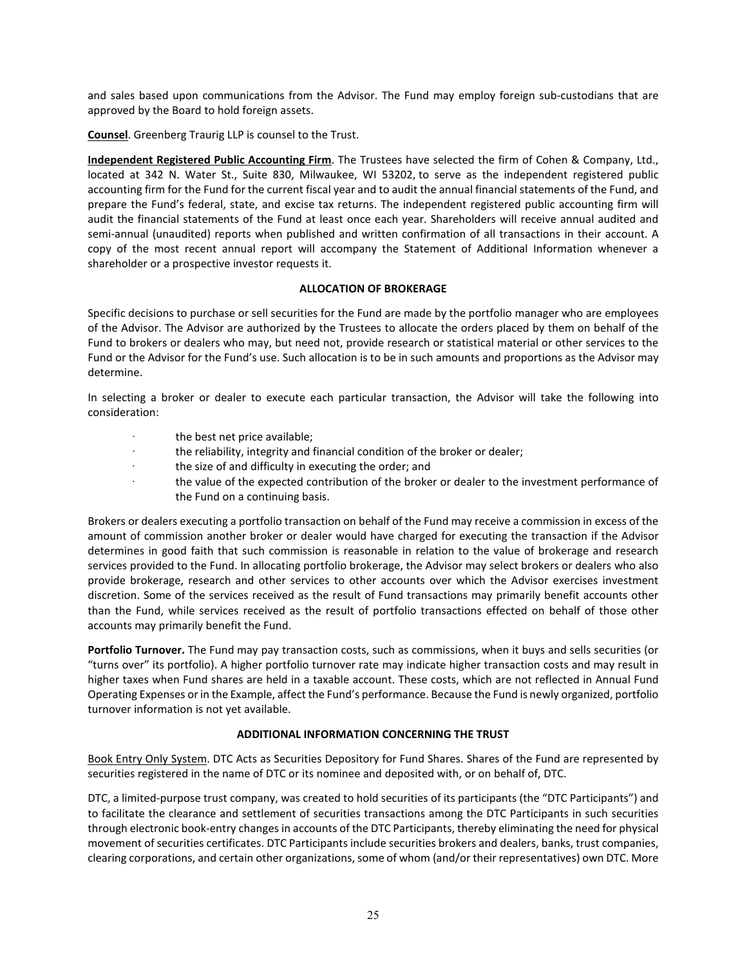and sales based upon communications from the Advisor. The Fund may employ foreign sub-custodians that are approved by the Board to hold foreign assets.

**Counsel**. Greenberg Traurig LLP is counsel to the Trust.

**Independent Registered Public Accounting Firm**. The Trustees have selected the firm of Cohen & Company, Ltd., located at 342 N. Water St., Suite 830, Milwaukee, WI 53202, to serve as the independent registered public accounting firm for the Fund for the current fiscal year and to audit the annual financial statements of the Fund, and prepare the Fund's federal, state, and excise tax returns. The independent registered public accounting firm will audit the financial statements of the Fund at least once each year. Shareholders will receive annual audited and semi-annual (unaudited) reports when published and written confirmation of all transactions in their account. A copy of the most recent annual report will accompany the Statement of Additional Information whenever a shareholder or a prospective investor requests it.

#### **ALLOCATION OF BROKERAGE**

Specific decisions to purchase or sell securities for the Fund are made by the portfolio manager who are employees of the Advisor. The Advisor are authorized by the Trustees to allocate the orders placed by them on behalf of the Fund to brokers or dealers who may, but need not, provide research or statistical material or other services to the Fund or the Advisor for the Fund's use. Such allocation is to be in such amounts and proportions as the Advisor may determine.

In selecting a broker or dealer to execute each particular transaction, the Advisor will take the following into consideration:

- · the best net price available;
- the reliability, integrity and financial condition of the broker or dealer;
- · the size of and difficulty in executing the order; and
- the value of the expected contribution of the broker or dealer to the investment performance of the Fund on a continuing basis.

Brokers or dealers executing a portfolio transaction on behalf of the Fund may receive a commission in excess of the amount of commission another broker or dealer would have charged for executing the transaction if the Advisor determines in good faith that such commission is reasonable in relation to the value of brokerage and research services provided to the Fund. In allocating portfolio brokerage, the Advisor may select brokers or dealers who also provide brokerage, research and other services to other accounts over which the Advisor exercises investment discretion. Some of the services received as the result of Fund transactions may primarily benefit accounts other than the Fund, while services received as the result of portfolio transactions effected on behalf of those other accounts may primarily benefit the Fund.

**Portfolio Turnover.** The Fund may pay transaction costs, such as commissions, when it buys and sells securities (or "turns over" its portfolio). A higher portfolio turnover rate may indicate higher transaction costs and may result in higher taxes when Fund shares are held in a taxable account. These costs, which are not reflected in Annual Fund Operating Expenses or in the Example, affect the Fund's performance. Because the Fund is newly organized, portfolio turnover information is not yet available.

#### **ADDITIONAL INFORMATION CONCERNING THE TRUST**

Book Entry Only System. DTC Acts as Securities Depository for Fund Shares. Shares of the Fund are represented by securities registered in the name of DTC or its nominee and deposited with, or on behalf of, DTC.

DTC, a limited-purpose trust company, was created to hold securities of its participants (the "DTC Participants") and to facilitate the clearance and settlement of securities transactions among the DTC Participants in such securities through electronic book-entry changes in accounts of the DTC Participants, thereby eliminating the need for physical movement of securities certificates. DTC Participants include securities brokers and dealers, banks, trust companies, clearing corporations, and certain other organizations, some of whom (and/or their representatives) own DTC. More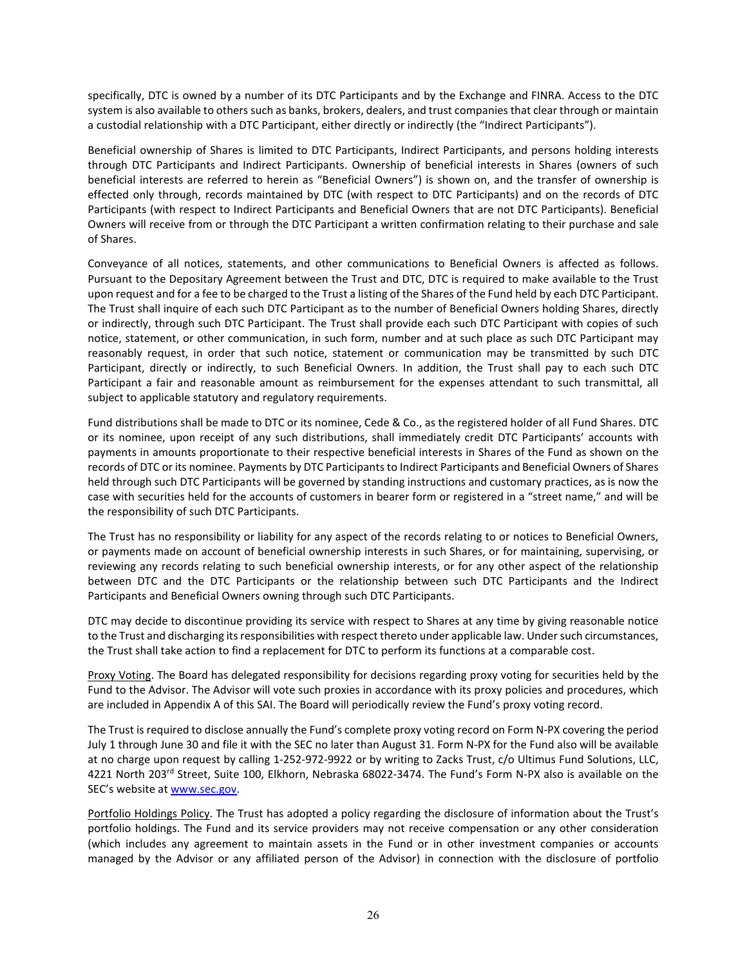specifically, DTC is owned by a number of its DTC Participants and by the Exchange and FINRA. Access to the DTC system is also available to others such as banks, brokers, dealers, and trust companies that clear through or maintain a custodial relationship with a DTC Participant, either directly or indirectly (the "Indirect Participants").

Beneficial ownership of Shares is limited to DTC Participants, Indirect Participants, and persons holding interests through DTC Participants and Indirect Participants. Ownership of beneficial interests in Shares (owners of such beneficial interests are referred to herein as "Beneficial Owners") is shown on, and the transfer of ownership is effected only through, records maintained by DTC (with respect to DTC Participants) and on the records of DTC Participants (with respect to Indirect Participants and Beneficial Owners that are not DTC Participants). Beneficial Owners will receive from or through the DTC Participant a written confirmation relating to their purchase and sale of Shares.

Conveyance of all notices, statements, and other communications to Beneficial Owners is affected as follows. Pursuant to the Depositary Agreement between the Trust and DTC, DTC is required to make available to the Trust upon request and for a fee to be charged to the Trust a listing of the Shares of the Fund held by each DTC Participant. The Trust shall inquire of each such DTC Participant as to the number of Beneficial Owners holding Shares, directly or indirectly, through such DTC Participant. The Trust shall provide each such DTC Participant with copies of such notice, statement, or other communication, in such form, number and at such place as such DTC Participant may reasonably request, in order that such notice, statement or communication may be transmitted by such DTC Participant, directly or indirectly, to such Beneficial Owners. In addition, the Trust shall pay to each such DTC Participant a fair and reasonable amount as reimbursement for the expenses attendant to such transmittal, all subject to applicable statutory and regulatory requirements.

Fund distributions shall be made to DTC or its nominee, Cede & Co., as the registered holder of all Fund Shares. DTC or its nominee, upon receipt of any such distributions, shall immediately credit DTC Participants' accounts with payments in amounts proportionate to their respective beneficial interests in Shares of the Fund as shown on the records of DTC or its nominee. Payments by DTC Participants to Indirect Participants and Beneficial Owners of Shares held through such DTC Participants will be governed by standing instructions and customary practices, as is now the case with securities held for the accounts of customers in bearer form or registered in a "street name," and will be the responsibility of such DTC Participants.

The Trust has no responsibility or liability for any aspect of the records relating to or notices to Beneficial Owners, or payments made on account of beneficial ownership interests in such Shares, or for maintaining, supervising, or reviewing any records relating to such beneficial ownership interests, or for any other aspect of the relationship between DTC and the DTC Participants or the relationship between such DTC Participants and the Indirect Participants and Beneficial Owners owning through such DTC Participants.

DTC may decide to discontinue providing its service with respect to Shares at any time by giving reasonable notice to the Trust and discharging its responsibilities with respect thereto under applicable law. Under such circumstances, the Trust shall take action to find a replacement for DTC to perform its functions at a comparable cost.

Proxy Voting. The Board has delegated responsibility for decisions regarding proxy voting for securities held by the Fund to the Advisor. The Advisor will vote such proxies in accordance with its proxy policies and procedures, which are included in Appendix A of this SAI. The Board will periodically review the Fund's proxy voting record.

The Trust is required to disclose annually the Fund's complete proxy voting record on Form N-PX covering the period July 1 through June 30 and file it with the SEC no later than August 31. Form N-PX for the Fund also will be available at no charge upon request by calling 1-252-972-9922 or by writing to Zacks Trust, c/o Ultimus Fund Solutions, LLC, 4221 North 203rd Street, Suite 100, Elkhorn, Nebraska 68022-3474. The Fund's Form N-PX also is available on the SEC's website at [www.sec.gov.](http://www.sec.gov/)

Portfolio Holdings Policy. The Trust has adopted a policy regarding the disclosure of information about the Trust's portfolio holdings. The Fund and its service providers may not receive compensation or any other consideration (which includes any agreement to maintain assets in the Fund or in other investment companies or accounts managed by the Advisor or any affiliated person of the Advisor) in connection with the disclosure of portfolio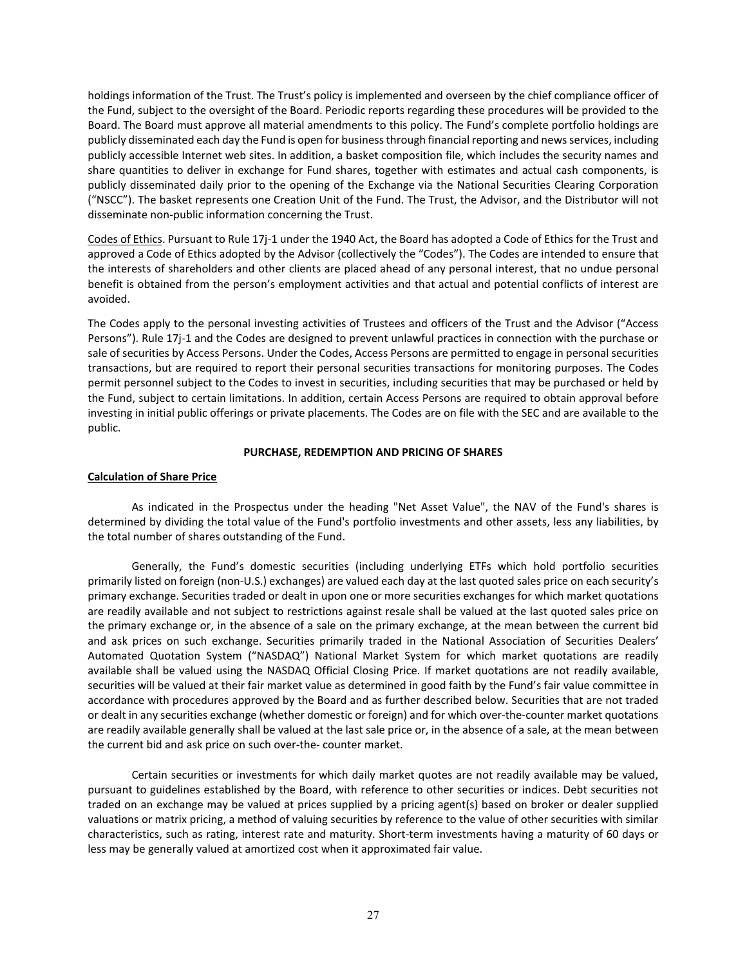holdings information of the Trust. The Trust's policy is implemented and overseen by the chief compliance officer of the Fund, subject to the oversight of the Board. Periodic reports regarding these procedures will be provided to the Board. The Board must approve all material amendments to this policy. The Fund's complete portfolio holdings are publicly disseminated each day the Fund is open for business through financial reporting and news services, including publicly accessible Internet web sites. In addition, a basket composition file, which includes the security names and share quantities to deliver in exchange for Fund shares, together with estimates and actual cash components, is publicly disseminated daily prior to the opening of the Exchange via the National Securities Clearing Corporation ("NSCC"). The basket represents one Creation Unit of the Fund. The Trust, the Advisor, and the Distributor will not disseminate non-public information concerning the Trust.

Codes of Ethics. Pursuant to Rule 17j-1 under the 1940 Act, the Board has adopted a Code of Ethics for the Trust and approved a Code of Ethics adopted by the Advisor (collectively the "Codes"). The Codes are intended to ensure that the interests of shareholders and other clients are placed ahead of any personal interest, that no undue personal benefit is obtained from the person's employment activities and that actual and potential conflicts of interest are avoided.

The Codes apply to the personal investing activities of Trustees and officers of the Trust and the Advisor ("Access Persons"). Rule 17j-1 and the Codes are designed to prevent unlawful practices in connection with the purchase or sale of securities by Access Persons. Under the Codes, Access Persons are permitted to engage in personal securities transactions, but are required to report their personal securities transactions for monitoring purposes. The Codes permit personnel subject to the Codes to invest in securities, including securities that may be purchased or held by the Fund, subject to certain limitations. In addition, certain Access Persons are required to obtain approval before investing in initial public offerings or private placements. The Codes are on file with the SEC and are available to the public.

#### **PURCHASE, REDEMPTION AND PRICING OF SHARES**

#### **Calculation of Share Price**

As indicated in the Prospectus under the heading "Net Asset Value", the NAV of the Fund's shares is determined by dividing the total value of the Fund's portfolio investments and other assets, less any liabilities, by the total number of shares outstanding of the Fund.

Generally, the Fund's domestic securities (including underlying ETFs which hold portfolio securities primarily listed on foreign (non-U.S.) exchanges) are valued each day at the last quoted sales price on each security's primary exchange. Securities traded or dealt in upon one or more securities exchanges for which market quotations are readily available and not subject to restrictions against resale shall be valued at the last quoted sales price on the primary exchange or, in the absence of a sale on the primary exchange, at the mean between the current bid and ask prices on such exchange. Securities primarily traded in the National Association of Securities Dealers' Automated Quotation System ("NASDAQ") National Market System for which market quotations are readily available shall be valued using the NASDAQ Official Closing Price. If market quotations are not readily available, securities will be valued at their fair market value as determined in good faith by the Fund's fair value committee in accordance with procedures approved by the Board and as further described below. Securities that are not traded or dealt in any securities exchange (whether domestic or foreign) and for which over-the-counter market quotations are readily available generally shall be valued at the last sale price or, in the absence of a sale, at the mean between the current bid and ask price on such over-the- counter market.

Certain securities or investments for which daily market quotes are not readily available may be valued, pursuant to guidelines established by the Board, with reference to other securities or indices. Debt securities not traded on an exchange may be valued at prices supplied by a pricing agent(s) based on broker or dealer supplied valuations or matrix pricing, a method of valuing securities by reference to the value of other securities with similar characteristics, such as rating, interest rate and maturity. Short-term investments having a maturity of 60 days or less may be generally valued at amortized cost when it approximated fair value.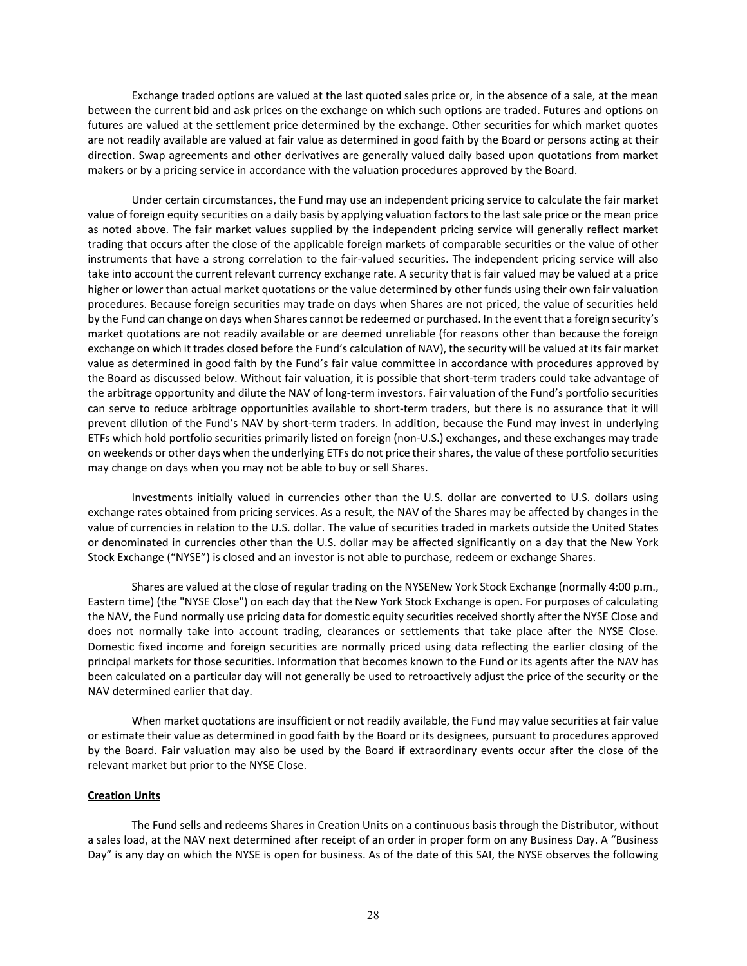Exchange traded options are valued at the last quoted sales price or, in the absence of a sale, at the mean between the current bid and ask prices on the exchange on which such options are traded. Futures and options on futures are valued at the settlement price determined by the exchange. Other securities for which market quotes are not readily available are valued at fair value as determined in good faith by the Board or persons acting at their direction. Swap agreements and other derivatives are generally valued daily based upon quotations from market makers or by a pricing service in accordance with the valuation procedures approved by the Board.

Under certain circumstances, the Fund may use an independent pricing service to calculate the fair market value of foreign equity securities on a daily basis by applying valuation factors to the last sale price or the mean price as noted above. The fair market values supplied by the independent pricing service will generally reflect market trading that occurs after the close of the applicable foreign markets of comparable securities or the value of other instruments that have a strong correlation to the fair-valued securities. The independent pricing service will also take into account the current relevant currency exchange rate. A security that is fair valued may be valued at a price higher or lower than actual market quotations or the value determined by other funds using their own fair valuation procedures. Because foreign securities may trade on days when Shares are not priced, the value of securities held by the Fund can change on days when Shares cannot be redeemed or purchased. In the event that a foreign security's market quotations are not readily available or are deemed unreliable (for reasons other than because the foreign exchange on which it trades closed before the Fund's calculation of NAV), the security will be valued at its fair market value as determined in good faith by the Fund's fair value committee in accordance with procedures approved by the Board as discussed below. Without fair valuation, it is possible that short-term traders could take advantage of the arbitrage opportunity and dilute the NAV of long-term investors. Fair valuation of the Fund's portfolio securities can serve to reduce arbitrage opportunities available to short-term traders, but there is no assurance that it will prevent dilution of the Fund's NAV by short-term traders. In addition, because the Fund may invest in underlying ETFs which hold portfolio securities primarily listed on foreign (non-U.S.) exchanges, and these exchanges may trade on weekends or other days when the underlying ETFs do not price their shares, the value of these portfolio securities may change on days when you may not be able to buy or sell Shares.

Investments initially valued in currencies other than the U.S. dollar are converted to U.S. dollars using exchange rates obtained from pricing services. As a result, the NAV of the Shares may be affected by changes in the value of currencies in relation to the U.S. dollar. The value of securities traded in markets outside the United States or denominated in currencies other than the U.S. dollar may be affected significantly on a day that the New York Stock Exchange ("NYSE") is closed and an investor is not able to purchase, redeem or exchange Shares.

Shares are valued at the close of regular trading on the NYSENew York Stock Exchange (normally 4:00 p.m., Eastern time) (the "NYSE Close") on each day that the New York Stock Exchange is open. For purposes of calculating the NAV, the Fund normally use pricing data for domestic equity securities received shortly after the NYSE Close and does not normally take into account trading, clearances or settlements that take place after the NYSE Close. Domestic fixed income and foreign securities are normally priced using data reflecting the earlier closing of the principal markets for those securities. Information that becomes known to the Fund or its agents after the NAV has been calculated on a particular day will not generally be used to retroactively adjust the price of the security or the NAV determined earlier that day.

When market quotations are insufficient or not readily available, the Fund may value securities at fair value or estimate their value as determined in good faith by the Board or its designees, pursuant to procedures approved by the Board. Fair valuation may also be used by the Board if extraordinary events occur after the close of the relevant market but prior to the NYSE Close.

#### **Creation Units**

The Fund sells and redeems Shares in Creation Units on a continuous basis through the Distributor, without a sales load, at the NAV next determined after receipt of an order in proper form on any Business Day. A "Business Day" is any day on which the NYSE is open for business. As of the date of this SAI, the NYSE observes the following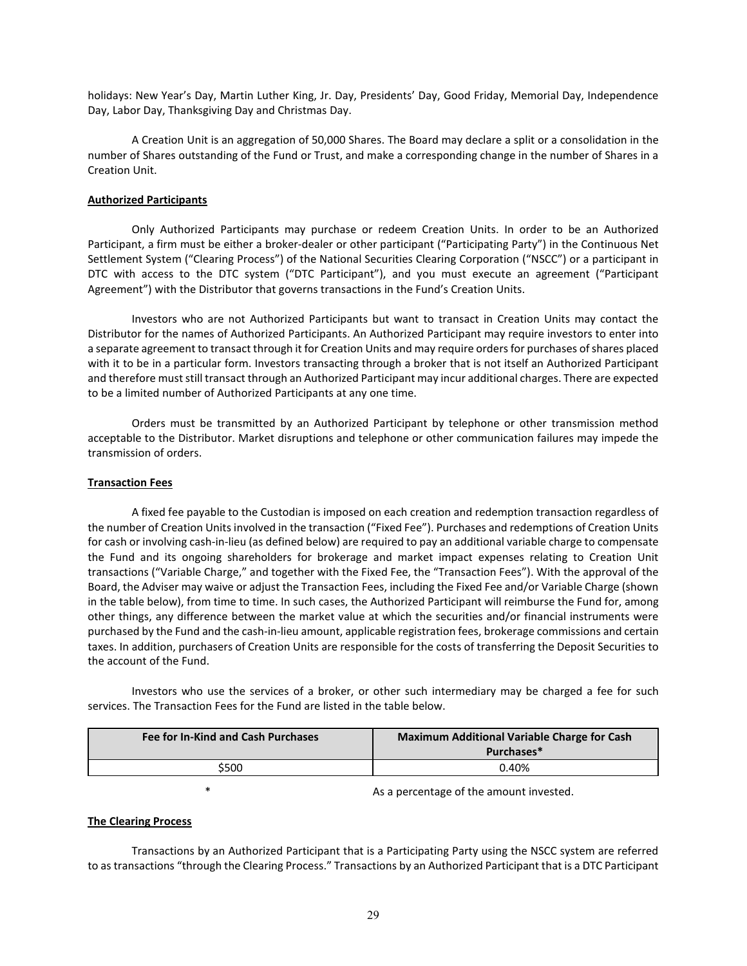holidays: New Year's Day, Martin Luther King, Jr. Day, Presidents' Day, Good Friday, Memorial Day, Independence Day, Labor Day, Thanksgiving Day and Christmas Day.

A Creation Unit is an aggregation of 50,000 Shares. The Board may declare a split or a consolidation in the number of Shares outstanding of the Fund or Trust, and make a corresponding change in the number of Shares in a Creation Unit.

#### **Authorized Participants**

Only Authorized Participants may purchase or redeem Creation Units. In order to be an Authorized Participant, a firm must be either a broker-dealer or other participant ("Participating Party") in the Continuous Net Settlement System ("Clearing Process") of the National Securities Clearing Corporation ("NSCC") or a participant in DTC with access to the DTC system ("DTC Participant"), and you must execute an agreement ("Participant Agreement") with the Distributor that governs transactions in the Fund's Creation Units.

Investors who are not Authorized Participants but want to transact in Creation Units may contact the Distributor for the names of Authorized Participants. An Authorized Participant may require investors to enter into a separate agreement to transact through it for Creation Units and may require orders for purchases of shares placed with it to be in a particular form. Investors transacting through a broker that is not itself an Authorized Participant and therefore must still transact through an Authorized Participant may incur additional charges. There are expected to be a limited number of Authorized Participants at any one time.

Orders must be transmitted by an Authorized Participant by telephone or other transmission method acceptable to the Distributor. Market disruptions and telephone or other communication failures may impede the transmission of orders.

#### **Transaction Fees**

A fixed fee payable to the Custodian is imposed on each creation and redemption transaction regardless of the number of Creation Units involved in the transaction ("Fixed Fee"). Purchases and redemptions of Creation Units for cash or involving cash-in-lieu (as defined below) are required to pay an additional variable charge to compensate the Fund and its ongoing shareholders for brokerage and market impact expenses relating to Creation Unit transactions ("Variable Charge," and together with the Fixed Fee, the "Transaction Fees"). With the approval of the Board, the Adviser may waive or adjust the Transaction Fees, including the Fixed Fee and/or Variable Charge (shown in the table below), from time to time. In such cases, the Authorized Participant will reimburse the Fund for, among other things, any difference between the market value at which the securities and/or financial instruments were purchased by the Fund and the cash-in-lieu amount, applicable registration fees, brokerage commissions and certain taxes. In addition, purchasers of Creation Units are responsible for the costs of transferring the Deposit Securities to the account of the Fund.

Investors who use the services of a broker, or other such intermediary may be charged a fee for such services. The Transaction Fees for the Fund are listed in the table below.

| <b>Fee for In-Kind and Cash Purchases</b> | <b>Maximum Additional Variable Charge for Cash</b><br>Purchases* |
|-------------------------------------------|------------------------------------------------------------------|
| \$500                                     | 0.40%                                                            |

As a percentage of the amount invested.

#### **The Clearing Process**

Transactions by an Authorized Participant that is a Participating Party using the NSCC system are referred to as transactions "through the Clearing Process." Transactions by an Authorized Participant that is a DTC Participant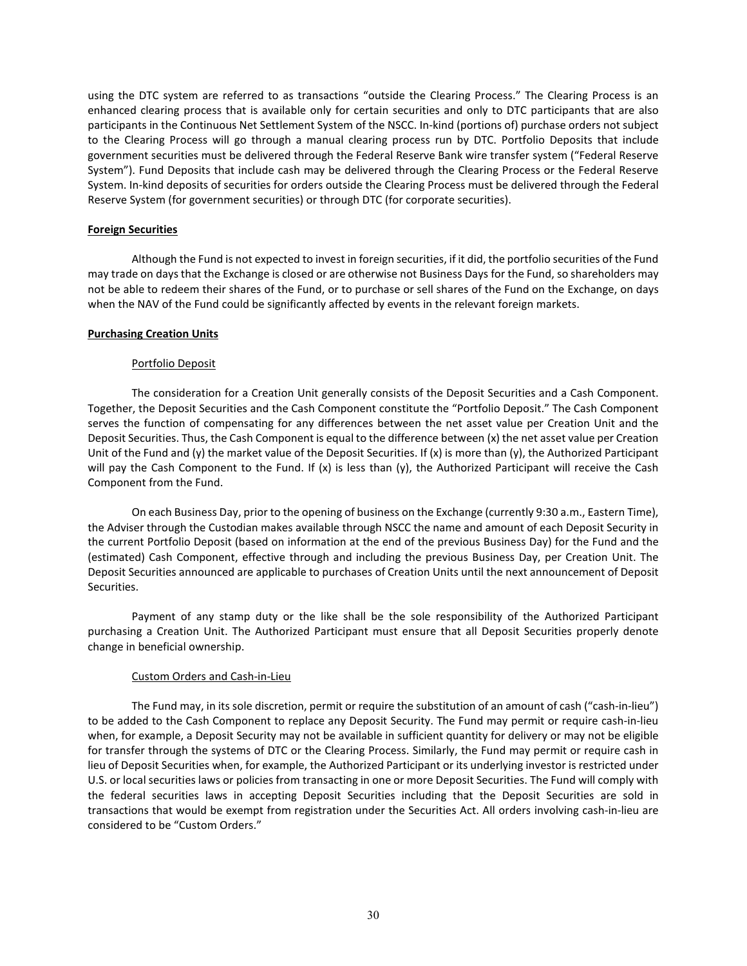using the DTC system are referred to as transactions "outside the Clearing Process." The Clearing Process is an enhanced clearing process that is available only for certain securities and only to DTC participants that are also participants in the Continuous Net Settlement System of the NSCC. In-kind (portions of) purchase orders not subject to the Clearing Process will go through a manual clearing process run by DTC. Portfolio Deposits that include government securities must be delivered through the Federal Reserve Bank wire transfer system ("Federal Reserve System"). Fund Deposits that include cash may be delivered through the Clearing Process or the Federal Reserve System. In-kind deposits of securities for orders outside the Clearing Process must be delivered through the Federal Reserve System (for government securities) or through DTC (for corporate securities).

#### **Foreign Securities**

Although the Fund is not expected to invest in foreign securities, if it did, the portfolio securities of the Fund may trade on days that the Exchange is closed or are otherwise not Business Days for the Fund, so shareholders may not be able to redeem their shares of the Fund, or to purchase or sell shares of the Fund on the Exchange, on days when the NAV of the Fund could be significantly affected by events in the relevant foreign markets.

#### **Purchasing Creation Units**

#### Portfolio Deposit

The consideration for a Creation Unit generally consists of the Deposit Securities and a Cash Component. Together, the Deposit Securities and the Cash Component constitute the "Portfolio Deposit." The Cash Component serves the function of compensating for any differences between the net asset value per Creation Unit and the Deposit Securities. Thus, the Cash Component is equal to the difference between (x) the net asset value per Creation Unit of the Fund and (y) the market value of the Deposit Securities. If  $(x)$  is more than (y), the Authorized Participant will pay the Cash Component to the Fund. If (x) is less than (y), the Authorized Participant will receive the Cash Component from the Fund.

On each Business Day, prior to the opening of business on the Exchange (currently 9:30 a.m., Eastern Time), the Adviser through the Custodian makes available through NSCC the name and amount of each Deposit Security in the current Portfolio Deposit (based on information at the end of the previous Business Day) for the Fund and the (estimated) Cash Component, effective through and including the previous Business Day, per Creation Unit. The Deposit Securities announced are applicable to purchases of Creation Units until the next announcement of Deposit Securities.

Payment of any stamp duty or the like shall be the sole responsibility of the Authorized Participant purchasing a Creation Unit. The Authorized Participant must ensure that all Deposit Securities properly denote change in beneficial ownership.

#### Custom Orders and Cash-in-Lieu

The Fund may, in its sole discretion, permit or require the substitution of an amount of cash ("cash-in-lieu") to be added to the Cash Component to replace any Deposit Security. The Fund may permit or require cash-in-lieu when, for example, a Deposit Security may not be available in sufficient quantity for delivery or may not be eligible for transfer through the systems of DTC or the Clearing Process. Similarly, the Fund may permit or require cash in lieu of Deposit Securities when, for example, the Authorized Participant or its underlying investor is restricted under U.S. or local securities laws or policies from transacting in one or more Deposit Securities. The Fund will comply with the federal securities laws in accepting Deposit Securities including that the Deposit Securities are sold in transactions that would be exempt from registration under the Securities Act. All orders involving cash-in-lieu are considered to be "Custom Orders."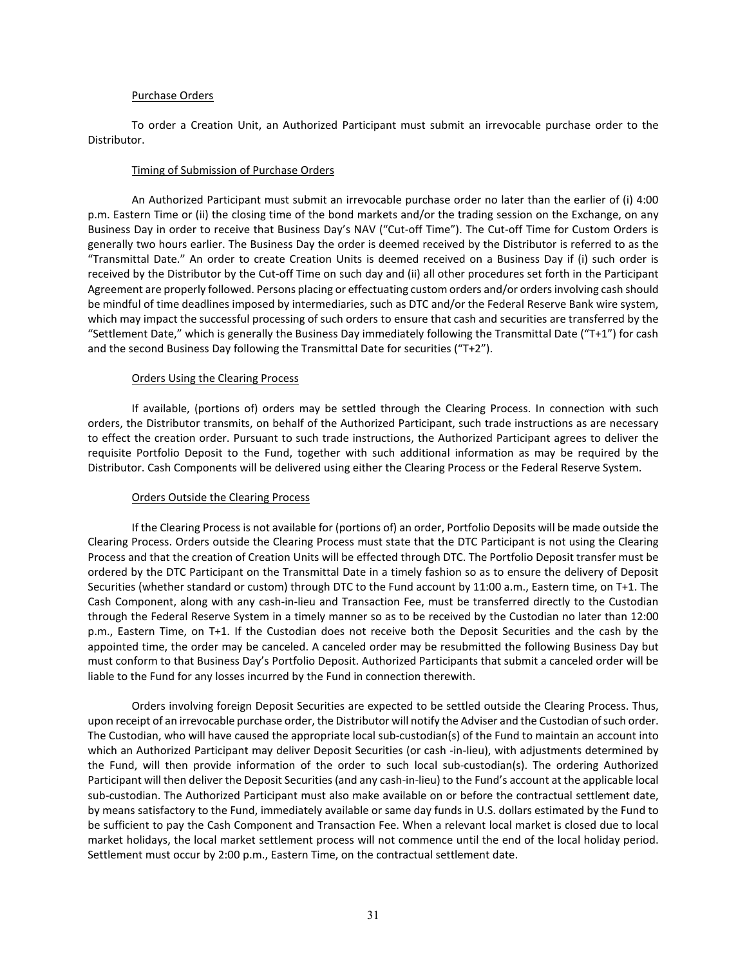#### Purchase Orders

To order a Creation Unit, an Authorized Participant must submit an irrevocable purchase order to the Distributor.

#### Timing of Submission of Purchase Orders

An Authorized Participant must submit an irrevocable purchase order no later than the earlier of (i) 4:00 p.m. Eastern Time or (ii) the closing time of the bond markets and/or the trading session on the Exchange, on any Business Day in order to receive that Business Day's NAV ("Cut-off Time"). The Cut-off Time for Custom Orders is generally two hours earlier. The Business Day the order is deemed received by the Distributor is referred to as the "Transmittal Date." An order to create Creation Units is deemed received on a Business Day if (i) such order is received by the Distributor by the Cut-off Time on such day and (ii) all other procedures set forth in the Participant Agreement are properly followed. Persons placing or effectuating custom orders and/or orders involving cash should be mindful of time deadlines imposed by intermediaries, such as DTC and/or the Federal Reserve Bank wire system, which may impact the successful processing of such orders to ensure that cash and securities are transferred by the "Settlement Date," which is generally the Business Day immediately following the Transmittal Date ("T+1") for cash and the second Business Day following the Transmittal Date for securities ("T+2").

#### Orders Using the Clearing Process

If available, (portions of) orders may be settled through the Clearing Process. In connection with such orders, the Distributor transmits, on behalf of the Authorized Participant, such trade instructions as are necessary to effect the creation order. Pursuant to such trade instructions, the Authorized Participant agrees to deliver the requisite Portfolio Deposit to the Fund, together with such additional information as may be required by the Distributor. Cash Components will be delivered using either the Clearing Process or the Federal Reserve System.

#### Orders Outside the Clearing Process

If the Clearing Process is not available for (portions of) an order, Portfolio Deposits will be made outside the Clearing Process. Orders outside the Clearing Process must state that the DTC Participant is not using the Clearing Process and that the creation of Creation Units will be effected through DTC. The Portfolio Deposit transfer must be ordered by the DTC Participant on the Transmittal Date in a timely fashion so as to ensure the delivery of Deposit Securities (whether standard or custom) through DTC to the Fund account by 11:00 a.m., Eastern time, on T+1. The Cash Component, along with any cash-in-lieu and Transaction Fee, must be transferred directly to the Custodian through the Federal Reserve System in a timely manner so as to be received by the Custodian no later than 12:00 p.m., Eastern Time, on T+1. If the Custodian does not receive both the Deposit Securities and the cash by the appointed time, the order may be canceled. A canceled order may be resubmitted the following Business Day but must conform to that Business Day's Portfolio Deposit. Authorized Participants that submit a canceled order will be liable to the Fund for any losses incurred by the Fund in connection therewith.

Orders involving foreign Deposit Securities are expected to be settled outside the Clearing Process. Thus, upon receipt of an irrevocable purchase order, the Distributor will notify the Adviser and the Custodian of such order. The Custodian, who will have caused the appropriate local sub-custodian(s) of the Fund to maintain an account into which an Authorized Participant may deliver Deposit Securities (or cash -in-lieu), with adjustments determined by the Fund, will then provide information of the order to such local sub-custodian(s). The ordering Authorized Participant will then deliver the Deposit Securities (and any cash-in-lieu) to the Fund's account at the applicable local sub-custodian. The Authorized Participant must also make available on or before the contractual settlement date, by means satisfactory to the Fund, immediately available or same day funds in U.S. dollars estimated by the Fund to be sufficient to pay the Cash Component and Transaction Fee. When a relevant local market is closed due to local market holidays, the local market settlement process will not commence until the end of the local holiday period. Settlement must occur by 2:00 p.m., Eastern Time, on the contractual settlement date.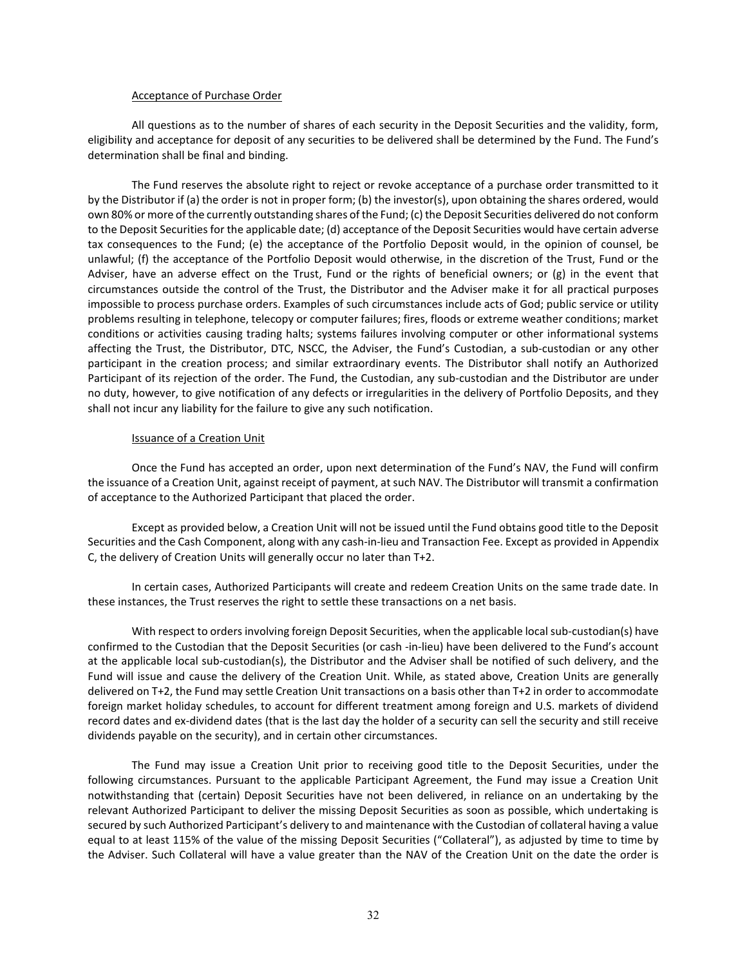#### Acceptance of Purchase Order

All questions as to the number of shares of each security in the Deposit Securities and the validity, form, eligibility and acceptance for deposit of any securities to be delivered shall be determined by the Fund. The Fund's determination shall be final and binding.

The Fund reserves the absolute right to reject or revoke acceptance of a purchase order transmitted to it by the Distributor if (a) the order is not in proper form; (b) the investor(s), upon obtaining the shares ordered, would own 80% or more of the currently outstanding shares of the Fund; (c) the Deposit Securities delivered do not conform to the Deposit Securities for the applicable date; (d) acceptance of the Deposit Securities would have certain adverse tax consequences to the Fund; (e) the acceptance of the Portfolio Deposit would, in the opinion of counsel, be unlawful; (f) the acceptance of the Portfolio Deposit would otherwise, in the discretion of the Trust, Fund or the Adviser, have an adverse effect on the Trust, Fund or the rights of beneficial owners; or (g) in the event that circumstances outside the control of the Trust, the Distributor and the Adviser make it for all practical purposes impossible to process purchase orders. Examples of such circumstances include acts of God; public service or utility problems resulting in telephone, telecopy or computer failures; fires, floods or extreme weather conditions; market conditions or activities causing trading halts; systems failures involving computer or other informational systems affecting the Trust, the Distributor, DTC, NSCC, the Adviser, the Fund's Custodian, a sub-custodian or any other participant in the creation process; and similar extraordinary events. The Distributor shall notify an Authorized Participant of its rejection of the order. The Fund, the Custodian, any sub-custodian and the Distributor are under no duty, however, to give notification of any defects or irregularities in the delivery of Portfolio Deposits, and they shall not incur any liability for the failure to give any such notification.

#### Issuance of a Creation Unit

Once the Fund has accepted an order, upon next determination of the Fund's NAV, the Fund will confirm the issuance of a Creation Unit, against receipt of payment, at such NAV. The Distributor will transmit a confirmation of acceptance to the Authorized Participant that placed the order.

Except as provided below, a Creation Unit will not be issued until the Fund obtains good title to the Deposit Securities and the Cash Component, along with any cash-in-lieu and Transaction Fee. Except as provided in Appendix C, the delivery of Creation Units will generally occur no later than T+2.

In certain cases, Authorized Participants will create and redeem Creation Units on the same trade date. In these instances, the Trust reserves the right to settle these transactions on a net basis.

With respect to orders involving foreign Deposit Securities, when the applicable local sub-custodian(s) have confirmed to the Custodian that the Deposit Securities (or cash -in-lieu) have been delivered to the Fund's account at the applicable local sub-custodian(s), the Distributor and the Adviser shall be notified of such delivery, and the Fund will issue and cause the delivery of the Creation Unit. While, as stated above, Creation Units are generally delivered on T+2, the Fund may settle Creation Unit transactions on a basis other than T+2 in order to accommodate foreign market holiday schedules, to account for different treatment among foreign and U.S. markets of dividend record dates and ex-dividend dates (that is the last day the holder of a security can sell the security and still receive dividends payable on the security), and in certain other circumstances.

The Fund may issue a Creation Unit prior to receiving good title to the Deposit Securities, under the following circumstances. Pursuant to the applicable Participant Agreement, the Fund may issue a Creation Unit notwithstanding that (certain) Deposit Securities have not been delivered, in reliance on an undertaking by the relevant Authorized Participant to deliver the missing Deposit Securities as soon as possible, which undertaking is secured by such Authorized Participant's delivery to and maintenance with the Custodian of collateral having a value equal to at least 115% of the value of the missing Deposit Securities ("Collateral"), as adjusted by time to time by the Adviser. Such Collateral will have a value greater than the NAV of the Creation Unit on the date the order is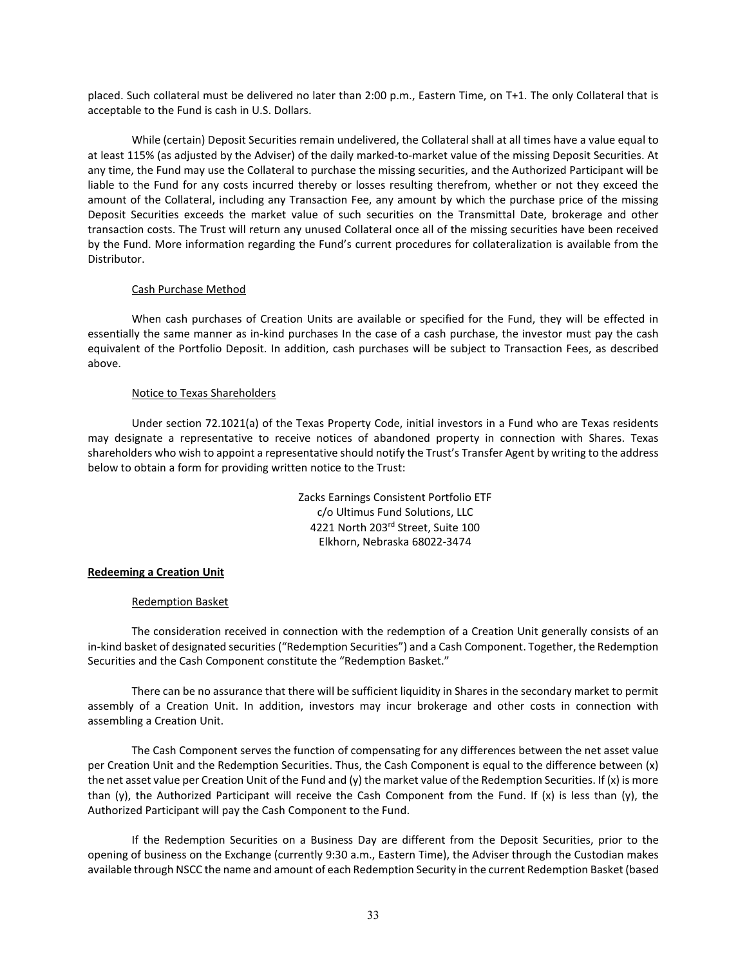placed. Such collateral must be delivered no later than 2:00 p.m., Eastern Time, on T+1. The only Collateral that is acceptable to the Fund is cash in U.S. Dollars.

While (certain) Deposit Securities remain undelivered, the Collateral shall at all times have a value equal to at least 115% (as adjusted by the Adviser) of the daily marked-to-market value of the missing Deposit Securities. At any time, the Fund may use the Collateral to purchase the missing securities, and the Authorized Participant will be liable to the Fund for any costs incurred thereby or losses resulting therefrom, whether or not they exceed the amount of the Collateral, including any Transaction Fee, any amount by which the purchase price of the missing Deposit Securities exceeds the market value of such securities on the Transmittal Date, brokerage and other transaction costs. The Trust will return any unused Collateral once all of the missing securities have been received by the Fund. More information regarding the Fund's current procedures for collateralization is available from the Distributor.

#### Cash Purchase Method

When cash purchases of Creation Units are available or specified for the Fund, they will be effected in essentially the same manner as in-kind purchases In the case of a cash purchase, the investor must pay the cash equivalent of the Portfolio Deposit. In addition, cash purchases will be subject to Transaction Fees, as described above.

#### Notice to Texas Shareholders

Under section 72.1021(a) of the Texas Property Code, initial investors in a Fund who are Texas residents may designate a representative to receive notices of abandoned property in connection with Shares. Texas shareholders who wish to appoint a representative should notify the Trust's Transfer Agent by writing to the address below to obtain a form for providing written notice to the Trust:

> Zacks Earnings Consistent Portfolio ETF c/o Ultimus Fund Solutions, LLC 4221 North 203rd Street, Suite 100 Elkhorn, Nebraska 68022-3474

#### **Redeeming a Creation Unit**

#### Redemption Basket

The consideration received in connection with the redemption of a Creation Unit generally consists of an in-kind basket of designated securities ("Redemption Securities") and a Cash Component. Together, the Redemption Securities and the Cash Component constitute the "Redemption Basket."

There can be no assurance that there will be sufficient liquidity in Shares in the secondary market to permit assembly of a Creation Unit. In addition, investors may incur brokerage and other costs in connection with assembling a Creation Unit.

The Cash Component serves the function of compensating for any differences between the net asset value per Creation Unit and the Redemption Securities. Thus, the Cash Component is equal to the difference between (x) the net asset value per Creation Unit of the Fund and (y) the market value of the Redemption Securities. If (x) is more than (y), the Authorized Participant will receive the Cash Component from the Fund. If  $(x)$  is less than (y), the Authorized Participant will pay the Cash Component to the Fund.

If the Redemption Securities on a Business Day are different from the Deposit Securities, prior to the opening of business on the Exchange (currently 9:30 a.m., Eastern Time), the Adviser through the Custodian makes available through NSCC the name and amount of each Redemption Security in the current Redemption Basket (based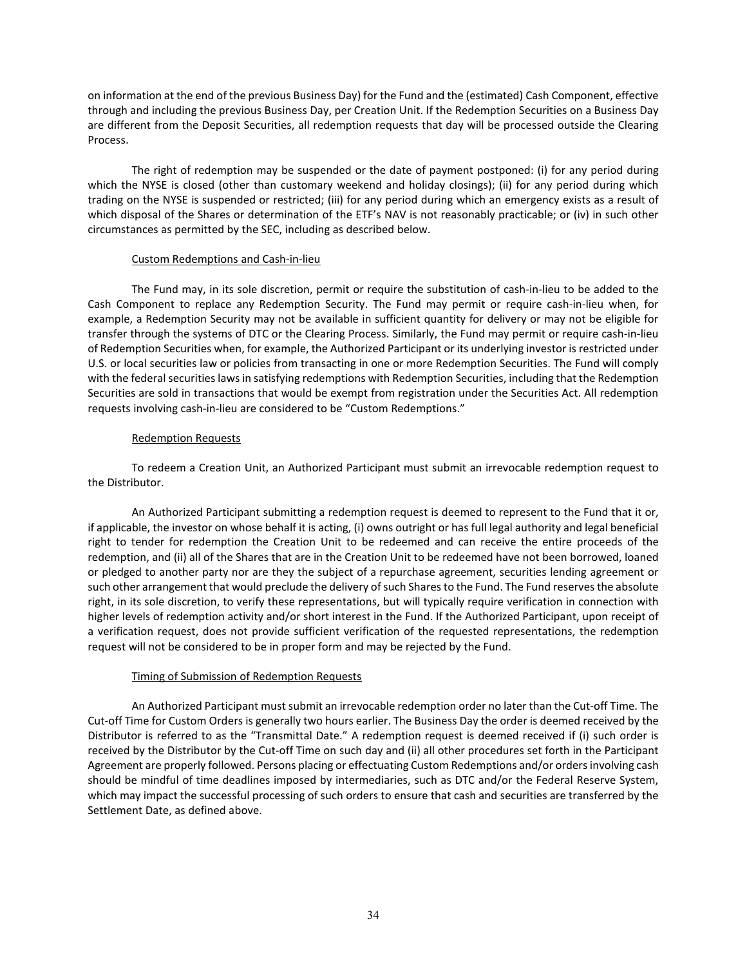on information at the end of the previous Business Day) for the Fund and the (estimated) Cash Component, effective through and including the previous Business Day, per Creation Unit. If the Redemption Securities on a Business Day are different from the Deposit Securities, all redemption requests that day will be processed outside the Clearing Process.

The right of redemption may be suspended or the date of payment postponed: (i) for any period during which the NYSE is closed (other than customary weekend and holiday closings); (ii) for any period during which trading on the NYSE is suspended or restricted; (iii) for any period during which an emergency exists as a result of which disposal of the Shares or determination of the ETF's NAV is not reasonably practicable; or (iv) in such other circumstances as permitted by the SEC, including as described below.

#### Custom Redemptions and Cash-in-lieu

The Fund may, in its sole discretion, permit or require the substitution of cash-in-lieu to be added to the Cash Component to replace any Redemption Security. The Fund may permit or require cash-in-lieu when, for example, a Redemption Security may not be available in sufficient quantity for delivery or may not be eligible for transfer through the systems of DTC or the Clearing Process. Similarly, the Fund may permit or require cash-in-lieu of Redemption Securities when, for example, the Authorized Participant or its underlying investor is restricted under U.S. or local securities law or policies from transacting in one or more Redemption Securities. The Fund will comply with the federal securities laws in satisfying redemptions with Redemption Securities, including that the Redemption Securities are sold in transactions that would be exempt from registration under the Securities Act. All redemption requests involving cash-in-lieu are considered to be "Custom Redemptions."

#### Redemption Requests

To redeem a Creation Unit, an Authorized Participant must submit an irrevocable redemption request to the Distributor.

An Authorized Participant submitting a redemption request is deemed to represent to the Fund that it or, if applicable, the investor on whose behalf it is acting, (i) owns outright or has full legal authority and legal beneficial right to tender for redemption the Creation Unit to be redeemed and can receive the entire proceeds of the redemption, and (ii) all of the Shares that are in the Creation Unit to be redeemed have not been borrowed, loaned or pledged to another party nor are they the subject of a repurchase agreement, securities lending agreement or such other arrangement that would preclude the delivery of such Shares to the Fund. The Fund reserves the absolute right, in its sole discretion, to verify these representations, but will typically require verification in connection with higher levels of redemption activity and/or short interest in the Fund. If the Authorized Participant, upon receipt of a verification request, does not provide sufficient verification of the requested representations, the redemption request will not be considered to be in proper form and may be rejected by the Fund.

#### Timing of Submission of Redemption Requests

An Authorized Participant must submit an irrevocable redemption order no later than the Cut-off Time. The Cut-off Time for Custom Orders is generally two hours earlier. The Business Day the order is deemed received by the Distributor is referred to as the "Transmittal Date." A redemption request is deemed received if (i) such order is received by the Distributor by the Cut-off Time on such day and (ii) all other procedures set forth in the Participant Agreement are properly followed. Persons placing or effectuating Custom Redemptions and/or orders involving cash should be mindful of time deadlines imposed by intermediaries, such as DTC and/or the Federal Reserve System, which may impact the successful processing of such orders to ensure that cash and securities are transferred by the Settlement Date, as defined above.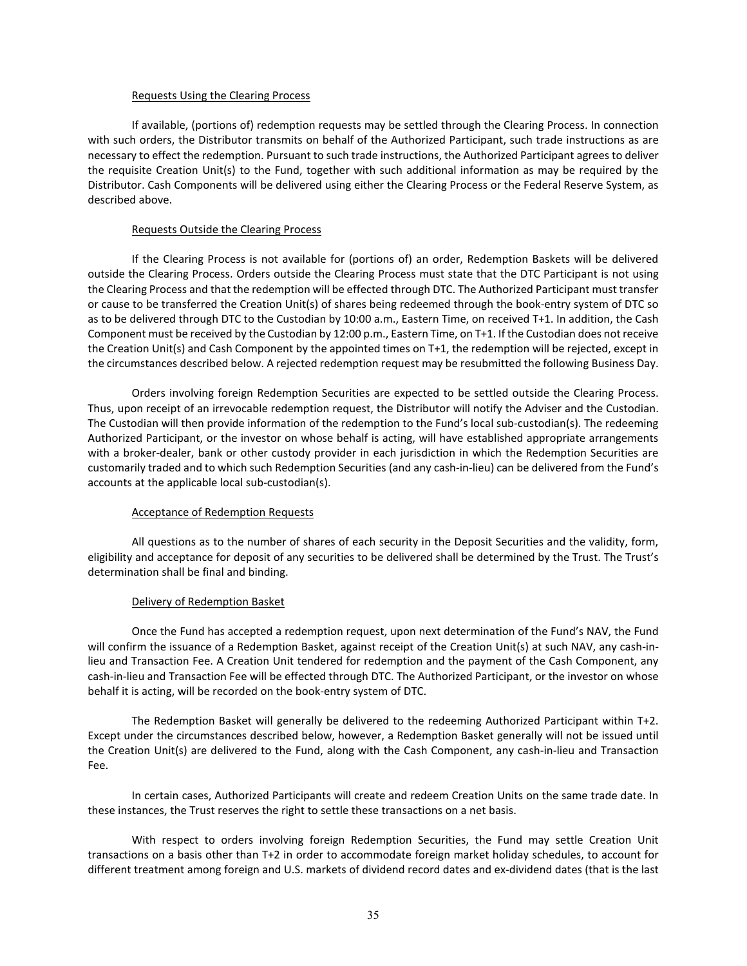#### Requests Using the Clearing Process

If available, (portions of) redemption requests may be settled through the Clearing Process. In connection with such orders, the Distributor transmits on behalf of the Authorized Participant, such trade instructions as are necessary to effect the redemption. Pursuant to such trade instructions, the Authorized Participant agrees to deliver the requisite Creation Unit(s) to the Fund, together with such additional information as may be required by the Distributor. Cash Components will be delivered using either the Clearing Process or the Federal Reserve System, as described above.

#### Requests Outside the Clearing Process

If the Clearing Process is not available for (portions of) an order, Redemption Baskets will be delivered outside the Clearing Process. Orders outside the Clearing Process must state that the DTC Participant is not using the Clearing Process and that the redemption will be effected through DTC. The Authorized Participant must transfer or cause to be transferred the Creation Unit(s) of shares being redeemed through the book-entry system of DTC so as to be delivered through DTC to the Custodian by 10:00 a.m., Eastern Time, on received T+1. In addition, the Cash Component must be received by the Custodian by 12:00 p.m., Eastern Time, on T+1. If the Custodian does not receive the Creation Unit(s) and Cash Component by the appointed times on T+1, the redemption will be rejected, except in the circumstances described below. A rejected redemption request may be resubmitted the following Business Day.

Orders involving foreign Redemption Securities are expected to be settled outside the Clearing Process. Thus, upon receipt of an irrevocable redemption request, the Distributor will notify the Adviser and the Custodian. The Custodian will then provide information of the redemption to the Fund's local sub-custodian(s). The redeeming Authorized Participant, or the investor on whose behalf is acting, will have established appropriate arrangements with a broker-dealer, bank or other custody provider in each jurisdiction in which the Redemption Securities are customarily traded and to which such Redemption Securities (and any cash-in-lieu) can be delivered from the Fund's accounts at the applicable local sub-custodian(s).

#### Acceptance of Redemption Requests

All questions as to the number of shares of each security in the Deposit Securities and the validity, form, eligibility and acceptance for deposit of any securities to be delivered shall be determined by the Trust. The Trust's determination shall be final and binding.

#### Delivery of Redemption Basket

Once the Fund has accepted a redemption request, upon next determination of the Fund's NAV, the Fund will confirm the issuance of a Redemption Basket, against receipt of the Creation Unit(s) at such NAV, any cash-inlieu and Transaction Fee. A Creation Unit tendered for redemption and the payment of the Cash Component, any cash-in-lieu and Transaction Fee will be effected through DTC. The Authorized Participant, or the investor on whose behalf it is acting, will be recorded on the book-entry system of DTC.

The Redemption Basket will generally be delivered to the redeeming Authorized Participant within T+2. Except under the circumstances described below, however, a Redemption Basket generally will not be issued until the Creation Unit(s) are delivered to the Fund, along with the Cash Component, any cash-in-lieu and Transaction Fee.

In certain cases, Authorized Participants will create and redeem Creation Units on the same trade date. In these instances, the Trust reserves the right to settle these transactions on a net basis.

With respect to orders involving foreign Redemption Securities, the Fund may settle Creation Unit transactions on a basis other than T+2 in order to accommodate foreign market holiday schedules, to account for different treatment among foreign and U.S. markets of dividend record dates and ex-dividend dates (that is the last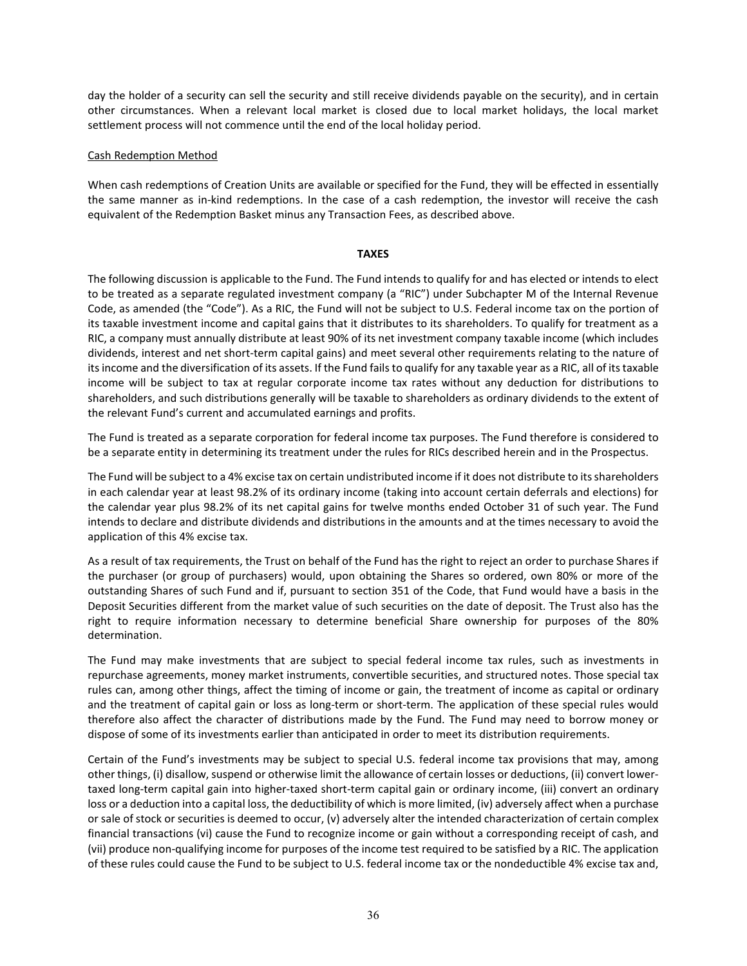day the holder of a security can sell the security and still receive dividends payable on the security), and in certain other circumstances. When a relevant local market is closed due to local market holidays, the local market settlement process will not commence until the end of the local holiday period.

#### Cash Redemption Method

When cash redemptions of Creation Units are available or specified for the Fund, they will be effected in essentially the same manner as in-kind redemptions. In the case of a cash redemption, the investor will receive the cash equivalent of the Redemption Basket minus any Transaction Fees, as described above.

#### **TAXES**

The following discussion is applicable to the Fund. The Fund intends to qualify for and has elected or intends to elect to be treated as a separate regulated investment company (a "RIC") under Subchapter M of the Internal Revenue Code, as amended (the "Code"). As a RIC, the Fund will not be subject to U.S. Federal income tax on the portion of its taxable investment income and capital gains that it distributes to its shareholders. To qualify for treatment as a RIC, a company must annually distribute at least 90% of its net investment company taxable income (which includes dividends, interest and net short-term capital gains) and meet several other requirements relating to the nature of its income and the diversification of its assets. If the Fund fails to qualify for any taxable year as a RIC, all of its taxable income will be subject to tax at regular corporate income tax rates without any deduction for distributions to shareholders, and such distributions generally will be taxable to shareholders as ordinary dividends to the extent of the relevant Fund's current and accumulated earnings and profits.

The Fund is treated as a separate corporation for federal income tax purposes. The Fund therefore is considered to be a separate entity in determining its treatment under the rules for RICs described herein and in the Prospectus.

The Fund will be subject to a 4% excise tax on certain undistributed income if it does not distribute to its shareholders in each calendar year at least 98.2% of its ordinary income (taking into account certain deferrals and elections) for the calendar year plus 98.2% of its net capital gains for twelve months ended October 31 of such year. The Fund intends to declare and distribute dividends and distributions in the amounts and at the times necessary to avoid the application of this 4% excise tax.

As a result of tax requirements, the Trust on behalf of the Fund has the right to reject an order to purchase Shares if the purchaser (or group of purchasers) would, upon obtaining the Shares so ordered, own 80% or more of the outstanding Shares of such Fund and if, pursuant to section 351 of the Code, that Fund would have a basis in the Deposit Securities different from the market value of such securities on the date of deposit. The Trust also has the right to require information necessary to determine beneficial Share ownership for purposes of the 80% determination.

The Fund may make investments that are subject to special federal income tax rules, such as investments in repurchase agreements, money market instruments, convertible securities, and structured notes. Those special tax rules can, among other things, affect the timing of income or gain, the treatment of income as capital or ordinary and the treatment of capital gain or loss as long-term or short-term. The application of these special rules would therefore also affect the character of distributions made by the Fund. The Fund may need to borrow money or dispose of some of its investments earlier than anticipated in order to meet its distribution requirements.

Certain of the Fund's investments may be subject to special U.S. federal income tax provisions that may, among other things, (i) disallow, suspend or otherwise limit the allowance of certain losses or deductions, (ii) convert lowertaxed long-term capital gain into higher-taxed short-term capital gain or ordinary income, (iii) convert an ordinary loss or a deduction into a capital loss, the deductibility of which is more limited, (iv) adversely affect when a purchase or sale of stock or securities is deemed to occur, (v) adversely alter the intended characterization of certain complex financial transactions (vi) cause the Fund to recognize income or gain without a corresponding receipt of cash, and (vii) produce non-qualifying income for purposes of the income test required to be satisfied by a RIC. The application of these rules could cause the Fund to be subject to U.S. federal income tax or the nondeductible 4% excise tax and,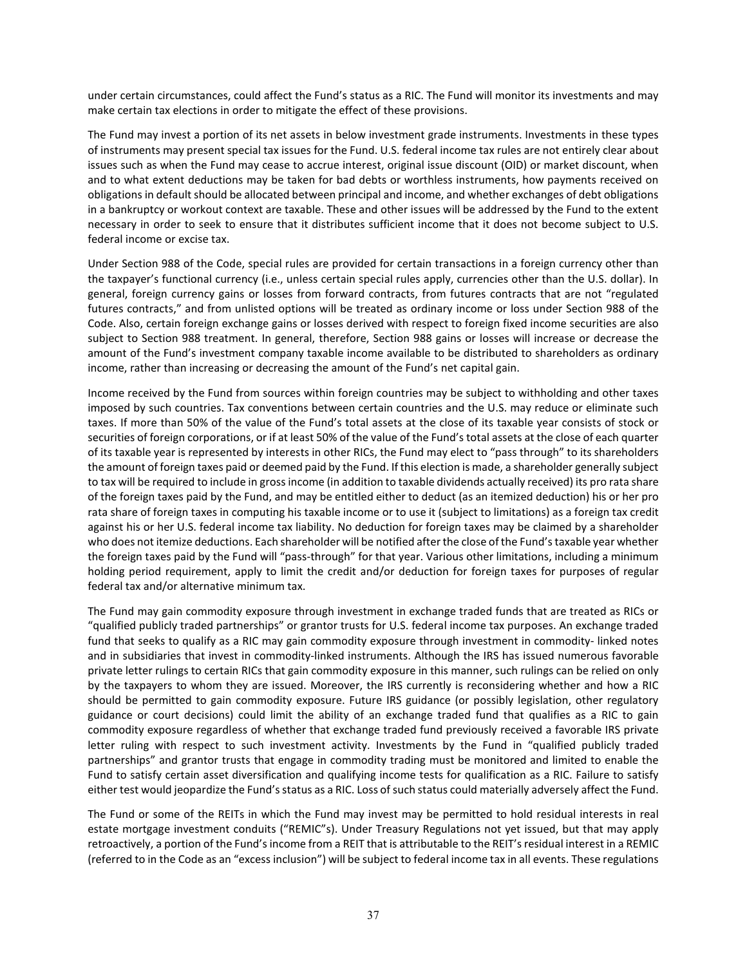under certain circumstances, could affect the Fund's status as a RIC. The Fund will monitor its investments and may make certain tax elections in order to mitigate the effect of these provisions.

The Fund may invest a portion of its net assets in below investment grade instruments. Investments in these types of instruments may present special tax issues for the Fund. U.S. federal income tax rules are not entirely clear about issues such as when the Fund may cease to accrue interest, original issue discount (OID) or market discount, when and to what extent deductions may be taken for bad debts or worthless instruments, how payments received on obligations in default should be allocated between principal and income, and whether exchanges of debt obligations in a bankruptcy or workout context are taxable. These and other issues will be addressed by the Fund to the extent necessary in order to seek to ensure that it distributes sufficient income that it does not become subject to U.S. federal income or excise tax.

Under Section 988 of the Code, special rules are provided for certain transactions in a foreign currency other than the taxpayer's functional currency (i.e., unless certain special rules apply, currencies other than the U.S. dollar). In general, foreign currency gains or losses from forward contracts, from futures contracts that are not "regulated futures contracts," and from unlisted options will be treated as ordinary income or loss under Section 988 of the Code. Also, certain foreign exchange gains or losses derived with respect to foreign fixed income securities are also subject to Section 988 treatment. In general, therefore, Section 988 gains or losses will increase or decrease the amount of the Fund's investment company taxable income available to be distributed to shareholders as ordinary income, rather than increasing or decreasing the amount of the Fund's net capital gain.

Income received by the Fund from sources within foreign countries may be subject to withholding and other taxes imposed by such countries. Tax conventions between certain countries and the U.S. may reduce or eliminate such taxes. If more than 50% of the value of the Fund's total assets at the close of its taxable year consists of stock or securities of foreign corporations, or if at least 50% of the value of the Fund's total assets at the close of each quarter of its taxable year is represented by interests in other RICs, the Fund may elect to "pass through" to its shareholders the amount of foreign taxes paid or deemed paid by the Fund. If this election is made, a shareholder generally subject to tax will be required to include in gross income (in addition to taxable dividends actually received) its pro rata share of the foreign taxes paid by the Fund, and may be entitled either to deduct (as an itemized deduction) his or her pro rata share of foreign taxes in computing his taxable income or to use it (subject to limitations) as a foreign tax credit against his or her U.S. federal income tax liability. No deduction for foreign taxes may be claimed by a shareholder who does not itemize deductions. Each shareholder will be notified after the close of the Fund's taxable year whether the foreign taxes paid by the Fund will "pass-through" for that year. Various other limitations, including a minimum holding period requirement, apply to limit the credit and/or deduction for foreign taxes for purposes of regular federal tax and/or alternative minimum tax.

The Fund may gain commodity exposure through investment in exchange traded funds that are treated as RICs or "qualified publicly traded partnerships" or grantor trusts for U.S. federal income tax purposes. An exchange traded fund that seeks to qualify as a RIC may gain commodity exposure through investment in commodity- linked notes and in subsidiaries that invest in commodity-linked instruments. Although the IRS has issued numerous favorable private letter rulings to certain RICs that gain commodity exposure in this manner, such rulings can be relied on only by the taxpayers to whom they are issued. Moreover, the IRS currently is reconsidering whether and how a RIC should be permitted to gain commodity exposure. Future IRS guidance (or possibly legislation, other regulatory guidance or court decisions) could limit the ability of an exchange traded fund that qualifies as a RIC to gain commodity exposure regardless of whether that exchange traded fund previously received a favorable IRS private letter ruling with respect to such investment activity. Investments by the Fund in "qualified publicly traded partnerships" and grantor trusts that engage in commodity trading must be monitored and limited to enable the Fund to satisfy certain asset diversification and qualifying income tests for qualification as a RIC. Failure to satisfy either test would jeopardize the Fund's status as a RIC. Loss of such status could materially adversely affect the Fund.

The Fund or some of the REITs in which the Fund may invest may be permitted to hold residual interests in real estate mortgage investment conduits ("REMIC"s). Under Treasury Regulations not yet issued, but that may apply retroactively, a portion of the Fund's income from a REIT that is attributable to the REIT's residual interest in a REMIC (referred to in the Code as an "excess inclusion") will be subject to federal income tax in all events. These regulations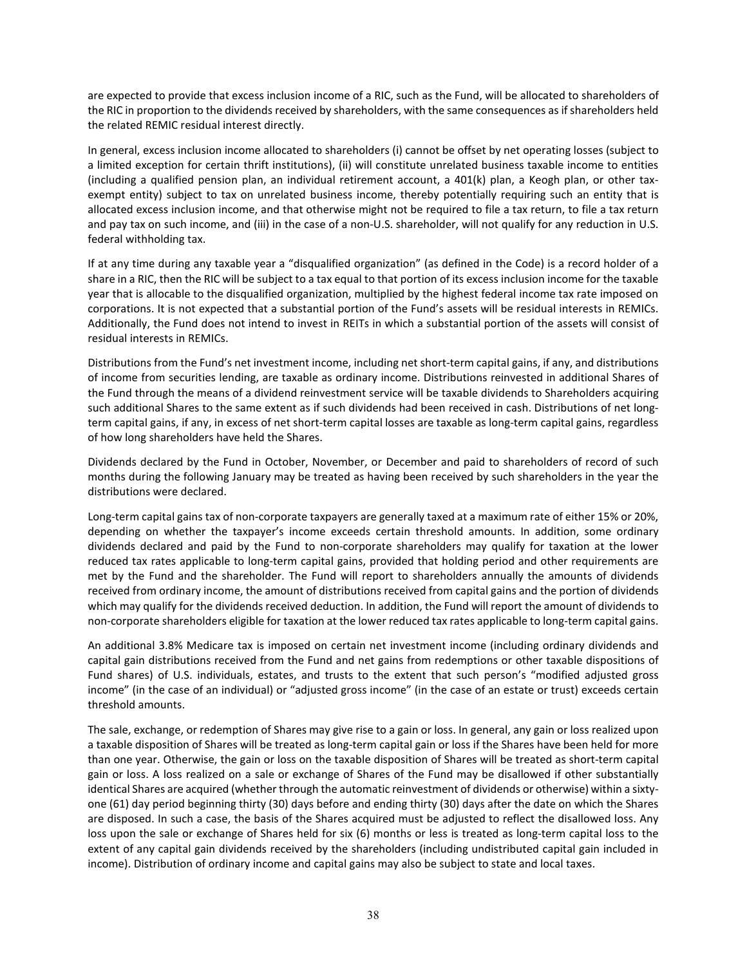are expected to provide that excess inclusion income of a RIC, such as the Fund, will be allocated to shareholders of the RIC in proportion to the dividends received by shareholders, with the same consequences as if shareholders held the related REMIC residual interest directly.

In general, excess inclusion income allocated to shareholders (i) cannot be offset by net operating losses (subject to a limited exception for certain thrift institutions), (ii) will constitute unrelated business taxable income to entities (including a qualified pension plan, an individual retirement account, a 401(k) plan, a Keogh plan, or other taxexempt entity) subject to tax on unrelated business income, thereby potentially requiring such an entity that is allocated excess inclusion income, and that otherwise might not be required to file a tax return, to file a tax return and pay tax on such income, and (iii) in the case of a non-U.S. shareholder, will not qualify for any reduction in U.S. federal withholding tax.

If at any time during any taxable year a "disqualified organization" (as defined in the Code) is a record holder of a share in a RIC, then the RIC will be subject to a tax equal to that portion of its excess inclusion income for the taxable year that is allocable to the disqualified organization, multiplied by the highest federal income tax rate imposed on corporations. It is not expected that a substantial portion of the Fund's assets will be residual interests in REMICs. Additionally, the Fund does not intend to invest in REITs in which a substantial portion of the assets will consist of residual interests in REMICs.

Distributions from the Fund's net investment income, including net short-term capital gains, if any, and distributions of income from securities lending, are taxable as ordinary income. Distributions reinvested in additional Shares of the Fund through the means of a dividend reinvestment service will be taxable dividends to Shareholders acquiring such additional Shares to the same extent as if such dividends had been received in cash. Distributions of net longterm capital gains, if any, in excess of net short-term capital losses are taxable as long-term capital gains, regardless of how long shareholders have held the Shares.

Dividends declared by the Fund in October, November, or December and paid to shareholders of record of such months during the following January may be treated as having been received by such shareholders in the year the distributions were declared.

Long-term capital gains tax of non-corporate taxpayers are generally taxed at a maximum rate of either 15% or 20%, depending on whether the taxpayer's income exceeds certain threshold amounts. In addition, some ordinary dividends declared and paid by the Fund to non-corporate shareholders may qualify for taxation at the lower reduced tax rates applicable to long-term capital gains, provided that holding period and other requirements are met by the Fund and the shareholder. The Fund will report to shareholders annually the amounts of dividends received from ordinary income, the amount of distributions received from capital gains and the portion of dividends which may qualify for the dividends received deduction. In addition, the Fund will report the amount of dividends to non-corporate shareholders eligible for taxation at the lower reduced tax rates applicable to long-term capital gains.

An additional 3.8% Medicare tax is imposed on certain net investment income (including ordinary dividends and capital gain distributions received from the Fund and net gains from redemptions or other taxable dispositions of Fund shares) of U.S. individuals, estates, and trusts to the extent that such person's "modified adjusted gross income" (in the case of an individual) or "adjusted gross income" (in the case of an estate or trust) exceeds certain threshold amounts.

The sale, exchange, or redemption of Shares may give rise to a gain or loss. In general, any gain or loss realized upon a taxable disposition of Shares will be treated as long-term capital gain or loss if the Shares have been held for more than one year. Otherwise, the gain or loss on the taxable disposition of Shares will be treated as short-term capital gain or loss. A loss realized on a sale or exchange of Shares of the Fund may be disallowed if other substantially identical Shares are acquired (whether through the automatic reinvestment of dividends or otherwise) within a sixtyone (61) day period beginning thirty (30) days before and ending thirty (30) days after the date on which the Shares are disposed. In such a case, the basis of the Shares acquired must be adjusted to reflect the disallowed loss. Any loss upon the sale or exchange of Shares held for six (6) months or less is treated as long-term capital loss to the extent of any capital gain dividends received by the shareholders (including undistributed capital gain included in income). Distribution of ordinary income and capital gains may also be subject to state and local taxes.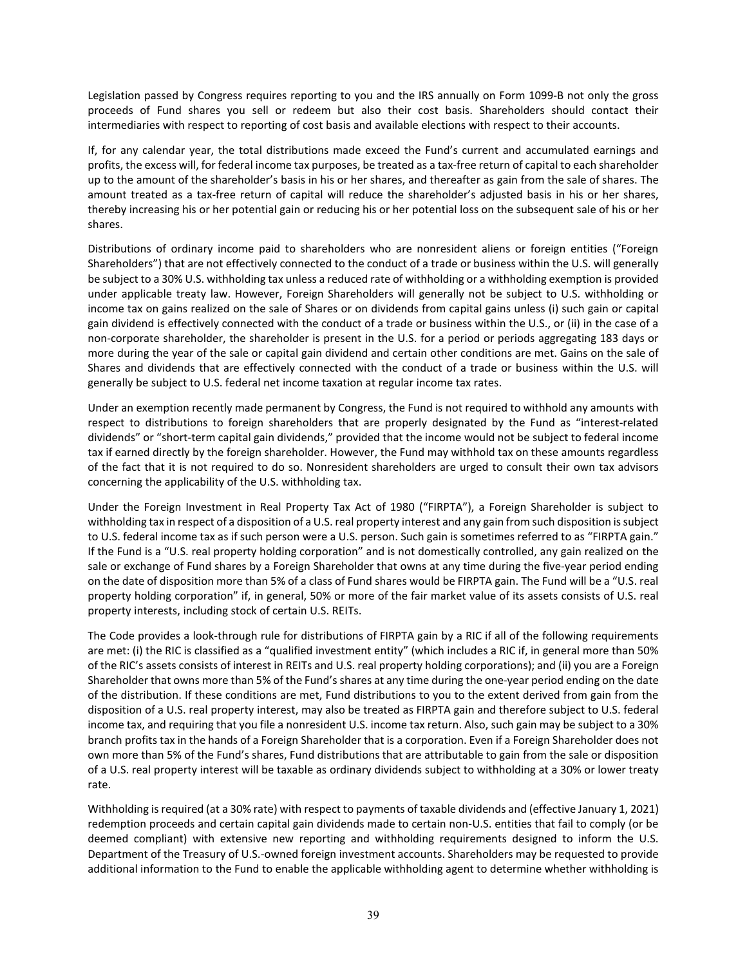Legislation passed by Congress requires reporting to you and the IRS annually on Form 1099-B not only the gross proceeds of Fund shares you sell or redeem but also their cost basis. Shareholders should contact their intermediaries with respect to reporting of cost basis and available elections with respect to their accounts.

If, for any calendar year, the total distributions made exceed the Fund's current and accumulated earnings and profits, the excess will, for federal income tax purposes, be treated as a tax-free return of capital to each shareholder up to the amount of the shareholder's basis in his or her shares, and thereafter as gain from the sale of shares. The amount treated as a tax-free return of capital will reduce the shareholder's adjusted basis in his or her shares, thereby increasing his or her potential gain or reducing his or her potential loss on the subsequent sale of his or her shares.

Distributions of ordinary income paid to shareholders who are nonresident aliens or foreign entities ("Foreign Shareholders") that are not effectively connected to the conduct of a trade or business within the U.S. will generally be subject to a 30% U.S. withholding tax unless a reduced rate of withholding or a withholding exemption is provided under applicable treaty law. However, Foreign Shareholders will generally not be subject to U.S. withholding or income tax on gains realized on the sale of Shares or on dividends from capital gains unless (i) such gain or capital gain dividend is effectively connected with the conduct of a trade or business within the U.S., or (ii) in the case of a non-corporate shareholder, the shareholder is present in the U.S. for a period or periods aggregating 183 days or more during the year of the sale or capital gain dividend and certain other conditions are met. Gains on the sale of Shares and dividends that are effectively connected with the conduct of a trade or business within the U.S. will generally be subject to U.S. federal net income taxation at regular income tax rates.

Under an exemption recently made permanent by Congress, the Fund is not required to withhold any amounts with respect to distributions to foreign shareholders that are properly designated by the Fund as "interest-related dividends" or "short-term capital gain dividends," provided that the income would not be subject to federal income tax if earned directly by the foreign shareholder. However, the Fund may withhold tax on these amounts regardless of the fact that it is not required to do so. Nonresident shareholders are urged to consult their own tax advisors concerning the applicability of the U.S. withholding tax.

Under the Foreign Investment in Real Property Tax Act of 1980 ("FIRPTA"), a Foreign Shareholder is subject to withholding tax in respect of a disposition of a U.S. real property interest and any gain from such disposition is subject to U.S. federal income tax as if such person were a U.S. person. Such gain is sometimes referred to as "FIRPTA gain." If the Fund is a "U.S. real property holding corporation" and is not domestically controlled, any gain realized on the sale or exchange of Fund shares by a Foreign Shareholder that owns at any time during the five-year period ending on the date of disposition more than 5% of a class of Fund shares would be FIRPTA gain. The Fund will be a "U.S. real property holding corporation" if, in general, 50% or more of the fair market value of its assets consists of U.S. real property interests, including stock of certain U.S. REITs.

The Code provides a look-through rule for distributions of FIRPTA gain by a RIC if all of the following requirements are met: (i) the RIC is classified as a "qualified investment entity" (which includes a RIC if, in general more than 50% of the RIC's assets consists of interest in REITs and U.S. real property holding corporations); and (ii) you are a Foreign Shareholder that owns more than 5% of the Fund's shares at any time during the one-year period ending on the date of the distribution. If these conditions are met, Fund distributions to you to the extent derived from gain from the disposition of a U.S. real property interest, may also be treated as FIRPTA gain and therefore subject to U.S. federal income tax, and requiring that you file a nonresident U.S. income tax return. Also, such gain may be subject to a 30% branch profits tax in the hands of a Foreign Shareholder that is a corporation. Even if a Foreign Shareholder does not own more than 5% of the Fund's shares, Fund distributions that are attributable to gain from the sale or disposition of a U.S. real property interest will be taxable as ordinary dividends subject to withholding at a 30% or lower treaty rate.

Withholding is required (at a 30% rate) with respect to payments of taxable dividends and (effective January 1, 2021) redemption proceeds and certain capital gain dividends made to certain non-U.S. entities that fail to comply (or be deemed compliant) with extensive new reporting and withholding requirements designed to inform the U.S. Department of the Treasury of U.S.-owned foreign investment accounts. Shareholders may be requested to provide additional information to the Fund to enable the applicable withholding agent to determine whether withholding is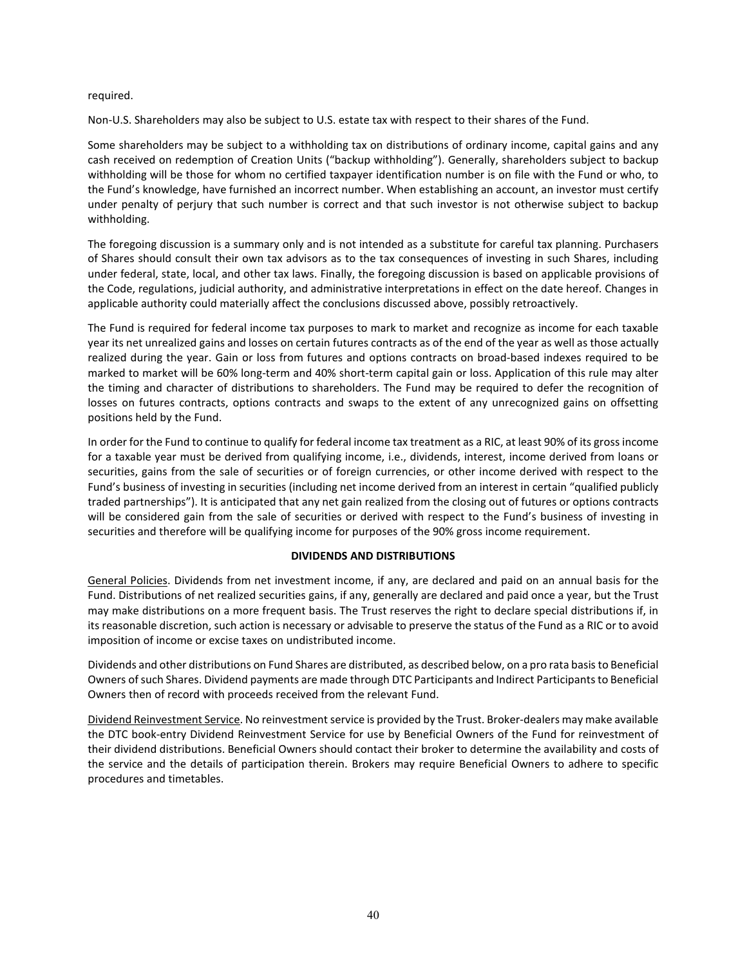#### required.

Non-U.S. Shareholders may also be subject to U.S. estate tax with respect to their shares of the Fund.

Some shareholders may be subject to a withholding tax on distributions of ordinary income, capital gains and any cash received on redemption of Creation Units ("backup withholding"). Generally, shareholders subject to backup withholding will be those for whom no certified taxpayer identification number is on file with the Fund or who, to the Fund's knowledge, have furnished an incorrect number. When establishing an account, an investor must certify under penalty of perjury that such number is correct and that such investor is not otherwise subject to backup withholding.

The foregoing discussion is a summary only and is not intended as a substitute for careful tax planning. Purchasers of Shares should consult their own tax advisors as to the tax consequences of investing in such Shares, including under federal, state, local, and other tax laws. Finally, the foregoing discussion is based on applicable provisions of the Code, regulations, judicial authority, and administrative interpretations in effect on the date hereof. Changes in applicable authority could materially affect the conclusions discussed above, possibly retroactively.

The Fund is required for federal income tax purposes to mark to market and recognize as income for each taxable year its net unrealized gains and losses on certain futures contracts as of the end of the year as well as those actually realized during the year. Gain or loss from futures and options contracts on broad-based indexes required to be marked to market will be 60% long-term and 40% short-term capital gain or loss. Application of this rule may alter the timing and character of distributions to shareholders. The Fund may be required to defer the recognition of losses on futures contracts, options contracts and swaps to the extent of any unrecognized gains on offsetting positions held by the Fund.

In order for the Fund to continue to qualify for federal income tax treatment as a RIC, at least 90% of its gross income for a taxable year must be derived from qualifying income, i.e., dividends, interest, income derived from loans or securities, gains from the sale of securities or of foreign currencies, or other income derived with respect to the Fund's business of investing in securities (including net income derived from an interest in certain "qualified publicly traded partnerships"). It is anticipated that any net gain realized from the closing out of futures or options contracts will be considered gain from the sale of securities or derived with respect to the Fund's business of investing in securities and therefore will be qualifying income for purposes of the 90% gross income requirement.

## **DIVIDENDS AND DISTRIBUTIONS**

General Policies. Dividends from net investment income, if any, are declared and paid on an annual basis for the Fund. Distributions of net realized securities gains, if any, generally are declared and paid once a year, but the Trust may make distributions on a more frequent basis. The Trust reserves the right to declare special distributions if, in its reasonable discretion, such action is necessary or advisable to preserve the status of the Fund as a RIC or to avoid imposition of income or excise taxes on undistributed income.

Dividends and other distributions on Fund Shares are distributed, as described below, on a pro rata basis to Beneficial Owners of such Shares. Dividend payments are made through DTC Participants and Indirect Participants to Beneficial Owners then of record with proceeds received from the relevant Fund.

Dividend Reinvestment Service. No reinvestment service is provided by the Trust. Broker-dealers may make available the DTC book-entry Dividend Reinvestment Service for use by Beneficial Owners of the Fund for reinvestment of their dividend distributions. Beneficial Owners should contact their broker to determine the availability and costs of the service and the details of participation therein. Brokers may require Beneficial Owners to adhere to specific procedures and timetables.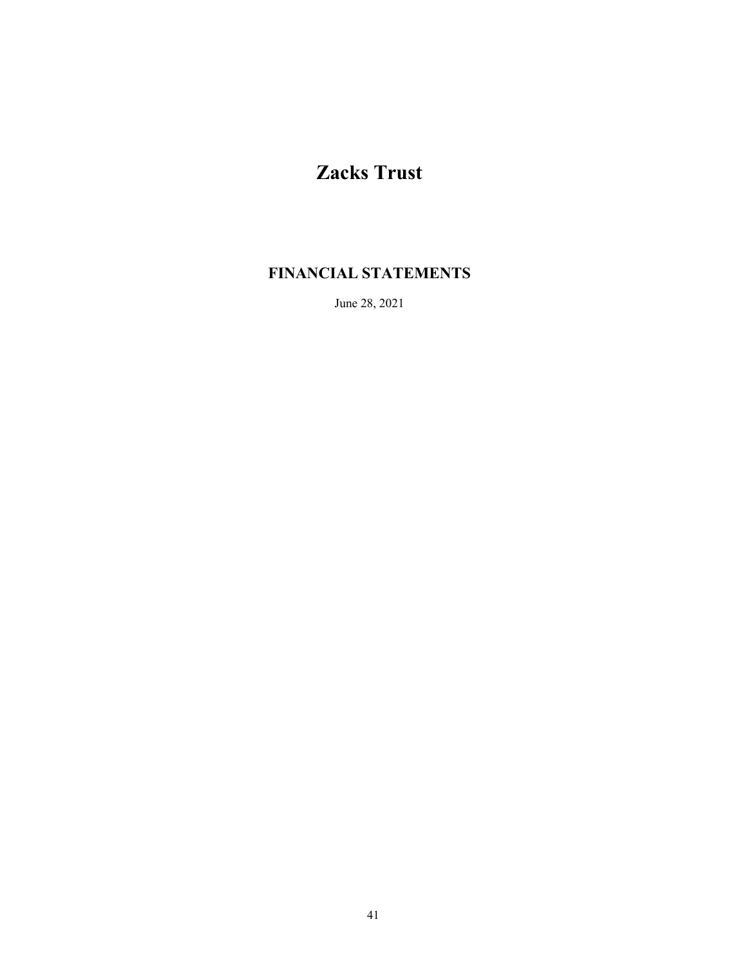# **Zacks Trust**

# **FINANCIAL STATEMENTS**

June 28, 2021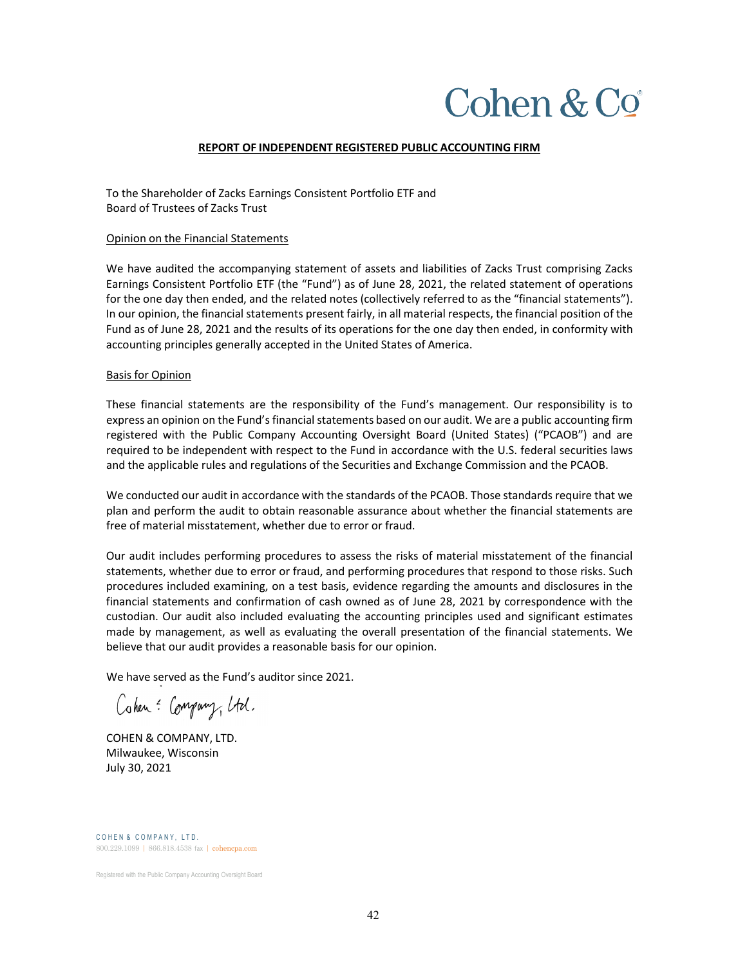# Cohen  $& Co$

#### **REPORT OF INDEPENDENT REGISTERED PUBLIC ACCOUNTING FIRM**

To the Shareholder of Zacks Earnings Consistent Portfolio ETF and Board of Trustees of Zacks Trust

#### Opinion on the Financial Statements

We have audited the accompanying statement of assets and liabilities of Zacks Trust comprising Zacks Earnings Consistent Portfolio ETF (the "Fund") as of June 28, 2021, the related statement of operations for the one day then ended, and the related notes (collectively referred to as the "financial statements"). In our opinion, the financial statements present fairly, in all material respects, the financial position of the Fund as of June 28, 2021 and the results of its operations for the one day then ended, in conformity with accounting principles generally accepted in the United States of America.

#### Basis for Opinion

These financial statements are the responsibility of the Fund's management. Our responsibility is to express an opinion on the Fund's financial statements based on our audit. We are a public accounting firm registered with the Public Company Accounting Oversight Board (United States) ("PCAOB") and are required to be independent with respect to the Fund in accordance with the U.S. federal securities laws and the applicable rules and regulations of the Securities and Exchange Commission and the PCAOB.

We conducted our audit in accordance with the standards of the PCAOB. Those standards require that we plan and perform the audit to obtain reasonable assurance about whether the financial statements are free of material misstatement, whether due to error or fraud.

Our audit includes performing procedures to assess the risks of material misstatement of the financial statements, whether due to error or fraud, and performing procedures that respond to those risks. Such procedures included examining, on a test basis, evidence regarding the amounts and disclosures in the financial statements and confirmation of cash owned as of June 28, 2021 by correspondence with the custodian. Our audit also included evaluating the accounting principles used and significant estimates made by management, as well as evaluating the overall presentation of the financial statements. We believe that our audit provides a reasonable basis for our opinion.

We have served as the Fund's auditor since 2021.

Cohen: Company, Utd.

COHEN & COMPANY, LTD. Milwaukee, Wisconsin July 30, 2021

COHEN & COMPANY, LTD. 800.229.1099 | 866.818.4538 fax | cohencpa.com

Registered with the Public Company Accounting Oversight Board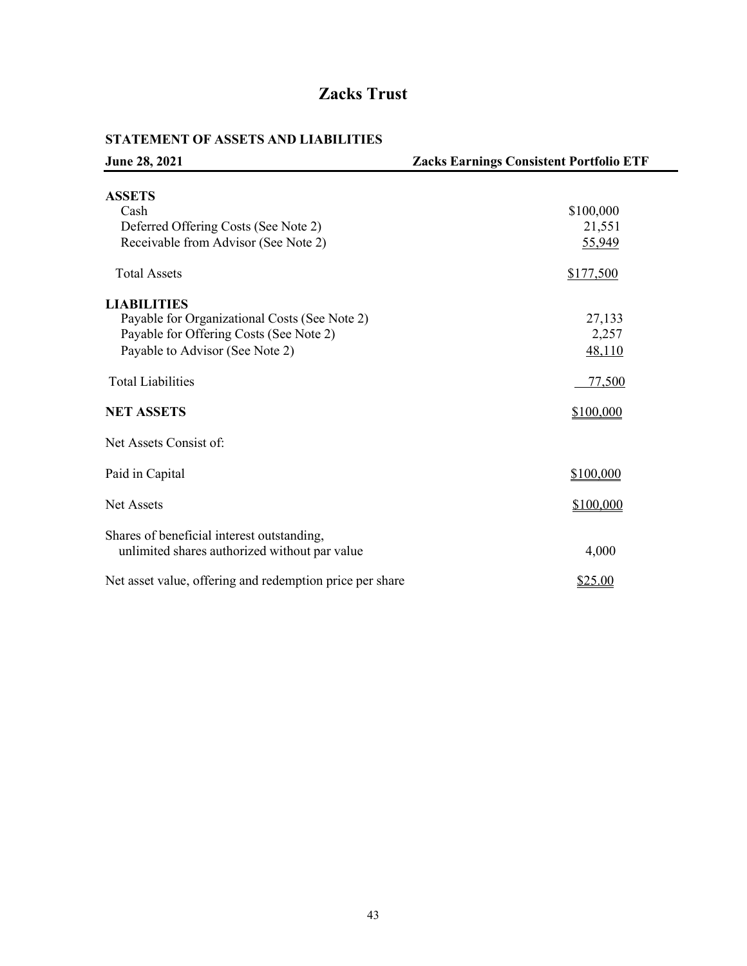# **Zacks Trust**

# **STATEMENT OF ASSETS AND LIABILITIES**

| June 28, 2021                                                                               | <b>Zacks Earnings Consistent Portfolio ETF</b> |
|---------------------------------------------------------------------------------------------|------------------------------------------------|
| <b>ASSETS</b>                                                                               |                                                |
| Cash                                                                                        | \$100,000                                      |
| Deferred Offering Costs (See Note 2)                                                        | 21,551                                         |
| Receivable from Advisor (See Note 2)                                                        | 55,949                                         |
| <b>Total Assets</b>                                                                         | \$177,500                                      |
| <b>LIABILITIES</b>                                                                          |                                                |
| Payable for Organizational Costs (See Note 2)                                               | 27,133                                         |
| Payable for Offering Costs (See Note 2)                                                     | 2,257                                          |
| Payable to Advisor (See Note 2)                                                             | 48,110                                         |
| <b>Total Liabilities</b>                                                                    | 77,500                                         |
| <b>NET ASSETS</b>                                                                           | \$100,000                                      |
| Net Assets Consist of:                                                                      |                                                |
| Paid in Capital                                                                             | \$100,000                                      |
| Net Assets                                                                                  | \$100,000                                      |
| Shares of beneficial interest outstanding,<br>unlimited shares authorized without par value | 4,000                                          |
| Net asset value, offering and redemption price per share                                    | \$25.00                                        |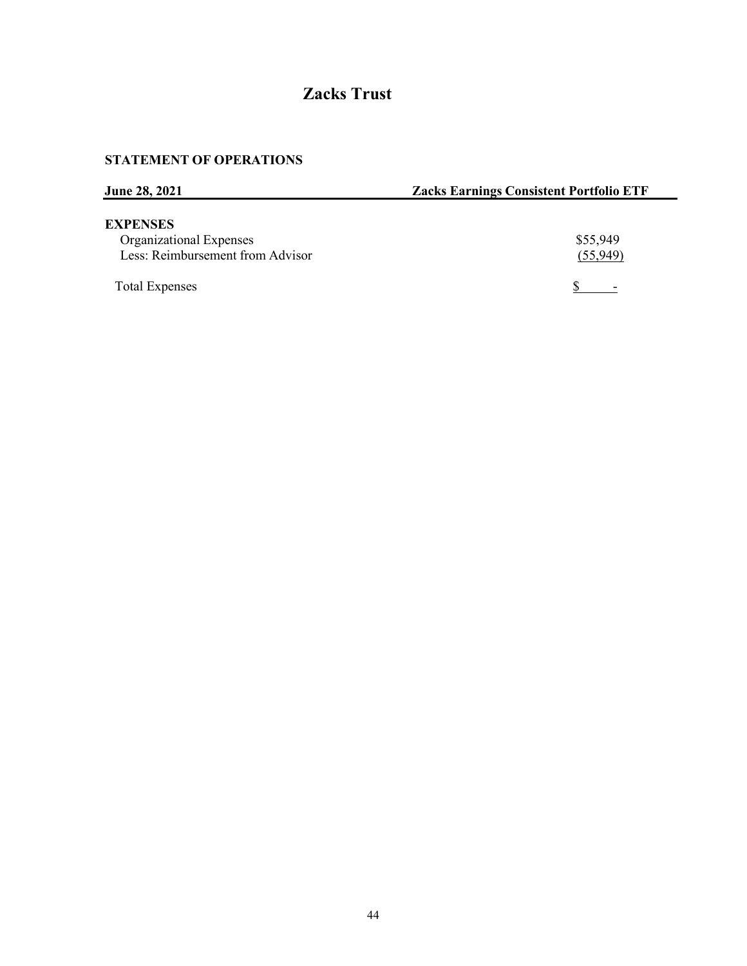# **Zacks Trust**

# **STATEMENT OF OPERATIONS**

| <b>June 28, 2021</b>             | <b>Zacks Earnings Consistent Portfolio ETF</b> |
|----------------------------------|------------------------------------------------|
| <b>EXPENSES</b>                  |                                                |
| Organizational Expenses          | \$55,949                                       |
| Less: Reimbursement from Advisor | (55,949)                                       |
| <b>Total Expenses</b>            |                                                |

 $\overline{\phantom{a}}$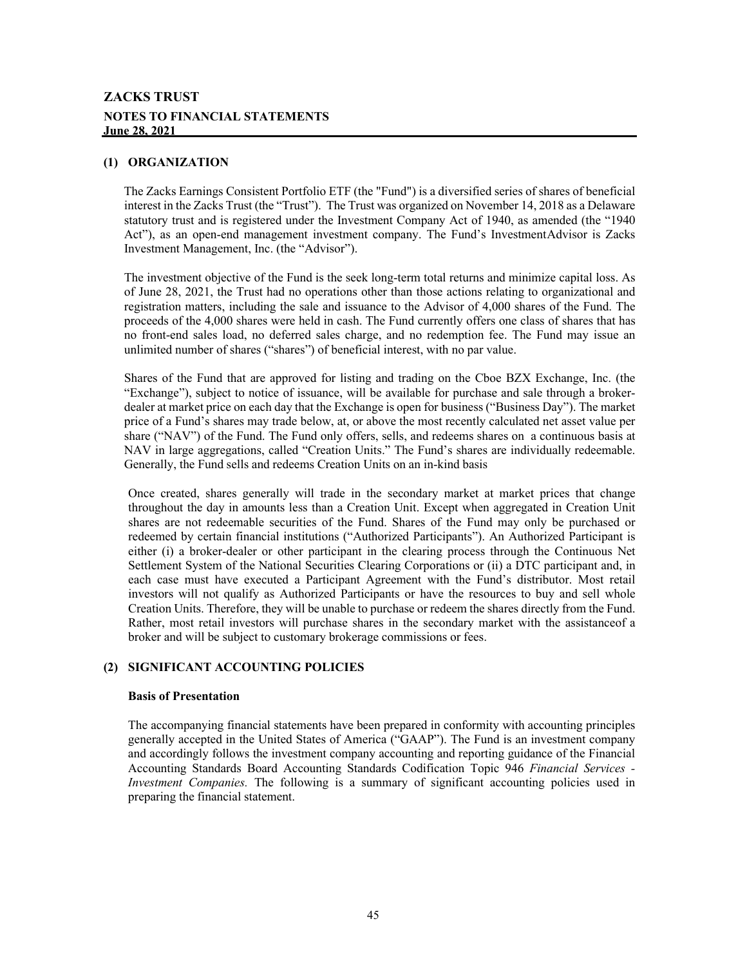# **ZACKS TRUST NOTES TO FINANCIAL STATEMENTS June 28, 2021**

#### **(1) ORGANIZATION**

The Zacks Earnings Consistent Portfolio ETF (the "Fund") is a diversified series of shares of beneficial interest in the Zacks Trust (the "Trust"). The Trust was organized on November 14, 2018 as a Delaware statutory trust and is registered under the Investment Company Act of 1940, as amended (the "1940 Act"), as an open-end management investment company. The Fund's InvestmentAdvisor is Zacks Investment Management, Inc. (the "Advisor").

The investment objective of the Fund is the seek long-term total returns and minimize capital loss. As of June 28, 2021, the Trust had no operations other than those actions relating to organizational and registration matters, including the sale and issuance to the Advisor of 4,000 shares of the Fund. The proceeds of the 4,000 shares were held in cash. The Fund currently offers one class of shares that has no front-end sales load, no deferred sales charge, and no redemption fee. The Fund may issue an unlimited number of shares ("shares") of beneficial interest, with no par value.

Shares of the Fund that are approved for listing and trading on the Cboe BZX Exchange, Inc. (the "Exchange"), subject to notice of issuance, will be available for purchase and sale through a brokerdealer at market price on each day that the Exchange is open for business ("Business Day"). The market price of a Fund's shares may trade below, at, or above the most recently calculated net asset value per share ("NAV") of the Fund. The Fund only offers, sells, and redeems shares on a continuous basis at NAV in large aggregations, called "Creation Units." The Fund's shares are individually redeemable. Generally, the Fund sells and redeems Creation Units on an in-kind basis

Once created, shares generally will trade in the secondary market at market prices that change throughout the day in amounts less than a Creation Unit. Except when aggregated in Creation Unit shares are not redeemable securities of the Fund. Shares of the Fund may only be purchased or redeemed by certain financial institutions ("Authorized Participants"). An Authorized Participant is either (i) a broker-dealer or other participant in the clearing process through the Continuous Net Settlement System of the National Securities Clearing Corporations or (ii) a DTC participant and, in each case must have executed a Participant Agreement with the Fund's distributor. Most retail investors will not qualify as Authorized Participants or have the resources to buy and sell whole Creation Units. Therefore, they will be unable to purchase or redeem the shares directly from the Fund. Rather, most retail investors will purchase shares in the secondary market with the assistanceof a broker and will be subject to customary brokerage commissions or fees.

#### **(2) SIGNIFICANT ACCOUNTING POLICIES**

#### **Basis of Presentation**

The accompanying financial statements have been prepared in conformity with accounting principles generally accepted in the United States of America ("GAAP"). The Fund is an investment company and accordingly follows the investment company accounting and reporting guidance of the Financial Accounting Standards Board Accounting Standards Codification Topic 946 *Financial Services - Investment Companies.* The following is a summary of significant accounting policies used in preparing the financial statement.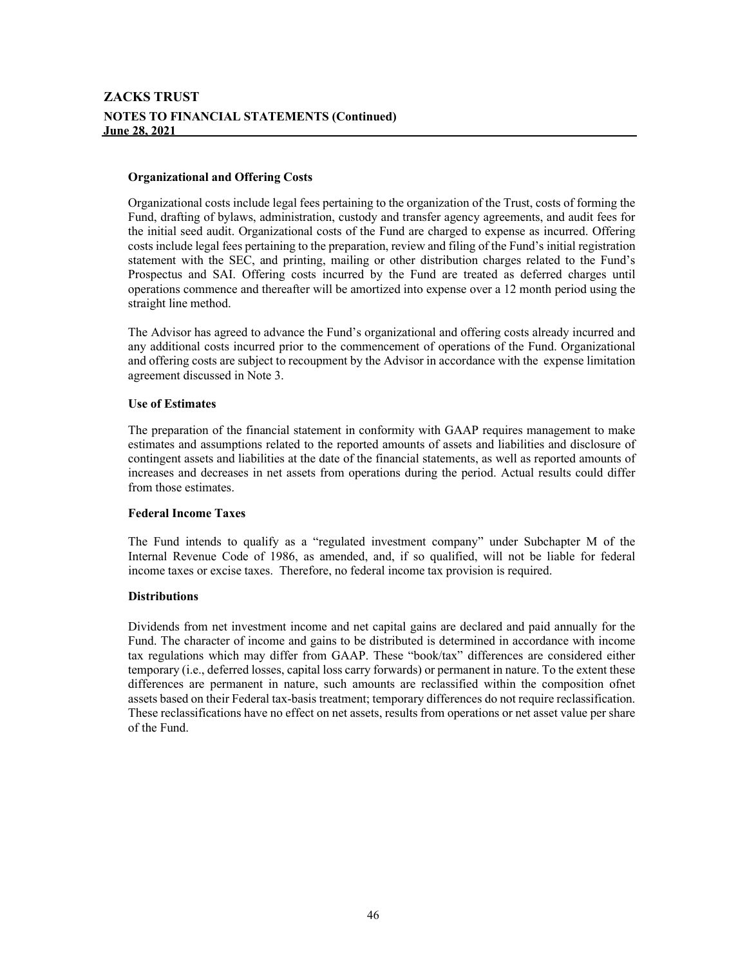#### **Organizational and Offering Costs**

Organizational costs include legal fees pertaining to the organization of the Trust, costs of forming the Fund, drafting of bylaws, administration, custody and transfer agency agreements, and audit fees for the initial seed audit. Organizational costs of the Fund are charged to expense as incurred. Offering costs include legal fees pertaining to the preparation, review and filing of the Fund's initial registration statement with the SEC, and printing, mailing or other distribution charges related to the Fund's Prospectus and SAI. Offering costs incurred by the Fund are treated as deferred charges until operations commence and thereafter will be amortized into expense over a 12 month period using the straight line method.

The Advisor has agreed to advance the Fund's organizational and offering costs already incurred and any additional costs incurred prior to the commencement of operations of the Fund. Organizational and offering costs are subject to recoupment by the Advisor in accordance with the expense limitation agreement discussed in Note 3.

#### **Use of Estimates**

The preparation of the financial statement in conformity with GAAP requires management to make estimates and assumptions related to the reported amounts of assets and liabilities and disclosure of contingent assets and liabilities at the date of the financial statements, as well as reported amounts of increases and decreases in net assets from operations during the period. Actual results could differ from those estimates.

#### **Federal Income Taxes**

The Fund intends to qualify as a "regulated investment company" under Subchapter M of the Internal Revenue Code of 1986, as amended, and, if so qualified, will not be liable for federal income taxes or excise taxes. Therefore, no federal income tax provision is required.

#### **Distributions**

Dividends from net investment income and net capital gains are declared and paid annually for the Fund. The character of income and gains to be distributed is determined in accordance with income tax regulations which may differ from GAAP. These "book/tax" differences are considered either temporary (i.e., deferred losses, capital loss carry forwards) or permanent in nature. To the extent these differences are permanent in nature, such amounts are reclassified within the composition ofnet assets based on their Federal tax-basis treatment; temporary differences do not require reclassification. These reclassifications have no effect on net assets, results from operations or net asset value per share of the Fund.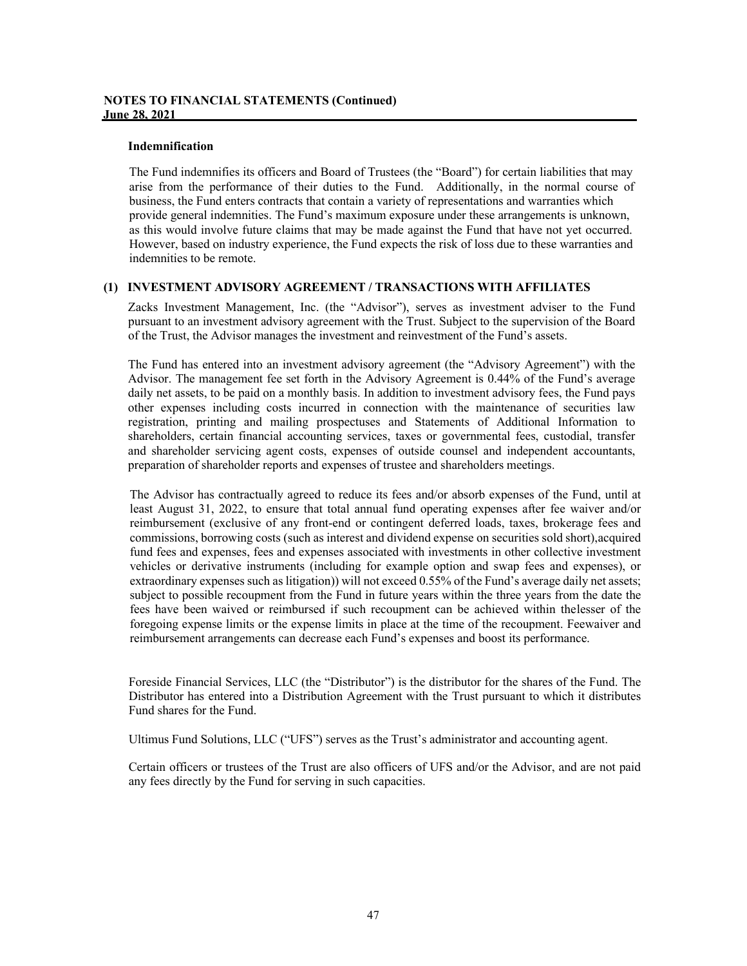#### **Indemnification**

The Fund indemnifies its officers and Board of Trustees (the "Board") for certain liabilities that may arise from the performance of their duties to the Fund. Additionally, in the normal course of business, the Fund enters contracts that contain a variety of representations and warranties which provide general indemnities. The Fund's maximum exposure under these arrangements is unknown, as this would involve future claims that may be made against the Fund that have not yet occurred. However, based on industry experience, the Fund expects the risk of loss due to these warranties and indemnities to be remote.

#### **(1) INVESTMENT ADVISORY AGREEMENT / TRANSACTIONS WITH AFFILIATES**

Zacks Investment Management, Inc. (the "Advisor"), serves as investment adviser to the Fund pursuant to an investment advisory agreement with the Trust. Subject to the supervision of the Board of the Trust, the Advisor manages the investment and reinvestment of the Fund's assets.

The Fund has entered into an investment advisory agreement (the "Advisory Agreement") with the Advisor. The management fee set forth in the Advisory Agreement is 0.44% of the Fund's average daily net assets, to be paid on a monthly basis. In addition to investment advisory fees, the Fund pays other expenses including costs incurred in connection with the maintenance of securities law registration, printing and mailing prospectuses and Statements of Additional Information to shareholders, certain financial accounting services, taxes or governmental fees, custodial, transfer and shareholder servicing agent costs, expenses of outside counsel and independent accountants, preparation of shareholder reports and expenses of trustee and shareholders meetings.

The Advisor has contractually agreed to reduce its fees and/or absorb expenses of the Fund, until at least August 31, 2022, to ensure that total annual fund operating expenses after fee waiver and/or reimbursement (exclusive of any front-end or contingent deferred loads, taxes, brokerage fees and commissions, borrowing costs (such as interest and dividend expense on securities sold short),acquired fund fees and expenses, fees and expenses associated with investments in other collective investment vehicles or derivative instruments (including for example option and swap fees and expenses), or extraordinary expenses such as litigation)) will not exceed 0.55% of the Fund's average daily net assets; subject to possible recoupment from the Fund in future years within the three years from the date the fees have been waived or reimbursed if such recoupment can be achieved within thelesser of the foregoing expense limits or the expense limits in place at the time of the recoupment. Feewaiver and reimbursement arrangements can decrease each Fund's expenses and boost its performance.

Foreside Financial Services, LLC (the "Distributor") is the distributor for the shares of the Fund. The Distributor has entered into a Distribution Agreement with the Trust pursuant to which it distributes Fund shares for the Fund.

Ultimus Fund Solutions, LLC ("UFS") serves as the Trust's administrator and accounting agent.

Certain officers or trustees of the Trust are also officers of UFS and/or the Advisor, and are not paid any fees directly by the Fund for serving in such capacities.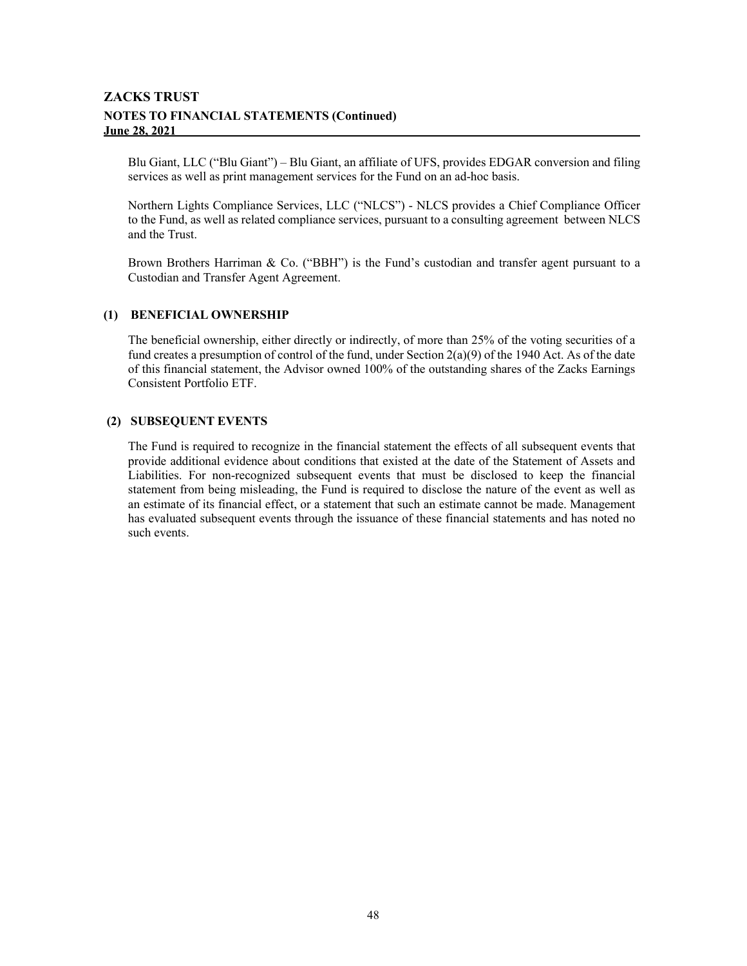# **ZACKS TRUST NOTES TO FINANCIAL STATEMENTS (Continued) June 28, 2021**

Blu Giant, LLC ("Blu Giant") – Blu Giant, an affiliate of UFS, provides EDGAR conversion and filing services as well as print management services for the Fund on an ad-hoc basis.

Northern Lights Compliance Services, LLC ("NLCS") - NLCS provides a Chief Compliance Officer to the Fund, as well as related compliance services, pursuant to a consulting agreement between NLCS and the Trust.

Brown Brothers Harriman & Co. ("BBH") is the Fund's custodian and transfer agent pursuant to a Custodian and Transfer Agent Agreement.

#### **(1) BENEFICIAL OWNERSHIP**

The beneficial ownership, either directly or indirectly, of more than 25% of the voting securities of a fund creates a presumption of control of the fund, under Section  $2(a)(9)$  of the 1940 Act. As of the date of this financial statement, the Advisor owned 100% of the outstanding shares of the Zacks Earnings Consistent Portfolio ETF.

#### **(2) SUBSEQUENT EVENTS**

The Fund is required to recognize in the financial statement the effects of all subsequent events that provide additional evidence about conditions that existed at the date of the Statement of Assets and Liabilities. For non-recognized subsequent events that must be disclosed to keep the financial statement from being misleading, the Fund is required to disclose the nature of the event as well as an estimate of its financial effect, or a statement that such an estimate cannot be made. Management has evaluated subsequent events through the issuance of these financial statements and has noted no such events.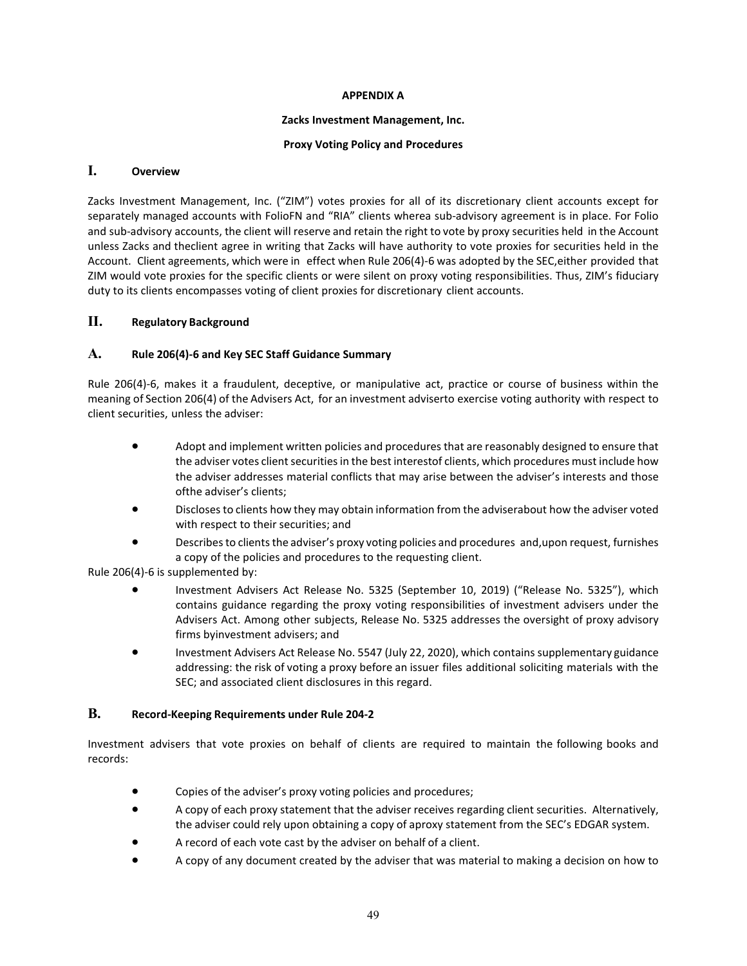#### **APPENDIX A**

#### **Zacks Investment Management, Inc.**

#### **Proxy Voting Policy and Procedures**

## **I. Overview**

Zacks Investment Management, Inc. ("ZIM") votes proxies for all of its discretionary client accounts except for separately managed accounts with FolioFN and "RIA" clients wherea sub-advisory agreement is in place. For Folio and sub-advisory accounts, the client will reserve and retain the right to vote by proxy securities held in the Account unless Zacks and theclient agree in writing that Zacks will have authority to vote proxies for securities held in the Account. Client agreements, which were in effect when Rule 206(4)-6 was adopted by the SEC,either provided that ZIM would vote proxies for the specific clients or were silent on proxy voting responsibilities. Thus, ZIM's fiduciary duty to its clients encompasses voting of client proxies for discretionary client accounts.

# **II. Regulatory Background**

## **A. Rule 206(4)-6 and Key SEC Staff Guidance Summary**

Rule 206(4)-6, makes it a fraudulent, deceptive, or manipulative act, practice or course of business within the meaning of Section 206(4) of the Advisers Act, for an investment adviserto exercise voting authority with respect to client securities, unless the adviser:

- Adopt and implement written policies and procedures that are reasonably designed to ensure that the adviser votes client securities in the best interestof clients, which procedures must include how the adviser addresses material conflicts that may arise between the adviser's interests and those ofthe adviser's clients;
- Discloses to clients how they may obtain information from the adviserabout how the adviser voted with respect to their securities; and
- Describes to clients the adviser's proxy voting policies and procedures and, upon request, furnishes a copy of the policies and procedures to the requesting client.

Rule 206(4)-6 is supplemented by:

- Investment Advisers Act Release No. 5325 (September 10, 2019) ("Release No. 5325"), which contains guidance regarding the proxy voting responsibilities of investment advisers under the Advisers Act. Among other subjects, Release No. 5325 addresses the oversight of proxy advisory firms byinvestment advisers; and
- Investment Advisers Act Release No. 5547 (July 22, 2020), which contains supplementary guidance addressing: the risk of voting a proxy before an issuer files additional soliciting materials with the SEC; and associated client disclosures in this regard.

## **B. Record-Keeping Requirements under Rule 204-2**

Investment advisers that vote proxies on behalf of clients are required to maintain the following books and records:

- Copies of the adviser's proxy voting policies and procedures;
- A copy of each proxy statement that the adviser receives regarding client securities. Alternatively, the adviser could rely upon obtaining a copy of aproxy statement from the SEC's EDGAR system.
- A record of each vote cast by the adviser on behalf of a client.
- A copy of any document created by the adviser that was material to making a decision on how to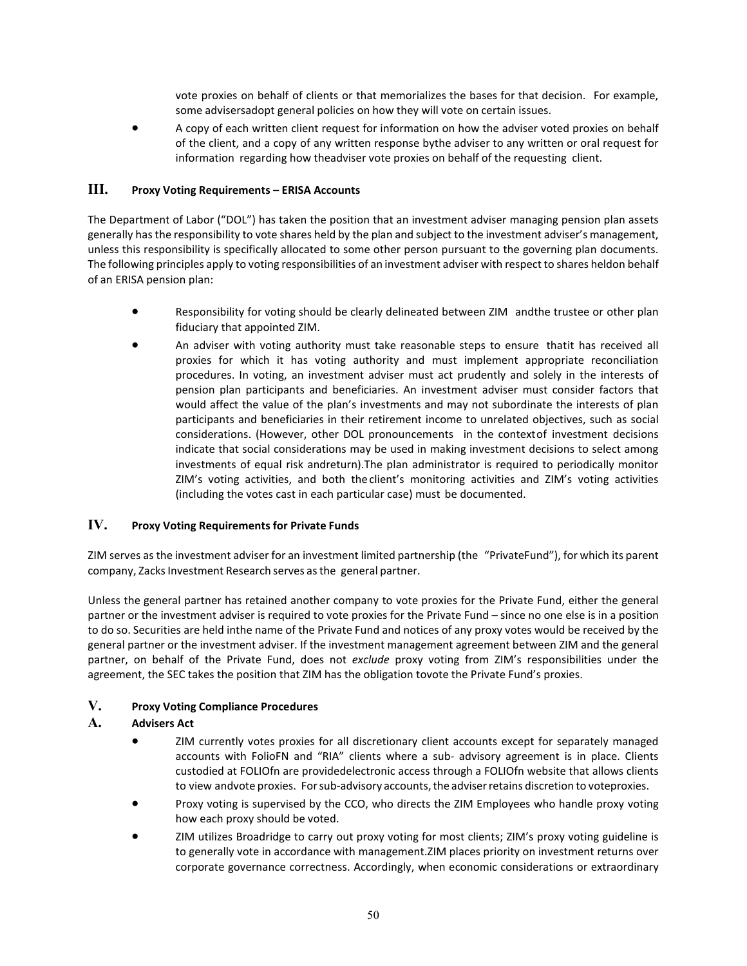vote proxies on behalf of clients or that memorializes the bases for that decision. For example, some advisersadopt general policies on how they will vote on certain issues.

• A copy of each written client request for information on how the adviser voted proxies on behalf of the client, and a copy of any written response bythe adviser to any written or oral request for information regarding how theadviser vote proxies on behalf of the requesting client.

# **III. Proxy Voting Requirements – ERISA Accounts**

The Department of Labor ("DOL") has taken the position that an investment adviser managing pension plan assets generally has the responsibility to vote shares held by the plan and subject to the investment adviser's management, unless this responsibility is specifically allocated to some other person pursuant to the governing plan documents. The following principles apply to voting responsibilities of an investment adviser with respect to shares heldon behalf of an ERISA pension plan:

- Responsibility for voting should be clearly delineated between ZIM andthe trustee or other plan fiduciary that appointed ZIM.
- An adviser with voting authority must take reasonable steps to ensure thatit has received all proxies for which it has voting authority and must implement appropriate reconciliation procedures. In voting, an investment adviser must act prudently and solely in the interests of pension plan participants and beneficiaries. An investment adviser must consider factors that would affect the value of the plan's investments and may not subordinate the interests of plan participants and beneficiaries in their retirement income to unrelated objectives, such as social considerations. (However, other DOL pronouncements in the contextof investment decisions indicate that social considerations may be used in making investment decisions to select among investments of equal risk andreturn).The plan administrator is required to periodically monitor ZIM's voting activities, and both the client's monitoring activities and ZIM's voting activities (including the votes cast in each particular case) must be documented.

# **IV. Proxy Voting Requirements for Private Funds**

ZIM serves as the investment adviser for an investment limited partnership (the "PrivateFund"), for which its parent company, Zacks Investment Research serves as the general partner.

Unless the general partner has retained another company to vote proxies for the Private Fund, either the general partner or the investment adviser is required to vote proxies for the Private Fund – since no one else is in a position to do so. Securities are held inthe name of the Private Fund and notices of any proxy votes would be received by the general partner or the investment adviser. If the investment management agreement between ZIM and the general partner, on behalf of the Private Fund, does not *exclude* proxy voting from ZIM's responsibilities under the agreement, the SEC takes the position that ZIM has the obligation tovote the Private Fund's proxies.

# **V. Proxy Voting Compliance Procedures**

# **A. Advisers Act**

- ZIM currently votes proxies for all discretionary client accounts except for separately managed accounts with FolioFN and "RIA" clients where a sub- advisory agreement is in place. Clients custodied at FOLIOfn are providedelectronic access through a FOLIOfn website that allows clients to view andvote proxies. For sub-advisory accounts, the adviser retains discretion to voteproxies.
- Proxy voting is supervised by the CCO, who directs the ZIM Employees who handle proxy voting how each proxy should be voted.
- ZIM utilizes Broadridge to carry out proxy voting for most clients; ZIM's proxy voting guideline is to generally vote in accordance with management.ZIM places priority on investment returns over corporate governance correctness. Accordingly, when economic considerations or extraordinary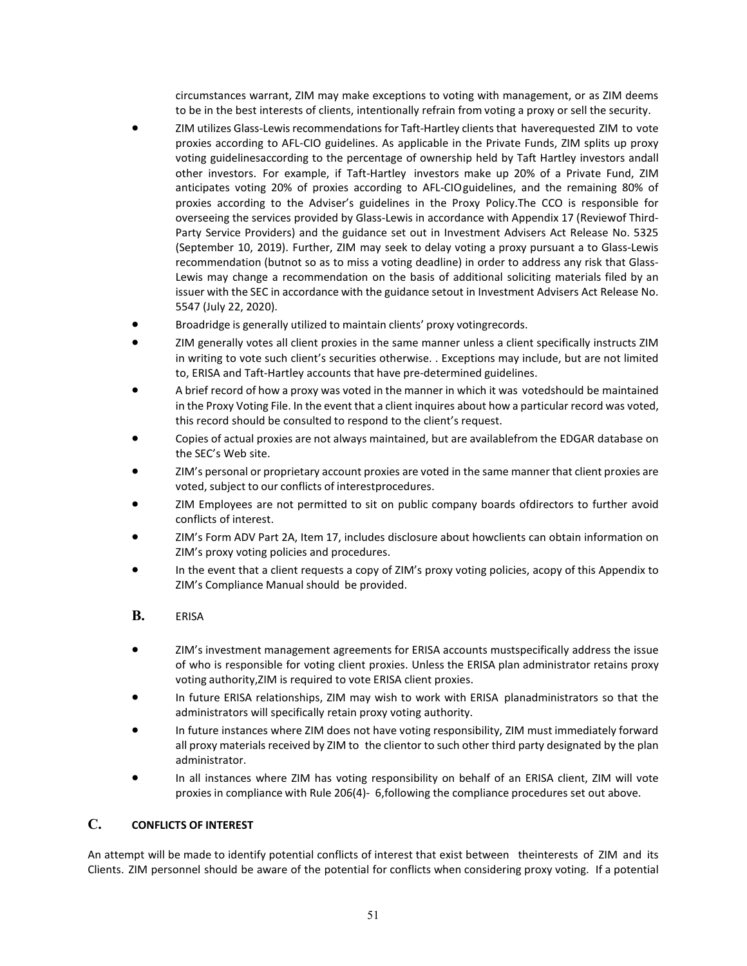circumstances warrant, ZIM may make exceptions to voting with management, or as ZIM deems to be in the best interests of clients, intentionally refrain from voting a proxy or sell the security.

- ZIM utilizes Glass-Lewis recommendations for Taft-Hartley clients that haverequested ZIM to vote proxies according to AFL-CIO guidelines. As applicable in the Private Funds, ZIM splits up proxy voting guidelinesaccording to the percentage of ownership held by Taft Hartley investors andall other investors. For example, if Taft-Hartley investors make up 20% of a Private Fund, ZIM anticipates voting 20% of proxies according to AFL-CIOguidelines, and the remaining 80% of proxies according to the Adviser's guidelines in the Proxy Policy.The CCO is responsible for overseeing the services provided by Glass-Lewis in accordance with Appendix 17 (Reviewof Third-Party Service Providers) and the guidance set out in Investment Advisers Act Release No. 5325 (September 10, 2019). Further, ZIM may seek to delay voting a proxy pursuant a to Glass-Lewis recommendation (butnot so as to miss a voting deadline) in order to address any risk that Glass-Lewis may change a recommendation on the basis of additional soliciting materials filed by an issuer with the SEC in accordance with the guidance setout in Investment Advisers Act Release No. 5547 (July 22, 2020).
- Broadridge is generally utilized to maintain clients' proxy votingrecords.
- ZIM generally votes all client proxies in the same manner unless a client specifically instructs ZIM in writing to vote such client's securities otherwise. . Exceptions may include, but are not limited to, ERISA and Taft-Hartley accounts that have pre-determined guidelines.
- A brief record of how a proxy was voted in the manner in which it was votedshould be maintained in the Proxy Voting File. In the event that a client inquires about how a particular record was voted, this record should be consulted to respond to the client's request.
- Copies of actual proxies are not always maintained, but are availablefrom the EDGAR database on the SEC's Web site.
- ZIM's personal or proprietary account proxies are voted in the same manner that client proxies are voted, subject to our conflicts of interestprocedures.
- ZIM Employees are not permitted to sit on public company boards ofdirectors to further avoid conflicts of interest.
- ZIM's Form ADV Part 2A, Item 17, includes disclosure about howclients can obtain information on ZIM's proxy voting policies and procedures.
- In the event that a client requests a copy of ZIM's proxy voting policies, acopy of this Appendix to ZIM's Compliance Manual should be provided.

# **B.** ERISA

- ZIM's investment management agreements for ERISA accounts mustspecifically address the issue of who is responsible for voting client proxies. Unless the ERISA plan administrator retains proxy voting authority,ZIM is required to vote ERISA client proxies.
- In future ERISA relationships, ZIM may wish to work with ERISA planadministrators so that the administrators will specifically retain proxy voting authority.
- In future instances where ZIM does not have voting responsibility, ZIM must immediately forward all proxy materials received by ZIM to the clientor to such other third party designated by the plan administrator.
- In all instances where ZIM has voting responsibility on behalf of an ERISA client, ZIM will vote proxies in compliance with Rule 206(4)- 6,following the compliance procedures set out above.

# **C. CONFLICTS OF INTEREST**

An attempt will be made to identify potential conflicts of interest that exist between theinterests of ZIM and its Clients. ZIM personnel should be aware of the potential for conflicts when considering proxy voting. If a potential